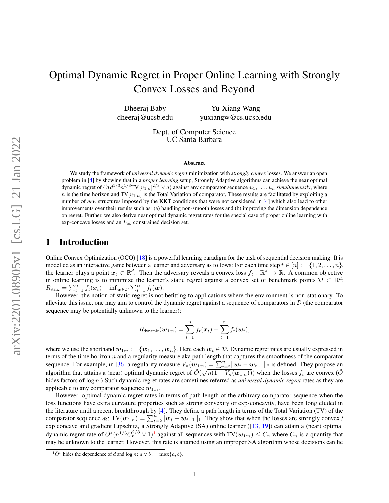# Optimal Dynamic Regret in Proper Online Learning with Strongly Convex Losses and Beyond

Dheeraj Baby dheeraj@ucsb.edu

Yu-Xiang Wang yuxiangw@cs.ucsb.edu

Dept. of Computer Science UC Santa Barbara

#### Abstract

We study the framework of *universal dynamic regret* minimization with *strongly convex* losses. We answer an open problem in [\[4\]](#page-11-0) by showing that in a *proper learning* setup, Strongly Adaptive algorithms can achieve the near optimal dynamic regret of  $\tilde{O}(d^{1/3}n^{1/3}TV[u_{1:n}]^{2/3} \vee d)$  against any comparator sequence  $u_1, \ldots, u_n$  simultaneously, where n is the time horizon and TV $[u_{1:n}]$  is the Total Variation of comparator. These results are facilitated by exploiting a number of *new* structures imposed by the KKT conditions that were not considered in [\[4\]](#page-11-0) which also lead to other improvements over their results such as: (a) handling non-smooth losses and (b) improving the dimension dependence on regret. Further, we also derive near optimal dynamic regret rates for the special case of proper online learning with exp-concave losses and an  $L_{\infty}$  constrained decision set.

## 1 Introduction

Online Convex Optimization (OCO) [\[18\]](#page-11-1) is a powerful learning paradigm for the task of sequential decision making. It is modelled as an interactive game between a learner and adversary as follows: For each time step  $t \in [n] := \{1, 2, \ldots, n\}$ , the learner plays a point  $x_t \in \mathbb{R}^d$ . Then the adversary reveals a convex loss  $f_t : \mathbb{R}^d \to \mathbb{R}$ . A common objective in online learning is to minimize the learner's static regret against a convex set of benchmark points  $\mathcal{D} \subset \mathbb{R}^d$ :  $R_{\text{static}} = \sum_{t=1}^{n} f_t(\boldsymbol{x}_t) - \inf_{\boldsymbol{w} \in \mathcal{D}} \sum_{t=1}^{n} f_t(\boldsymbol{w}).$ 

However, the notion of static regret is not befitting to applications where the environment is non-stationary. To alleviate this issue, one may aim to control the dynamic regret against a sequence of comparators in  $D$  (the comparator sequence may be potentially unknown to the learner):

$$
R_{\text{dynamic}}(\boldsymbol{w}_{1:n}) = \sum_{t=1}^{n} f_t(\boldsymbol{x}_t) - \sum_{t=1}^{n} f_t(\boldsymbol{w}_t),
$$

where we use the shorthand  $w_{1:n} := \{w_1, \ldots, w_n\}$ . Here each  $w_t \in \mathcal{D}$ . Dynamic regret rates are usually expressed in terms of the time horizon  $n$  and a regularity measure aka path length that captures the smoothness of the comparator sequence. For example, in [\[36\]](#page-12-0) a regularity measure  $V_n(\boldsymbol{w}_{1:n}) = \sum_{t=2}^n ||\boldsymbol{w}_t - \boldsymbol{w}_{t-1}||_2$  is defined. They propose an algorithm that attains a (near) optimal dynamic regret of  $\tilde{O}(\sqrt{n(1+V_n(\bm{w}_{1:n})))}$  when the losses  $f_t$  are convex ( $\tilde{O}$ hides factors of log n.) Such dynamic regret rates are sometimes referred as *universal dynamic regret* rates as they are applicable to any comparator sequence  $w_{1:n}$ .

However, optimal dynamic regret rates in terms of path length of the arbitrary comparator sequence when the loss functions have extra curvature properties such as strong convexity or exp-concavity, have been long eluded in the literature until a recent breakthrough by [\[4\]](#page-11-0). They define a path length in terms of the Total Variation (TV) of the comparator sequence as:  $TV(w_{1:n}) = \sum_{t=2}^{n} ||w_t - w_{t-1}||_1$ . They show that when the losses are strongly convex / exp concave and gradient Lipschitz, a Strongly Adaptive (SA) online learner ([\[13,](#page-11-2) [19\]](#page-11-3)) can attain a (near) optimal dynamic regret rate of  $\tilde{O}^*(n^{1/3}C_n^{2/3} \vee 1)^1$  $\tilde{O}^*(n^{1/3}C_n^{2/3} \vee 1)^1$  $\tilde{O}^*(n^{1/3}C_n^{2/3} \vee 1)^1$  against all sequences with  $TV(\mathbf{w}_{1:n}) \leq C_n$  where  $C_n$  is a quantity that may be unknown to the learner. However, this rate is attained using an improper SA algorithm whose decisions can lie

<span id="page-0-0"></span> $1\tilde{O}^*$  hides the dependence of d and  $\log n$ ;  $a \vee b := \max\{a, b\}.$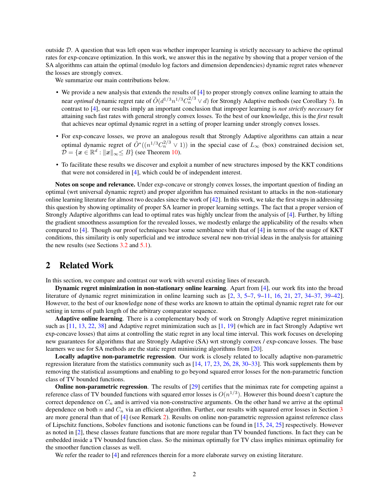outside  $D$ . A question that was left open was whether improper learning is strictly necessary to achieve the optimal rates for exp-concave optimization. In this work, we answer this in the negative by showing that a proper version of the SA algorithms can attain the optimal (modulo log factors and dimension dependencies) dynamic regret rates whenever the losses are strongly convex.

We summarize our main contributions below.

- We provide a new analysis that extends the results of [\[4\]](#page-11-0) to proper strongly convex online learning to attain the near *optimal* dynamic regret rate of  $\tilde{O}(d^{1/3}n^{1/3}C_n^{2/3} \vee d)$  for Strongly Adaptive methods (see Corollary [5\)](#page-6-0). In contrast to [\[4\]](#page-11-0), our results imply an important conclusion that improper learning is *not strictly necessary* for attaining such fast rates with general strongly convex losses. To the best of our knowledge, this is the *first* result that achieves near optimal dynamic regret in a setting of proper learning under strongly convex losses.
- For exp-concave losses, we prove an analogous result that Strongly Adaptive algorithms can attain a near optimal dynamic regret of  $\tilde{O}^*((n^{1/3}C_n^{2/3} \vee 1))$  in the special case of  $L_{\infty}$  (box) constrained decision set,  $\mathcal{D} = \{ \boldsymbol{x} \in \mathbb{R}^d : ||\boldsymbol{x}||_{\infty} \leq B \}$  (see Theorem [10\)](#page-9-0).
- To facilitate these results we discover and exploit a number of new structures imposed by the KKT conditions that were not considered in [\[4\]](#page-11-0), which could be of independent interest.

Notes on scope and relevance. Under exp-concave or strongly convex losses, the important question of finding an optimal (wrt universal dynamic regret) and proper algorithm has remained resistant to attacks in the non-stationary online learning literature for almost two decades since the work of  $[42]$ . In this work, we take the first steps in addressing this question by showing optimality of proper SA learner in proper learning settings. The fact that a proper version of Strongly Adaptive algorithms can lead to optimal rates was highly unclear from the analysis of [\[4\]](#page-11-0). Further, by lifting the gradient smoothness assumption for the revealed losses, we modestly enlarge the applicability of the results when compared to [\[4\]](#page-11-0). Though our proof techniques bear some semblance with that of [\[4\]](#page-11-0) in terms of the usage of KKT conditions, this similarity is only superficial and we introduce several new non-trivial ideas in the analysis for attaining the new results (see Sections [3.2](#page-3-0) and [5.1\)](#page-9-1).

# 2 Related Work

In this section, we compare and contrast our work with several existing lines of research.

Dynamic regret minimization in non-stationary online learning. Apart from [\[4\]](#page-11-0), our work fits into the broad literature of dynamic regret minimization in online learning such as [\[2,](#page-11-4) [3,](#page-11-5) [5](#page-11-6)[–7,](#page-11-7) [9–](#page-11-8)[11,](#page-11-9) [16,](#page-11-10) [21,](#page-11-11) [27,](#page-12-2) [34–](#page-12-3)[37,](#page-12-4) [39–](#page-12-5)[42\]](#page-12-1). However, to the best of our knowledge none of these works are known to attain the optimal dynamic regret rate for our setting in terms of path length of the arbitrary comparator sequence.

Adaptive online learning. There is a complementary body of work on Strongly Adaptive regret minimization such as [\[11,](#page-11-9) [13,](#page-11-2) [22,](#page-12-6) [38\]](#page-12-7) and Adaptive regret minimization such as [\[1,](#page-11-12) [19\]](#page-11-3) (which are in fact Strongly Adaptive wrt exp-concave losses) that aims at controlling the static regret in any local time interval. This work focuses on developing new guarantees for algorithms that are Strongly Adaptive (SA) wrt strongly convex / exp-concave losses. The base learners we use for SA methods are the static regret minimizing algorithms from [\[20\]](#page-11-13).

Locally adaptive non-parametric regression. Our work is closely related to locally adaptive non-parametric regression literature from the statistics community such as [\[14,](#page-11-14) [17,](#page-11-15) [23,](#page-12-8) [26,](#page-12-9) [28,](#page-12-10) [30–](#page-12-11)[33\]](#page-12-12). This work supplements them by removing the statistical assumptions and enabling to go beyond squared error losses for the non-parametric function class of TV bounded functions.

Online non-parametric regression. The results of [\[29\]](#page-12-13) certifies that the minimax rate for competing against a reference class of TV bounded functions with squared error losses is  $O(n^{1/3})$ . However this bound doesn't capture the correct dependence on  $C_n$  and is arrived via non-constructive arguments. On the other hand we arrive at the optimal dependence on both n and  $C_n$  via an efficient algorithm. Further, our results with squared error losses in Section [3](#page-2-0) are more general than that of [\[4\]](#page-11-0) (see Remark [2\)](#page-2-1). Results on online non-parametric regression against reference class of Lipschitz functions, Sobolev functions and isotonic functions can be found in [\[15,](#page-11-16) [24,](#page-12-14) [25\]](#page-12-15) respectively. However as noted in [\[2\]](#page-11-4), these classes feature functions that are more regular than TV bounded functions. In fact they can be embedded inside a TV bounded function class. So the minimax optimally for TV class implies minimax optimality for the smoother function classes as well.

We refer the reader to [\[4\]](#page-11-0) and references therein for a more elaborate survey on existing literature.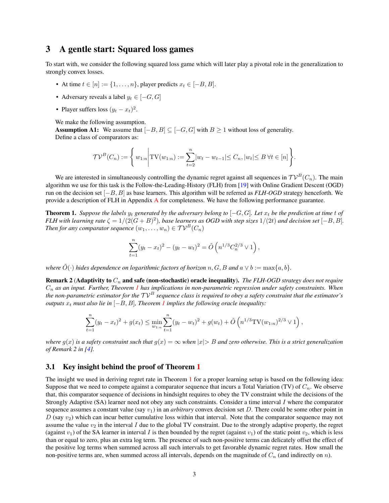## <span id="page-2-0"></span>3 A gentle start: Squared loss games

To start with, we consider the following squared loss game which will later play a pivotal role in the generalization to strongly convex losses.

- At time  $t \in [n] := \{1, \ldots, n\}$ , player predicts  $x_t \in [-B, B]$ .
- Adversary reveals a label  $y_t \in [-G, G]$
- Player suffers loss  $(y_t x_t)^2$ .

We make the following assumption.

**Assumption A1:** We assume that  $[-B, B] \subseteq [-G, G]$  with  $B \ge 1$  without loss of generality. Define a class of comparators as:

$$
\mathcal{TV}^B(C_n) := \left\{ w_{1:n} \middle| TV(w_{1:n}) := \sum_{t=2}^n |w_t - w_{t-1}| \leq C_n, |w_t| \leq B \,\forall t \in [n] \right\}.
$$

We are interested in simultaneously controlling the dynamic regret against all sequences in  $\mathcal{TV}^B(C_n)$ . The main algorithm we use for this task is the Follow-the-Leading-History (FLH) from [\[19\]](#page-11-3) with Online Gradient Descent (OGD) run on the decision set [−B, B] as base learners. This algorithm will be referred as *FLH-OGD* strategy henceforth. We provide a description of FLH in Appendix [A](#page-13-0) for completeness. We have the following performance guarantee.

<span id="page-2-2"></span>**Theorem 1.** Suppose the labels  $y_t$  generated by the adversary belong to  $[-G, G]$ . Let  $x_t$  be the prediction at time t of *FLH* with learning rate  $\zeta = 1/(2(G + B)^2)$ , base learners as OGD with step sizes  $1/(2t)$  and decision set  $[-B, B]$ . *Then for any comparator sequence*  $(w_1, \ldots, w_n) \in \mathcal{TV}^B(C_n)$ 

$$
\sum_{t=1}^{n} (y_t - x_t)^2 - (y_t - w_t)^2 = \tilde{O}\left(n^{1/3} C_n^{2/3} \vee 1\right),
$$

*where*  $\tilde{O}(\cdot)$  *hides dependence on logarithmic factors of horizon*  $n, G, B$  *and*  $a \vee b := \max\{a, b\}$ *.* 

<span id="page-2-1"></span>Remark 2 (Adaptivity to  $C_n$  and safe (non-stochastic) oracle inequality). *The FLH-OGD strategy does not require* C<sup>n</sup> *as an input. Further, Theorem [1](#page-2-2) has implications in non-parametric regression under safety constraints. When the non-parametric estimator for the*  $TV^B$  *sequence class is required to obey a safety constraint that the estimator's outputs*  $x_t$  *must also lie in*  $[-B, B]$ *, Theorem [1](#page-2-2) implies the following oracle inequality:* 

$$
\sum_{t=1}^{n} (y_t - x_t)^2 + g(x_t) \le \min_{w_{1:n}} \sum_{t=1}^{n} (y_t - w_t)^2 + g(w_t) + \tilde{O}\left(n^{1/3} \text{TV}(w_{1:n})^{2/3} \vee 1\right),
$$

*where*  $g(x)$  *is a safety constraint such that*  $g(x) = \infty$  *when*  $|x| > B$  *and zero otherwise. This is a strict generalization of Remark 2 in [\[4\]](#page-11-0).*

### 3.1 Key insight behind the proof of Theorem [1](#page-2-2)

The insight we used in deriving regret rate in Theorem [1](#page-2-2) for a proper learning setup is based on the following idea: Suppose that we need to compete against a comparator sequence that incurs a Total Variation (TV) of  $C_n$ . We observe that, this comparator sequence of decisions in hindsight requires to obey the TV constraint while the decisions of the Strongly Adaptive (SA) learner need not obey any such constraints. Consider a time interval I where the comparator sequence assumes a constant value (say  $v_1$ ) in an *arbitrary* convex decision set D. There could be some other point in D (say  $v_2$ ) which can incur better cumulative loss within that interval. Note that the comparator sequence may not assume the value  $v_2$  in the interval I due to the global TV constraint. Due to the strongly adaptive property, the regret (against  $v_1$ ) of the SA learner in interval I is then bounded by the regret (against  $v_1$ ) of the static point  $v_2$ , which is less than or equal to zero, plus an extra log term. The presence of such non-positive terms can delicately offset the effect of the positive log terms when summed across all such intervals to get favorable dynamic regret rates. How small the non-positive terms are, when summed across all intervals, depends on the magnitude of  $C_n$  (and indirectly on n).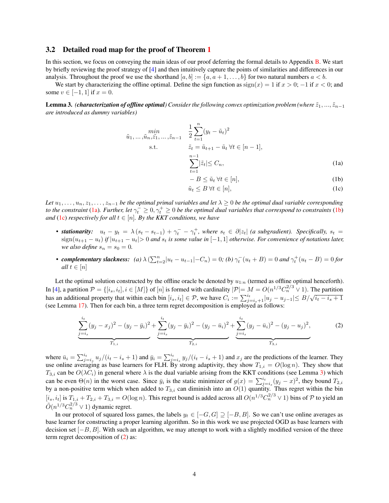#### <span id="page-3-0"></span>3.2 Detailed road map for the proof of Theorem [1](#page-2-2)

In this section, we focus on conveying the main ideas of our proof deferring the formal details to Appendix [B.](#page-13-1) We start by briefly reviewing the proof strategy of [\[4\]](#page-11-0) and then intuitively capture the points of similarities and differences in our analysis. Throughout the proof we use the shorthand  $[a, b] := \{a, a + 1, \ldots, b\}$  for two natural numbers  $a < b$ .

We start by characterizing the offline optimal. Define the sign function as  $sign(x) = 1$  if  $x > 0$ ;  $-1$  if  $x < 0$ ; and some  $v \in [-1, 1]$  if  $x = 0$ .

<span id="page-3-4"></span>Lemma 3. *(characterization of offline optimal)* Consider the following convex optimization problem (where  $\tilde{z}_1, ..., \tilde{z}_{n-1}$ *are introduced as dummy variables)*

$$
\tilde{u}_1, \dots, \tilde{u}_n, \tilde{z}_1, \dots, \tilde{z}_{n-1} \quad \frac{1}{2} \sum_{t=1}^n (y_t - \tilde{u}_t)^2
$$
\n
$$
\text{s.t.} \qquad \tilde{z}_t = \tilde{u}_{t+1} - \tilde{u}_t \,\forall t \in [n-1],
$$
\n
$$
\sum_{t=1}^{n-1} |\tilde{z}_t| \le C_n,
$$
\n(1a)

<span id="page-3-3"></span><span id="page-3-2"></span><span id="page-3-1"></span>
$$
-B \le \tilde{u}_t \,\forall t \in [n],\tag{1b}
$$

<span id="page-3-5"></span>
$$
\tilde{u}_t \le B \,\forall t \in [n],\tag{1c}
$$

Let  $u_1, \ldots, u_n, z_1, \ldots, z_{n-1}$  *be the optimal primal variables and let*  $\lambda \geq 0$  *be the optimal dual variable corresponding to the constraint* [\(1a\)](#page-3-1). Further, let  $\gamma_t^- \geq 0, \gamma_t^+ \geq 0$  be the optimal dual variables that correspond to constraints [\(1b\)](#page-3-2) *and* [\(1c\)](#page-3-3) *respectively for all*  $t \in [n]$ *. By the KKT conditions, we have* 

- **stationarity:**  $u_t y_t = \lambda (s_t s_{t-1}) + \gamma_t^- \gamma_t^+$ , where  $s_t \in \partial |z_t|$  *(a subgradient). Specifically,*  $s_t =$  $\sigma = \frac{\sin(u_{t+1} - u_t)}{i f |u_{t+1} - u_t} > 0$  *and*  $s_t$  *is some value in* [-1, 1] *otherwise. For convenience of notations later, we also define*  $s_n = s_0 = 0$ .
- *complementary slackness:* (a)  $\lambda (\sum_{t=2}^{n} |u_t u_{t-1}| C_n) = 0$ ; (b)  $\gamma_t^-(u_t + B) = 0$  and  $\gamma_t^+(u_t B) = 0$  for *all*  $t \in [n]$

Let the optimal solution constructed by the offline oracle be denoted by  $u_{1:n}$  (termed as offline optimal henceforth). In [\[4\]](#page-11-0), a partition  $\mathcal{P} = \{ [i_s, i_t], i \in [M] \}$  of  $[n]$  is formed with cardinality  $|\mathcal{P}| = M = O(n^{1/3} C_n^{2/3} \vee 1)$ . The partition has an additional property that within each bin  $[i_s, i_t] \in \mathcal{P}$ , we have  $C_i := \sum_{j=i_s+1}^{i_t} |u_j - u_{j-1}| \leq B/\sqrt{i_t - i_s + 1}$ (see Lemma [17\)](#page-17-0). Then for each bin, a three term regret decomposition is employed as follows:

$$
\underbrace{\sum_{j=i_s}^{i_t} (y_j - x_j)^2 - (y_j - \bar{y}_i)^2}_{T_{1,i}} + \underbrace{\sum_{j=i_s}^{i_t} (y_j - \bar{y}_i)^2 - (y_j - \bar{u}_i)^2}_{T_{2,i}} + \underbrace{\sum_{j=i_s}^{i_t} (y_j - \bar{u}_i)^2 - (y_j - u_j)^2}_{T_{3,i}},
$$
\n(2)

where  $\bar{u}_i = \sum_{j=i_s}^{i_t} u_j/(i_t - i_s + 1)$  and  $\bar{y}_i = \sum_{j=i_s}^{i_t} y_j/(i_t - i_s + 1)$  and  $x_j$  are the predictions of the learner. They use online averaging as base learners for FLH. By strong adaptivity, they show  $T_{1,i} = O(\log n)$ . They show that  $T_{3,i}$  can be  $O(\lambda C_i)$  in general where  $\lambda$  is the dual variable arising from the KKT conditions (see Lemma [3\)](#page-3-4) which can be even  $\Theta(n)$  in the worst case. Since  $\bar{y}_i$  is the static minimizer of  $g(x) = \sum_{j=i_s}^{i_t} (y_j - x)^2$ , they bound  $T_{2,i}$ by a non-positive term which when added to  $T_{3,i}$  can diminish into an  $O(1)$  quantity. Thus regret within the bin  $[i_s, i_t]$  is  $T_{1,i} + T_{2,i} + T_{3,i} = O(\log n)$ . This regret bound is added across all  $O(n^{1/3}C_n^{2/3} \vee 1)$  bins of P to yield an  $\tilde{O}(n^{1/3}C_n^{2/3} \vee 1)$  dynamic regret.

In our protocol of squared loss games, the labels  $y_t \in [-G, G] \supseteq [-B, B]$ . So we can't use online averages as base learner for constructing a proper learning algorithm. So in this work we use projected OGD as base learners with decision set  $[-B, B]$ . With such an algorithm, we may attempt to work with a slightly modified version of the three term regret decomposition of [\(2\)](#page-3-5) as: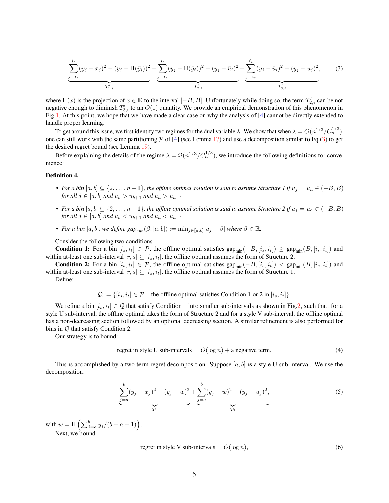<span id="page-4-0"></span>
$$
\underbrace{\sum_{j=i_s}^{i_t} (y_j - x_j)^2 - (y_j - \Pi(\bar{y}_i))^2}_{T'_{1,i}} + \underbrace{\sum_{j=i_s}^{i_t} (y_j - \Pi(\bar{y}_i))^2 - (y_j - \bar{u}_i)^2}_{T'_{2,i}} + \underbrace{\sum_{j=i_s}^{i_t} (y_j - \bar{u}_i)^2 - (y_j - u_j)^2}_{T'_{3,i}},
$$
 (3)

where  $\Pi(x)$  is the projection of  $x \in \mathbb{R}$  to the interval  $[-B, B]$ . Unfortunately while doing so, the term  $T'_{2,i}$  can be not negative enough to diminish  $T'_{3,i}$  to an  $O(1)$  quantity. We provide an empirical demonstration of this phenomenon in Fig[.1.](#page-5-0) At this point, we hope that we have made a clear case on why the analysis of [\[4\]](#page-11-0) cannot be directly extended to handle proper learning.

To get around this issue, we first identify two regimes for the dual variable  $\lambda$ . We show that when  $\lambda = O(n^{1/3}/C_n^{1/3})$ , one can still work with the same partitioning  $P$  of [\[4\]](#page-11-0) (see Lemma [17\)](#page-17-0) and use a decomposition similar to Eq.[\(3\)](#page-4-0) to get the desired regret bound (see Lemma [19\)](#page-17-1).

Before explaining the details of the regime  $\lambda = \Omega(n^{1/3}/C_n^{1/3})$ , we introduce the following definitions for convenience:

#### <span id="page-4-4"></span>Definition 4.

- For a bin  $[a, b] \subseteq \{2, \ldots, n-1\}$ , the offline optimal solution is said to assume Structure 1 if  $u_j = u_a \in (-B, B)$ *for all*  $j \in [a, b]$  *and*  $u_b > u_{b+1}$  *and*  $u_a > u_{a-1}$ *.*
- For a bin  $[a, b] \subseteq \{2, \ldots, n-1\}$ , the offline optimal solution is said to assume Structure 2 if  $u_j = u_a \in (-B, B)$ *for all*  $j \in [a, b]$  *and*  $u_b < u_{b+1}$  *and*  $u_a < u_{a-1}$ *.*
- *For a bin*  $[a, b]$ *, we define gap*<sub>*min*</sub></sub> $(\beta, [a, b]) := \min_{j \in [a, b]} |u_j \beta|$  *where*  $\beta \in \mathbb{R}$ *.*

Consider the following two conditions.

**Condition 1:** For a bin  $[i_s, i_t] \in \mathcal{P}$ , the offline optimal satisfies  $\text{gap}_{\text{min}}(-B, [i_s, i_t]) \geq \text{gap}_{\text{min}}(B, [i_s, i_t])$  and within at-least one sub-interval  $[r, s] \subseteq [i_s, i_t]$ , the offline optimal assumes the form of Structure 2.

Condition 2: For a bin  $[i_s, i_t] \in \mathcal{P}$ , the offline optimal satisfies  $\text{gap}_{\text{min}}(-B, [i_s, i_t]) < \text{gap}_{\text{min}}(B, [i_s, i_t])$  and within at-least one sub-interval  $[r, s] \subseteq [i_s, i_t]$ , the offline optimal assumes the form of Structure 1.

Define:

$$
Q := \{ [i_s, i_t] \in \mathcal{P} : \text{ the offline optimal satisfies Condition 1 or 2 in } [i_s, i_t] \}.
$$

We refine a bin  $[i_s, i_t] \in \mathcal{Q}$  that satisfy Condition 1 into smaller sub-intervals as shown in Fig[.2,](#page-6-1) such that: for a style U sub-interval, the offline optimal takes the form of Structure 2 and for a style V sub-interval, the offline optimal has a non-decreasing section followed by an optional decreasing section. A similar refinement is also performed for bins in Q that satisfy Condition 2.

Our strategy is to bound:

<span id="page-4-2"></span>regret in style U sub-intervals = 
$$
O(\log n) +
$$
 a negative term. (4)

This is accomplished by a two term regret decomposition. Suppose  $[a, b]$  is a style U sub-interval. We use the decomposition:

$$
\underbrace{\sum_{j=a}^{b} (y_j - x_j)^2 - (y_j - w)^2}_{T_1} + \underbrace{\sum_{j=a}^{b} (y_j - w)^2 - (y_j - u_j)^2}_{T_2},
$$
\n(5)

with  $w = \Pi \left( \sum_{j=a}^{b} y_j/(b - a + 1) \right)$ . Next, we bound

<span id="page-4-3"></span><span id="page-4-1"></span>regret in style V sub-intervals = 
$$
O(\log n)
$$
, (6)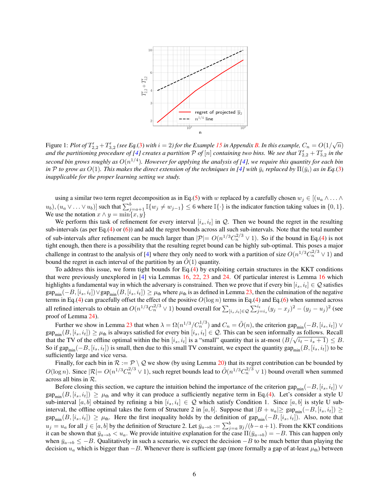<span id="page-5-0"></span>

Figure 1: Plot of  $T'_{2,2} + T'_{3,2}$  (see Eq.[\(3\)](#page-4-0) with  $i = 2$ ) for the Example [15](#page-14-0) in Appendix [B.](#page-13-1) In this example,  $C_n = O(1/\sqrt{n})$ and the partitioning procedure of [\[4\]](#page-11-0) creates a partition  $P$  of  $[n]$  containing two bins. We see that  $T'_{2,2}+T'_{3,2}$  in the *second bin grows roughly as* O(n 1/4 )*. However for applying the analysis of [\[4\]](#page-11-0), we require this quantity for each bin in* P *to grow as*  $O(1)$ *. This makes the direct extension of the techniques in [\[4\]](#page-11-0) with*  $\bar{y}_i$  *replaced by*  $\Pi(\bar{y}_i)$  *as in Eq.*[\(3\)](#page-4-0) *inapplicable for the proper learning setting we study.*

using a similar two term regret decomposition as in Eq.[\(5\)](#page-4-1) with w replaced by a carefully chosen  $w_j \in [(u_a \wedge \dots \wedge$  $(u_b), (u_a \vee \ldots \vee u_b)]$  such that  $\sum_{j=a+1}^{b} \mathbb{I}\{w_j \neq w_{j-1}\} \leq 6$  where  $\mathbb{I}\{\cdot\}$  is the indicator function taking values in  $\{0, 1\}$ . We use the notation  $x \wedge y = \min\{x, y\}$ 

We perform this task of refinement for every interval  $[i_s, i_t]$  in  $\mathcal{Q}$ . Then we bound the regret in the resulting sub-intervals (as per Eq.[\(4\)](#page-4-2) or [\(6\)](#page-4-3)) and add the regret bounds across all such sub-intervals. Note that the total number of sub-intervals after refinement can be much larger than  $|\mathcal{P}| = O(n^{1/3}C_n^{2/3} \vee 1)$ . So if the bound in Eq.[\(4\)](#page-4-2) is not tight enough, then there is a possibility that the resulting regret bound can be highly sub-optimal. This poses a major challenge in contrast to the analysis of [\[4\]](#page-11-0) where they only need to work with a partition of size  $O(n^{1/3}C_n^{2/3} \vee 1)$  and bound the regret in each interval of the partition by an  $\tilde{O}(1)$  quantity.

To address this issue, we form tight bounds for Eq.[\(4\)](#page-4-2) by exploiting certain structures in the KKT conditions that were previously unexplored in [\[4\]](#page-11-0) via Lemmas [16,](#page-15-0) [22,](#page-20-0) [23](#page-21-0) and [24.](#page-22-0) Of particular interest is Lemma [16](#page-15-0) which highlights a fundamental way in which the adversary is constrained. Then we prove that if every bin  $[i_s, i_t] \in \mathcal{Q}$  satisfies  $gap_{\text{min}}(-B, [i_s, i_t]) \vee gap_{\text{min}}(B, [i_s, i_t]) \ge \mu_{\text{th}}$  where  $\mu_{\text{th}}$  is as defined in Lemma [23,](#page-21-0) then the culmination of the negative terms in Eq.[\(4\)](#page-4-2) can gracefully offset the effect of the positive  $O(\log n)$  terms in Eq.(4) and Eq.[\(6\)](#page-4-3) when summed across all refined intervals to obtain an  $O(n^{1/3}C_n^{2/3} \vee 1)$  bound overall for  $\sum_{[i_s,i_t]\in\mathcal{Q}}\sum_{j=i_s}^{i_t} (y_j - x_j)^2 - (y_j - u_j)^2$  (see proof of Lemma [24\)](#page-22-0).

Further we show in Lemma [23](#page-21-0) that when  $\lambda = \Omega(n^{1/3}/C_n^{1/3})$  and  $C_n = \tilde{O}(n)$ , the criterion gap<sub>min</sub> $(-B, [i_s, i_t]) \vee$  $gap_{\text{min}}(B, [i_s, i_t]) \geq \mu_{\text{th}}$  is always satisfied for every bin  $[i_s, i_t] \in \mathcal{Q}$ . This can be seen informally as follows. Recall that the TV of the offline optimal within the bin  $[i_s, i_t]$  is a "small" quantity that is at-most  $(B/\sqrt{i_t - i_s + 1}) \leq B$ . So if gap<sub>min</sub> $(-B, [i_s, i_t])$  is small, then due to this small TV constraint, we expect the quantity gap<sub>min</sub> $(B, [i_s, i_t])$  to be sufficiently large and vice versa.

Finally, for each bin in  $\mathcal{R} := \mathcal{P} \setminus \mathcal{Q}$  we show (by using Lemma [20\)](#page-18-0) that its regret contribution can be bounded by  $O(\log n)$ . Since  $|\mathcal{R}| = O(n^{1/3}C_n^{2/3} \vee 1)$ , such regret bounds lead to  $\tilde{O}(n^{1/3}C_n^{2/3} \vee 1)$  bound overall when summed across all bins in R.

Before closing this section, we capture the intuition behind the importance of the criterion gap<sub>min</sub>( $-B$ , [is, it]) ∨  $\text{gap}_{\text{min}}(B, [i_s, i_t]) \geq \mu_{\text{th}}$  and why it can produce a sufficiently negative term in Eq.[\(4\)](#page-4-2). Let's consider a style U sub-interval [a, b] obtained by refining a bin [i<sub>s</sub>, i<sub>t</sub>]  $\in \mathcal{Q}$  which satisfy Condition 1. Since [a, b] is style U subinterval, the offline optimal takes the form of Structure 2 in [a, b]. Suppose that  $|B + u_a| \geq \text{gap}_{\text{min}}(-B, [i_s, i_t])$  ≥  $gap_{min}(B, [i_s, i_t]) \geq \mu_{th}$ . Here the first inequality holds by the definition of  $gap_{min}(-B, [i_s, i_t])$ . Also, note that  $u_j = u_a$  for all  $j \in [a, b]$  by the definition of Structure 2. Let  $\bar{y}_{a \to b} := \sum_{j=a}^b y_j/(b-a+1)$ . From the KKT conditions it can be shown that  $\bar{y}_{a\to b} < u_a$ . We provide intuitive explanation for the case  $\Pi(\bar{y}_{a\to b}) = -B$ . This can happen only when  $\bar{y}_{a\to b} \leq -B$ . Qualitatively in such a scenario, we expect the decision  $-B$  to be much better than playing the decision  $u_a$  which is bigger than  $-B$ . Whenever there is sufficient gap (more formally a gap of at-least  $\mu_{th}$ ) between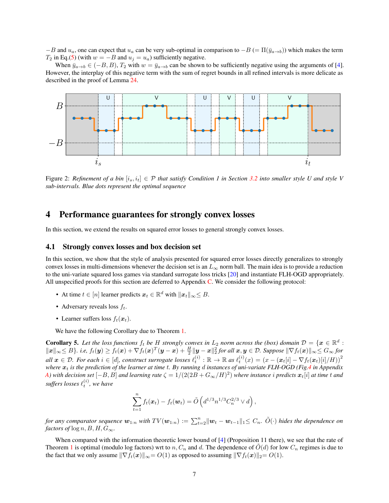$-B$  and  $u_a$ , one can expect that  $u_a$  can be very sub-optimal in comparison to  $-B (= \Pi(\bar{y}_{a\to b}))$  which makes the term  $T_2$  in Eq.[\(5\)](#page-4-1) (with  $w = -B$  and  $u_j = u_a$ ) sufficiently negative.

When  $\bar{y}_{a\to b} \in (-B, B), T_2$  with  $w = \bar{y}_{a\to b}$  can be shown to be sufficiently negative using the arguments of [\[4\]](#page-11-0). However, the interplay of this negative term with the sum of regret bounds in all refined intervals is more delicate as described in the proof of Lemma [24.](#page-22-0)

<span id="page-6-1"></span>

Figure 2: *Refinement of a bin*  $[i_s, i_t] \in \mathcal{P}$  *that satisfy Condition 1 in Section* [3.2](#page-3-0) *into smaller style U and style V sub-intervals. Blue dots represent the optimal sequence*

### <span id="page-6-2"></span>4 Performance guarantees for strongly convex losses

In this section, we extend the results on squared error losses to general strongly convex losses.

#### 4.1 Strongly convex losses and box decision set

In this section, we show that the style of analysis presented for squared error losses directly generalizes to strongly convex losses in multi-dimensions whenever the decision set is an  $L_{\infty}$  norm ball. The main idea is to provide a reduction to the uni-variate squared loss games via standard surrogate loss tricks [\[20\]](#page-11-13) and instantiate FLH-OGD appropriately. All unspecified proofs for this section are deferred to Appendix [C.](#page-25-0) We consider the following protocol:

- At time  $t \in [n]$  learner predicts  $x_t \in \mathbb{R}^d$  with  $||x_t||_{\infty} \leq B$ .
- Adversary reveals loss  $f_t$ .
- Learner suffers loss  $f_t(\mathbf{x}_t)$ .

We have the following Corollary due to Theorem [1.](#page-2-2)

<span id="page-6-0"></span>**Corollary 5.** Let the loss functions  $f_t$  be H strongly convex in  $L_2$  norm across the (box) domain  $\mathcal{D} = \{x \in \mathbb{R}^d :$  $\|{\boldsymbol x}\|_\infty \le B\}$ . i.e,  $f_t({\boldsymbol y}) \ge f_t({\boldsymbol x}) + \nabla f_t({\boldsymbol x})^T({\boldsymbol y}-{\boldsymbol x}) + \frac{H}{2}\|{\boldsymbol y}-{\boldsymbol x}\|_2^2$  for all  ${\boldsymbol x},{\boldsymbol y} \in \mathcal{D}$ . Suppose  $\|\nabla f_t({\boldsymbol x})\|_\infty \le G_\infty$  for  $all \ x \in \mathcal{D}$ . For each  $i \in [d]$ , construct surrogate losses  $\ell_t^{(i)} : \mathbb{R} \to \mathbb{R}$  as  $\ell_t^{(i)}(x) = (x - (x_t[i] - \nabla f_t(x_t)[i]/H))^2$ *where*  $x_t$  *is the prediction of the learner at time t. By running d instances of uni-variate FLH-OGD (Fig[.4](#page-13-2) in Appendix A*) with decision set  $[-B, B]$  and learning rate  $\zeta = 1/(2(2B + G_{\infty}/H)^2)$  where instance i predicts  $x_t[i]$  at time t and suffers losses  $\ell_t^{(i)}$ , we have

$$
\sum_{t=1}^n f_t(\boldsymbol{x}_t) - f_t(\boldsymbol{w}_t) = \tilde{O}\left(d^{1/3}n^{1/3}C_n^{2/3} \vee d\right),
$$

*for any comparator sequence*  $w_{1:n}$  *with*  $TV(w_{1:n}) := \sum_{t=2}^{n} ||w_t - w_{t-1}||_1 \leq C_n$ .  $\tilde{O}(\cdot)$  *hides the dependence on factors of*  $\log n, B, H, G_{\infty}$ *.* 

When compared with the information theoretic lower bound of [\[4\]](#page-11-0) (Proposition 11 there), we see that the rate of Theorem [1](#page-2-2) is optimal (modulo log factors) wrt to n,  $C_n$  and d. The dependence of  $O(d)$  for low  $C_n$  regimes is due to the fact that we only assume  $\|\nabla f_t(\boldsymbol{x})\|_{\infty} = O(1)$  as opposed to assuming  $\|\nabla f_t(\boldsymbol{x})\|_2 = O(1)$ .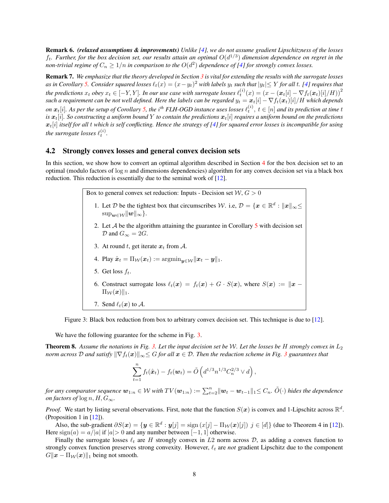Remark 6. *(relaxed assumptions & improvements) Unlike [\[4\]](#page-11-0), we do not assume gradient Lipschitzness of the losses*  $f_t$ . Further, for the box decision set, our results attain an optimal  $O(d^{1/3})$  dimension dependence on regret in the *non-trivial regime of*  $C_n \geq 1/n$  *in comparison to the*  $O(d^2)$  *dependence of [\[4\]](#page-11-0) for strongly convex losses.* 

Remark 7. *We emphasize that the theory developed in Section [3](#page-2-0) is vital for extending the results with the surrogate losses*  $\alpha$  *as in Corollary [5.](#page-6-0) Consider squared losses*  $\ell_t(x) = (x - y_t)^2$  *with labels*  $y_t$  *such that*  $|y_t| \le Y$  *for all t.* [\[4\]](#page-11-0) *requires that* the predictions  $x_t$  obey  $x_t \in [-Y, Y]$ . In our use case with surrogate losses  $\ell_t^{(i)}(x) = (x - (\bm{x}_t[i] - \nabla f_t(\bm{x}_t)[i]/H))^2$ *such a requirement can be not well defined. Here the labels can be regarded*  $y_t = x_t[i] - \nabla f_t(x_t)[i]/H$  *which depends on*  $x_t[i]$ . As per the setup of Corollary [5,](#page-6-0) the i<sup>th</sup> FLH-OGD instance uses losses  $\ell_t^{(i)}$ ,  $t \in [n]$  and its prediction at time t *is*  $x_t[i]$ . So constructing a uniform bound Y to contain the predictions  $x_t[i]$  requires a uniform bound on the predictions  $x_t[i]$  *itself for all t which is self conflicting. Hence the strategy of [\[4\]](#page-11-0) for squared error losses is incompatible for using the surrogate losses*  $\ell_t^{(i)}$ .

#### 4.2 Strongly convex losses and general convex decision sets

<span id="page-7-0"></span>In this section, we show how to convert an optimal algorithm described in Section [4](#page-6-2) for the box decision set to an optimal (modulo factors of  $\log n$  and dimensions dependencies) algorithm for any convex decision set via a black box reduction. This reduction is essentially due to the seminal work of [\[12\]](#page-11-17).

> Box to general convex set reduction: Inputs - Decision set  $W, G > 0$ 1. Let D be the tightest box that circumscribes W. i.e,  $D = \{x \in \mathbb{R}^d : ||x||_{\infty} \leq$  $\sup_{w\in\mathcal{W}}\|w\|_{\infty}\}.$ 2. Let  $A$  be the algorithm attaining the guarantee in Corollary  $5$  with decision set  $\mathcal{D}$  and  $G_{\infty} = 2G$ . 3. At round t, get iterate  $x_t$  from A. 4. Play  $\hat{\boldsymbol{x}}_t = \Pi_{\mathcal{W}}(\boldsymbol{x}_t) := \operatorname{argmin}_{\boldsymbol{y} \in \mathcal{W}} ||\boldsymbol{x}_t - \boldsymbol{y}||_1$ . 5. Get loss  $f_t$ . 6. Construct surrogate loss  $\ell_t(x) = f_t(x) + G \cdot S(x)$ , where  $S(x) := ||x - \ell(x)||$  $\Pi_{\mathcal{W}}(x)\|_1.$ 7. Send  $\ell_t(\mathbf{x})$  to A.

Figure 3: Black box reduction from box to arbitrary convex decision set. This technique is due to [\[12\]](#page-11-17).

We have the following guarantee for the scheme in Fig. [3.](#page-7-0)

**Theorem 8.** Assume the notations in Fig. [3.](#page-7-0) Let the input decision set be W. Let the losses be H strongly convex in  $L_2$ *norm across* D and satisfy  $\|\nabla f_t(x)\|_{\infty} \leq G$  *for all*  $x \in \mathcal{D}$ . Then the reduction scheme in Fig. [3](#page-7-0) guarantees that

$$
\sum_{t=1}^n f_t(\hat{\pmb{x}}_t) - f_t(\pmb{w}_t) = \tilde{O}\left(d^{1/3}n^{1/3}C_n^{2/3} \vee d\right),\,
$$

*for any comparator sequence*  $w_{1:n} \in W$  *with*  $TV(w_{1:n}) := \sum_{t=2}^{n} ||w_t - w_{t-1}||_1 \leq C_n$ .  $\tilde{O}(\cdot)$  *hides the dependence on factors of*  $\log n$ ,  $H, G_{\infty}$ .

*Proof.* We start by listing several observations. First, note that the function  $S(x)$  is convex and 1-Lipschitz across  $\mathbb{R}^d$ . (Proposition 1 in [\[12\]](#page-11-17)).

Also, the sub-gradient  $\partial S(x) = \{y \in \mathbb{R}^d : y[j] = \text{sign}(x[j] - \Pi_{\mathcal{W}}(x)[j]) \} \in [d] \}$  (due to Theorem 4 in [\[12\]](#page-11-17)). Here  $sign(a) = a/|a|$  if  $|a| > 0$  and any number between  $[-1, 1]$  otherwise.

Finally the surrogate losses  $\ell_t$  are H strongly convex in L2 norm across D, as adding a convex function to strongly convex function preserves strong convexity. However,  $\ell_t$  are *not* gradient Lipschitz due to the component  $G||x - \Pi_{\mathcal{W}}(x)||_1$  being not smooth.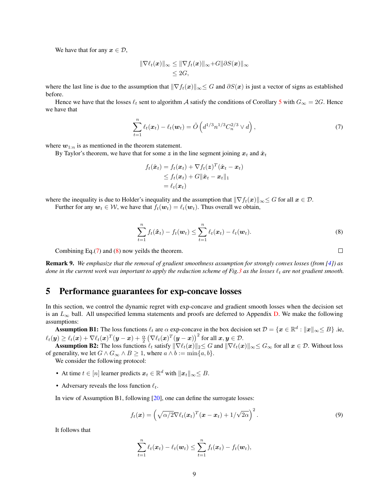We have that for any  $x \in \mathcal{D}$ ,

$$
\|\nabla \ell_t(\boldsymbol{x})\|_{\infty} \leq \|\nabla f_t(\boldsymbol{x})\|_{\infty} + G \|\partial S(\boldsymbol{x})\|_{\infty} \leq 2G,
$$

where the last line is due to the assumption that  $\|\nabla f_t(x)\|_{\infty} \leq G$  and  $\partial S(x)$  is just a vector of signs as established before.

Hence we have that the losses  $\ell_t$  sent to algorithm A satisfy the conditions of Corollary [5](#page-6-0) with  $G_{\infty} = 2G$ . Hence we have that

$$
\sum_{t=1}^{n} \ell_t(\boldsymbol{x}_t) - \ell_t(\boldsymbol{w}_t) = \tilde{O}\left(d^{1/3} n^{1/3} C_n^{2/3} \vee d\right),\tag{7}
$$

where  $w_{1:n}$  is as mentioned in the theorem statement.

By Taylor's theorem, we have that for some z in the line segment joining  $x_t$  and  $\hat{x}_t$ 

$$
f_t(\hat{\boldsymbol{x}}_t) = f_t(\boldsymbol{x}_t) + \nabla f_t(\boldsymbol{z})^T (\hat{\boldsymbol{x}}_t - \boldsymbol{x}_t) \\ \leq f_t(\boldsymbol{x}_t) + G \|\hat{\boldsymbol{x}}_t - \boldsymbol{x}_t\|_1 \\ = \ell_t(\boldsymbol{x}_t)
$$

where the inequality is due to Holder's inequality and the assumption that  $\|\nabla f_t(x)\|_{\infty} \leq G$  for all  $x \in \mathcal{D}$ .

Further for any  $w_t \in W$ , we have that  $f_t(w_t) = \ell_t(w_t)$ . Thus overall we obtain,

$$
\sum_{t=1}^{n} f_t(\hat{\boldsymbol{x}}_t) - f_t(\boldsymbol{w}_t) \leq \sum_{t=1}^{n} \ell_t(\boldsymbol{x}_t) - \ell_t(\boldsymbol{w}_t).
$$
\n(8)

<span id="page-8-3"></span><span id="page-8-1"></span><span id="page-8-0"></span> $\Box$ 

Combining Eq.[\(7\)](#page-8-0) and [\(8\)](#page-8-1) now yeilds the theorem.

Remark 9. We emphasize that the removal of gradient smoothness assumption for strongly convex losses (from [\[4\]](#page-11-0)) as *done in the current work was important to apply the reduction scheme of Fig[.3](#page-7-0) as the losses*  $\ell_t$  *are not gradient smooth.* 

### <span id="page-8-2"></span>5 Performance guarantees for exp-concave losses

In this section, we control the dynamic regret with exp-concave and gradient smooth losses when the decision set is an  $L_{\infty}$  ball. All unspecified lemma statements and proofs are deferred to Appendix [D.](#page-26-0) We make the following assumptions:

**Assumption B1:** The loss functions  $\ell_t$  are  $\alpha$  exp-concave in the box decision set  $\mathcal{D} = \{x \in \mathbb{R}^d : ||x||_{\infty} \leq B\}$  .ie,  $\ell_t(\boldsymbol{y}) \geq \ell_t(\boldsymbol{x}) + \nabla \ell_t(\boldsymbol{x})^T (\boldsymbol{y} - \boldsymbol{x}) + \frac{\alpha}{2} \left( \nabla \ell_t(\boldsymbol{x})^T (\boldsymbol{y} - \boldsymbol{x}) \right)^2 \text{ for all } \boldsymbol{x}, \boldsymbol{y} \in \mathcal{D}.$ 

**Assumption B2:** The loss functions  $\ell_t$  satisfy  $\|\nabla \ell_t(\boldsymbol{x})\|_2 \leq G$  and  $\|\nabla \ell_t(\boldsymbol{x})\|_{\infty} \leq G_{\infty}$  for all  $\boldsymbol{x} \in \mathcal{D}$ . Without loss of generality, we let  $G \wedge G_{\infty} \wedge B \geq 1$ , where  $a \wedge b := \min\{a, b\}.$ 

We consider the following protocol:

- At time  $t \in [n]$  learner predicts  $x_t \in \mathbb{R}^d$  with  $||x_t||_{\infty} \leq B$ .
- Adversary reveals the loss function  $\ell_t$ .

In view of Assumption B1, following [\[20\]](#page-11-13), one can define the surrogate losses:

$$
f_t(\boldsymbol{x}) = \left(\sqrt{\alpha/2} \nabla \ell_t(\boldsymbol{x}_t)^T (\boldsymbol{x} - \boldsymbol{x}_t) + 1/\sqrt{2\alpha}\right)^2.
$$
 (9)

It follows that

$$
\sum_{t=1}^n \ell_t(\boldsymbol{x}_t) - \ell_t(\boldsymbol{w}_t) \leq \sum_{t=1}^n f_t(\boldsymbol{x}_t) - f_t(\boldsymbol{w}_t),
$$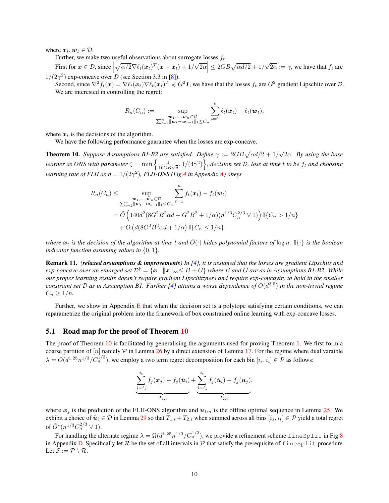where  $x_t, w_t \in \mathcal{D}$ .

Further, we make two useful observations about surrogate losses  $f_t$ .

First for  $x \in \mathcal{D}$ , since  $\left| \sqrt{\alpha/2} \nabla \ell_t(x_t)^T (x - x_t) + 1/\sqrt{2\alpha} \right| \leq 2GB\sqrt{\alpha d/2} + 1/\sqrt{2\alpha} := \gamma$ , we have that  $f_t$  are ļ  $1/(2\gamma^2)$  exp-concave over D (see Section 3.3 in [\[8\]](#page-11-18)).

Second, since  $\nabla^2 f_t(\boldsymbol{x}) = \nabla \ell_t(\boldsymbol{x}_t) \nabla \ell_t(\boldsymbol{x}_t)^T \preccurlyeq G^2 \boldsymbol{I}$ , we have that the losses  $f_t$  are  $G^2$  gradient Lipschitz over  $\mathcal{D}$ . We are interested in controlling the regret:

$$
R_n(C_n) := \sup_{\substack{\boldsymbol{w}_1,\ldots,\boldsymbol{w}_n \in \mathcal{D}\\ \sum_{t=2}^n \|\boldsymbol{w}_t - \boldsymbol{w}_{t-1}\|_1 \leq C_n}} \sum_{t=1}^n \ell_t(\boldsymbol{x}_t) - \ell_t(\boldsymbol{w}_t),
$$

where  $x_t$  is the decisions of the algorithm.

We have the following performance guarantee when the losses are exp-concave.

<span id="page-9-0"></span>**Theorem 10.** Suppose Assumptions B1-B2 are satisfied. Define  $\gamma := 2GB\sqrt{\alpha d/2} + 1/\sqrt{2\alpha}$ . By using the base learner as ONS with parameter  $\zeta = \min\left\{\frac{1}{16GB\sqrt{d}}, 1/(4\gamma^2)\right\}$ , decision set  $\mathcal D$ , loss at time  $t$  to be  $f_t$  and choosing *learning rate of FLH as* η = 1/(2γ 2 )*, FLH-ONS (Fig[.4](#page-13-2) in Appendix [A\)](#page-13-0) obeys*

$$
R_n(C_n) \leq \sup_{\substack{\mathbf{w}_1,\dots,\mathbf{w}_n \in \mathcal{D} \\ \sum_{t=2}^n ||\mathbf{w}_t - \mathbf{w}_{t-1}||_1 \leq C_n}} \sum_{t=1}^n f_t(\mathbf{x}_t) - f_t(\mathbf{w}_t)
$$
  
=  $\tilde{O}\left(140d^2(8G^2B^2\alpha d + G^2B^2 + 1/\alpha)(n^{1/3}C_n^{2/3} \vee 1)\right) \mathbb{I}\{C_n > 1/n\} + \tilde{O}\left(d(8G^2B^2\alpha d + 1/\alpha)\mathbb{I}\{C_n \leq 1/n\},\right)$ 

*where*  $x_t$  *is the decision of the algorithm at time t and*  $\tilde{O}(\cdot)$  *hides polynomial factors of*  $\log n$ . If  $\cdot$  *is the boolean indicator function assuming values in* {0, 1}*.*

Remark 11. *(relaxed assumptions & improvements) In [\[4\]](#page-11-0), it is assumed that the losses are gradient Lipschitz and exp-concave over an enlarged set*  $\mathcal{D}^{\dagger} = \{x : ||x||_{\infty} \leq B + G\}$  where B and G are as in Assumptions B1-B2. While *our proper learning results doesn't require gradient Lipschitzness and require exp-concavity to hold in the smaller constraint set* D *as in Assumption B1. Further [\[4\]](#page-11-0) attains a worse dependence of* O(d 3.5 ) *in the non-trivial regime*  $C_n \geq 1/n$ .

Further, we show in Appendix  $E$  that when the decision set is a polytope satisfying certain conditions, we can reparametrize the original problem into the framework of box constrained online learning with exp-concave losses.

### <span id="page-9-1"></span>5.1 Road map for the proof of Theorem [10](#page-9-0)

The proof of Theorem [10](#page-9-0) is facilitated by generalising the arguments used for proving Theorem [1.](#page-2-2) We first form a coarse partition of  $[n]$  namely  $P$  in Lemma [26](#page-27-0) by a direct extension of Lemma [17.](#page-17-0) For the regime where dual varaible  $\lambda = O(d^{1.25}n^{1/3}/C_n^{1/3})$ , we employ a two term regret decomposition for each bin  $[i_s, i_t] \in \mathcal{P}$  as follows:

$$
\underbrace{\sum_{j=i_s}^{i_t} f_j(\boldsymbol{x}_j) - f_j(\check{\boldsymbol{u}}_i)}_{T_{1,i}} + \underbrace{\sum_{j=i_s}^{i_t} f_j(\check{\boldsymbol{u}}_i) - f_j(\boldsymbol{u}_j)}_{T_{2,i}},
$$

where  $x_j$  is the prediction of the FLH-ONS algorithm and  $u_{1:n}$  is the offline optimal sequence in Lemma [25.](#page-26-1) We exhibit a choice of  $\check{u}_i \in \mathcal{D}$  in Lemma [29](#page-27-1) so that  $T_{1,i} + T_{2,i}$  when summed across all bins  $[i_s, i_t] \in \mathcal{P}$  yield a total regret of  $\tilde{O}^*(n^{1/3}C_n^{2/3} \vee 1)$ .

For handling the alternate regime  $\lambda = \Omega(d^{1.25}n^{1/3}/C_n^{1/3})$ , we provide a refinement scheme fineSplit in Fig[.8](#page-35-0) in Appendix [D.](#page-26-0) Specifically let  $R$  be the set of all intervals in  $P$  that satisfy the prerequisite of fineSplit procedure. Let  $S := \mathcal{P} \setminus \mathcal{R}$ .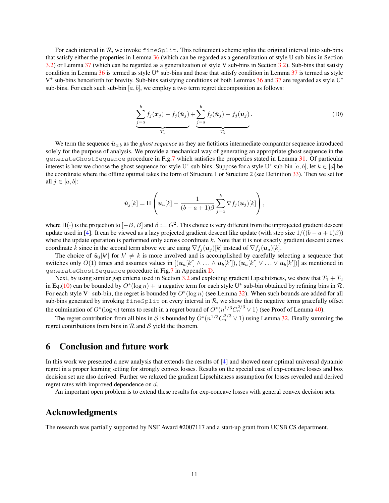For each interval in R, we invoke  $\text{fineSplit}$ . This refinement scheme splits the original interval into sub-bins that satisfy either the properties in Lemma [36](#page-34-0) (which can be regarded as a generalization of style U sub-bins in Section [3.2\)](#page-3-0) or Lemma [37](#page-35-1) (which can be regarded as a generalization of style V sub-bins in Section [3.2\)](#page-3-0). Sub-bins that satisfy condition in Lemma [36](#page-34-0) is termed as style U<sup>+</sup> sub-bins and those that satisfy condition in Lemma [37](#page-35-1) is termed as style V<sup>+</sup> sub-bins henceforth for brevity. Sub-bins satisfying conditions of both Lemmas [36](#page-34-0) and [37](#page-35-1) are regarded as style U<sup>+</sup> sub-bins. For each such sub-bin  $[a, b]$ , we employ a two term regret decomposition as follows:

<span id="page-10-0"></span>
$$
\underbrace{\sum_{j=a}^{b} f_j(\boldsymbol{x}_j) - f_j(\boldsymbol{\check{u}}_j)}_{T_1} + \underbrace{\sum_{j=a}^{b} f_j(\boldsymbol{\check{u}}_j) - f_j(\boldsymbol{u}_j)}_{T_2}.
$$
\n(10)

We term the sequence  $\check{u}_{a:b}$  as the *ghost sequence* as they are fictitious intermediate comparator sequence introduced solely for the purpose of analysis. We provide a mechanical way of generating an appropriate ghost sequence in the generateGhostSequence procedure in Fig[.7](#page-29-0) which satisfies the properties stated in Lemma [31.](#page-28-0) Of particular interest is how we choose the ghost sequence for style U<sup>+</sup> sub-bins. Suppose for a style U<sup>+</sup> sub-bin [a, b], let  $k \in [d]$  be the coordinate where the offline optimal takes the form of Structure 1 or Structure 2 (see Definition [33\)](#page-31-0). Then we set for all  $j \in [a, b]$ :

$$
\tilde{\boldsymbol{u}}_j[k] = \Pi \left( \boldsymbol{u}_a[k] - \frac{1}{(b-a+1)\beta} \sum_{j=a}^b \nabla f_j(\boldsymbol{u}_j)[k] \right),
$$

where  $\Pi(\cdot)$  is the projection to  $[-B, B]$  and  $\beta := G^2$ . This choice is very different from the unprojected gradient descent update used in [\[4\]](#page-11-0). It can be viewed as a lazy projected gradient descent like update (with step size  $1/((b - a + 1)\beta)$ ) where the update operation is performed only across coordinate  $k$ . Note that it is not exactly gradient descent across coordinate k since in the second term above we are using  $\nabla f_j(\mathbf{u}_j)[k]$  instead of  $\nabla f_j(\mathbf{u}_a)[k]$ .

The choice of  $\check{u}_j[k']$  for  $k' \neq k$  is more involved and is accomplished by carefully selecting a sequence that switches only  $O(1)$  times and assumes values in  $[(\mathbf{u}_a[k'] \wedge \ldots \wedge \mathbf{u}_b[k']) , (\mathbf{u}_a[k'] \vee \ldots \vee \mathbf{u}_b[k'])]$  as mentioned in generateGhostSequence procedure in Fig[.7](#page-29-0) in Appendix [D.](#page-26-0)

Next, by using similar gap criteria used in Section [3.2](#page-3-0) and exploiting gradient Lipschitzness, we show that  $T_1 + T_2$ in Eq.[\(10\)](#page-10-0) can be bounded by  $O^*(\log n)$  + a negative term for each style U<sup>+</sup> sub-bin obtained by refining bins in R. For each style V<sup>+</sup> sub-bin, the regret is bounded by  $O<sup>*</sup>(\log n)$  (see Lemma [32\)](#page-30-0). When such bounds are added for all sub-bins generated by invoking  $fineSplit$  on every interval in  $R$ , we show that the negative terms gracefully offset the culmination of  $O^*(\log n)$  terms to result in a regret bound of  $\tilde{O}^*(n^{1/3}C_n^{2/3} \vee 1)$  (see Proof of Lemma [40\)](#page-37-0).

The regret contribution from all bins in S is bounded by  $\tilde{O}^*(n^{1/3}C_n^{2/3} \vee 1)$  using Lemma [32.](#page-30-0) Finally summing the regret contributions from bins in  $R$  and  $S$  yield the theorem.

### 6 Conclusion and future work

In this work we presented a new analysis that extends the results of [\[4\]](#page-11-0) and showed near optimal universal dynamic regret in a proper learning setting for strongly convex losses. Results on the special case of exp-concave losses and box decision set are also derived. Further we relaxed the gradient Lipschitzness assumption for losses revealed and derived regret rates with improved dependence on d.

An important open problem is to extend these results for exp-concave losses with general convex decision sets.

### Acknowledgments

The research was partially supported by NSF Award #2007117 and a start-up grant from UCSB CS department.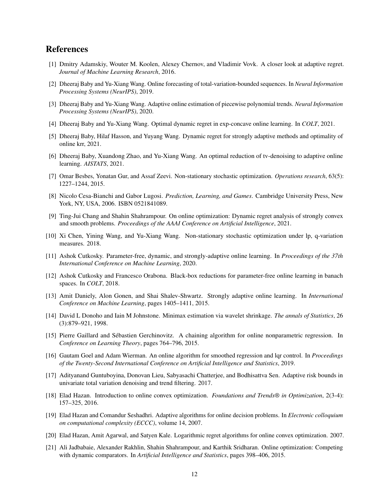## References

- <span id="page-11-12"></span>[1] Dmitry Adamskiy, Wouter M. Koolen, Alexey Chernov, and Vladimir Vovk. A closer look at adaptive regret. *Journal of Machine Learning Research*, 2016.
- <span id="page-11-4"></span>[2] Dheeraj Baby and Yu-Xiang Wang. Online forecasting of total-variation-bounded sequences. In *Neural Information Processing Systems (NeurIPS)*, 2019.
- <span id="page-11-5"></span>[3] Dheeraj Baby and Yu-Xiang Wang. Adaptive online estimation of piecewise polynomial trends. *Neural Information Processing Systems (NeurIPS)*, 2020.
- <span id="page-11-0"></span>[4] Dheeraj Baby and Yu-Xiang Wang. Optimal dynamic regret in exp-concave online learning. In *COLT*, 2021.
- <span id="page-11-6"></span>[5] Dheeraj Baby, Hilaf Hasson, and Yuyang Wang. Dynamic regret for strongly adaptive methods and optimality of online krr, 2021.
- [6] Dheeraj Baby, Xuandong Zhao, and Yu-Xiang Wang. An optimal reduction of tv-denoising to adaptive online learning. *AISTATS*, 2021.
- <span id="page-11-7"></span>[7] Omar Besbes, Yonatan Gur, and Assaf Zeevi. Non-stationary stochastic optimization. *Operations research*, 63(5): 1227–1244, 2015.
- <span id="page-11-18"></span>[8] Nicolo Cesa-Bianchi and Gabor Lugosi. *Prediction, Learning, and Games*. Cambridge University Press, New York, NY, USA, 2006. ISBN 0521841089.
- <span id="page-11-8"></span>[9] Ting-Jui Chang and Shahin Shahrampour. On online optimization: Dynamic regret analysis of strongly convex and smooth problems. *Proceedings of the AAAI Conference on Artificial Intelligence*, 2021.
- [10] Xi Chen, Yining Wang, and Yu-Xiang Wang. Non-stationary stochastic optimization under lp, q-variation measures. 2018.
- <span id="page-11-9"></span>[11] Ashok Cutkosky. Parameter-free, dynamic, and strongly-adaptive online learning. In *Proceedings of the 37th International Conference on Machine Learning*, 2020.
- <span id="page-11-17"></span>[12] Ashok Cutkosky and Francesco Orabona. Black-box reductions for parameter-free online learning in banach spaces. In *COLT*, 2018.
- <span id="page-11-2"></span>[13] Amit Daniely, Alon Gonen, and Shai Shalev-Shwartz. Strongly adaptive online learning. In *International Conference on Machine Learning*, pages 1405–1411, 2015.
- <span id="page-11-14"></span>[14] David L Donoho and Iain M Johnstone. Minimax estimation via wavelet shrinkage. *The annals of Statistics*, 26 (3):879–921, 1998.
- <span id="page-11-16"></span>[15] Pierre Gaillard and Sébastien Gerchinovitz. A chaining algorithm for online nonparametric regression. In *Conference on Learning Theory*, pages 764–796, 2015.
- <span id="page-11-10"></span>[16] Gautam Goel and Adam Wierman. An online algorithm for smoothed regression and lqr control. In *Proceedings of the Twenty-Second International Conference on Artificial Intelligence and Statistics*, 2019.
- <span id="page-11-15"></span>[17] Adityanand Guntuboyina, Donovan Lieu, Sabyasachi Chatterjee, and Bodhisattva Sen. Adaptive risk bounds in univariate total variation denoising and trend filtering. 2017.
- <span id="page-11-1"></span>[18] Elad Hazan. Introduction to online convex optimization. *Foundations and Trends® in Optimization*, 2(3-4): 157–325, 2016.
- <span id="page-11-3"></span>[19] Elad Hazan and Comandur Seshadhri. Adaptive algorithms for online decision problems. In *Electronic colloquium on computational complexity (ECCC)*, volume 14, 2007.
- <span id="page-11-13"></span>[20] Elad Hazan, Amit Agarwal, and Satyen Kale. Logarithmic regret algorithms for online convex optimization. 2007.
- <span id="page-11-11"></span>[21] Ali Jadbabaie, Alexander Rakhlin, Shahin Shahrampour, and Karthik Sridharan. Online optimization: Competing with dynamic comparators. In *Artificial Intelligence and Statistics*, pages 398–406, 2015.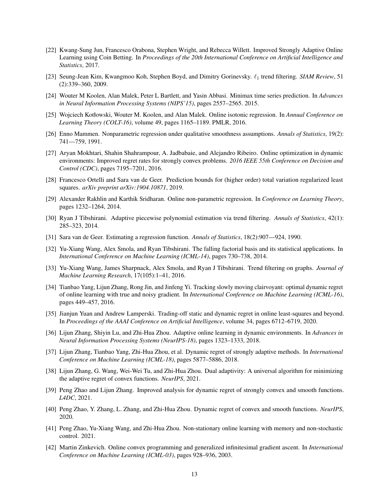- <span id="page-12-6"></span>[22] Kwang-Sung Jun, Francesco Orabona, Stephen Wright, and Rebecca Willett. Improved Strongly Adaptive Online Learning using Coin Betting. In *Proceedings of the 20th International Conference on Artificial Intelligence and Statistics*, 2017.
- <span id="page-12-8"></span>[23] Seung-Jean Kim, Kwangmoo Koh, Stephen Boyd, and Dimitry Gorinevsky.  $\ell_1$  trend filtering. *SIAM Review*, 51 (2):339–360, 2009.
- <span id="page-12-14"></span>[24] Wouter M Koolen, Alan Malek, Peter L Bartlett, and Yasin Abbasi. Minimax time series prediction. In *Advances in Neural Information Processing Systems (NIPS'15)*, pages 2557–2565. 2015.
- <span id="page-12-15"></span>[25] Wojciech Kotłowski, Wouter M. Koolen, and Alan Malek. Online isotonic regression. In *Annual Conference on Learning Theory (COLT-16)*, volume 49, pages 1165–1189. PMLR, 2016.
- <span id="page-12-9"></span>[26] Enno Mammen. Nonparametric regression under qualitative smoothness assumptions. *Annals of Statistics*, 19(2): 741—759, 1991.
- <span id="page-12-2"></span>[27] Aryan Mokhtari, Shahin Shahrampour, A. Jadbabaie, and Alejandro Ribeiro. Online optimization in dynamic environments: Improved regret rates for strongly convex problems. *2016 IEEE 55th Conference on Decision and Control (CDC)*, pages 7195–7201, 2016.
- <span id="page-12-10"></span>[28] Francesco Ortelli and Sara van de Geer. Prediction bounds for (higher order) total variation regularized least squares. *arXiv preprint arXiv:1904.10871*, 2019.
- <span id="page-12-13"></span>[29] Alexander Rakhlin and Karthik Sridharan. Online non-parametric regression. In *Conference on Learning Theory*, pages 1232–1264, 2014.
- <span id="page-12-11"></span>[30] Ryan J Tibshirani. Adaptive piecewise polynomial estimation via trend filtering. *Annals of Statistics*, 42(1): 285–323, 2014.
- [31] Sara van de Geer. Estimating a regression function. *Annals of Statistics*, 18(2):907—924, 1990.
- [32] Yu-Xiang Wang, Alex Smola, and Ryan Tibshirani. The falling factorial basis and its statistical applications. In *International Conference on Machine Learning (ICML-14)*, pages 730–738, 2014.
- <span id="page-12-12"></span>[33] Yu-Xiang Wang, James Sharpnack, Alex Smola, and Ryan J Tibshirani. Trend filtering on graphs. *Journal of Machine Learning Research*, 17(105):1–41, 2016.
- <span id="page-12-3"></span>[34] Tianbao Yang, Lijun Zhang, Rong Jin, and Jinfeng Yi. Tracking slowly moving clairvoyant: optimal dynamic regret of online learning with true and noisy gradient. In *International Conference on Machine Learning (ICML-16)*, pages 449–457, 2016.
- [35] Jianjun Yuan and Andrew Lamperski. Trading-off static and dynamic regret in online least-squares and beyond. In *Proceedings of the AAAI Conference on Artificial Intelligence*, volume 34, pages 6712–6719, 2020.
- <span id="page-12-0"></span>[36] Lijun Zhang, Shiyin Lu, and Zhi-Hua Zhou. Adaptive online learning in dynamic environments. In *Advances in Neural Information Processing Systems (NeurIPS-18)*, pages 1323–1333, 2018.
- <span id="page-12-4"></span>[37] Lijun Zhang, Tianbao Yang, Zhi-Hua Zhou, et al. Dynamic regret of strongly adaptive methods. In *International Conference on Machine Learning (ICML-18)*, pages 5877–5886, 2018.
- <span id="page-12-7"></span>[38] Lijun Zhang, G. Wang, Wei-Wei Tu, and Zhi-Hua Zhou. Dual adaptivity: A universal algorithm for minimizing the adaptive regret of convex functions. *NeurIPS*, 2021.
- <span id="page-12-5"></span>[39] Peng Zhao and Lijun Zhang. Improved analysis for dynamic regret of strongly convex and smooth functions. *L4DC*, 2021.
- [40] Peng Zhao, Y. Zhang, L. Zhang, and Zhi-Hua Zhou. Dynamic regret of convex and smooth functions. *NeurIPS*, 2020.
- [41] Peng Zhao, Yu-Xiang Wang, and Zhi-Hua Zhou. Non-stationary online learning with memory and non-stochastic control. 2021.
- <span id="page-12-1"></span>[42] Martin Zinkevich. Online convex programming and generalized infinitesimal gradient ascent. In *International Conference on Machine Learning (ICML-03)*, pages 928–936, 2003.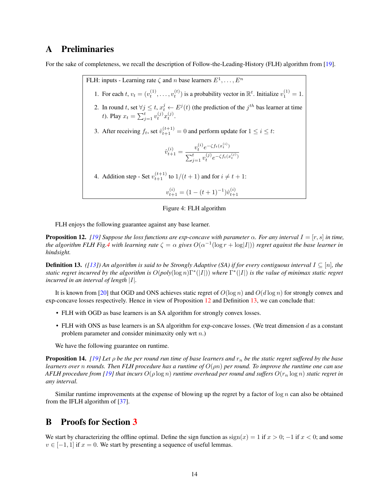### <span id="page-13-0"></span>A Preliminaries

<span id="page-13-2"></span>For the sake of completeness, we recall the description of Follow-the-Leading-History (FLH) algorithm from [\[19\]](#page-11-3).

FLH: inputs - Learning rate  $\zeta$  and n base learners  $E^1, \ldots, E^n$ 1. For each  $t, v_t = (v_t^{(1)}, \dots, v_t^{(t)})$  is a probability vector in  $\mathbb{R}^t$ . Initialize  $v_1^{(1)} = 1$ . 2. In round t, set  $\forall j \leq t$ ,  $x_i^j \leftarrow E^j(t)$  (the prediction of the  $j^{th}$  bas learner at time t). Play  $x_t = \sum_{j=1}^t v_t^{(j)} x_t^{(j)}$ . 3. After receiving  $f_t$ , set  $\hat{v}_{t+1}^{(t+1)} = 0$  and perform update for  $1 \le i \le t$ :  $\hat{v}_{t+1}^{(i)} = \frac{v_t^{(i)} e^{-\zeta f_t(x_t^{(i)})}}{\sum_{t=1}^t (i) - \zeta f_t(x_t^{(i)})}$  $\sum_{j=1}^t v_t^{(j)} e^{-\zeta f_t(x_t^{(j)})}$ 4. Addition step - Set  $v_{t+1}^{(t+1)}$  to  $1/(t+1)$  and for  $i \neq t+1$ :  $v_{t+1}^{(i)} = (1 - (t+1)^{-1})\hat{v}_{t+1}^{(i)}$ 

### Figure 4: FLH algorithm

FLH enjoys the following guarantee against any base learner.

<span id="page-13-3"></span>**Proposition 12.** [\[19\]](#page-11-3) Suppose the loss functions are exp-concave with parameter  $\alpha$ . For any interval  $I = [r, s]$  in time, *the algorithm FLH Fig[.4](#page-13-2) with learning rate*  $\zeta = \alpha$  *gives*  $O(\alpha^{-1}(\log r + \log|I|))$  *regret against the base learner in hindsight.*

<span id="page-13-4"></span>**Definition 13.** *([\[13\]](#page-11-2))* An algorithm is said to be Strongly Adaptive (SA) if for every contiguous interval  $I \subseteq [n]$ *, the static regret incurred by the algorithm is* O(*poly*(log n)Γ<sup>∗</sup> (|I|)) *where* Γ ∗ (|I|) *is the value of minimax static regret incurred in an interval of length* |I|*.*

It is known from [\[20\]](#page-11-13) that OGD and ONS achieves static regret of  $O(\log n)$  and  $O(d \log n)$  for strongly convex and exp-concave losses respectively. Hence in view of Proposition [12](#page-13-3) and Definition [13,](#page-13-4) we can conclude that:

- FLH with OGD as base learners is an SA algorithm for strongly convex losses.
- FLH with ONS as base learners is an SA algorithm for exp-concave losses. (We treat dimension  $d$  as a constant problem parameter and consider minimaxity only wrt n.)

We have the following guarantee on runtime.

**Proposition 14.** *[\[19\]](#page-11-3)* Let  $\rho$  *be the per round run time of base learners and*  $r_n$  *be the static regret suffered by the base learners over* n *rounds. Then FLH procedure has a runtime of* O(ρn) *per round. To improve the runtime one can use AFLH procedure from [\[19\]](#page-11-3)* that incurs  $O(\rho \log n)$  *runtime overhead per round and suffers*  $O(r_n \log n)$  *static regret in any interval.*

Similar runtime improvements at the expense of blowing up the regret by a factor of  $\log n$  can also be obtained from the IFLH algorithm of [\[37\]](#page-12-4).

### <span id="page-13-1"></span>B Proofs for Section [3](#page-2-0)

We start by characterizing the offline optimal. Define the sign function as  $sign(x) = 1$  if  $x > 0$ ;  $-1$  if  $x < 0$ ; and some  $v \in [-1, 1]$  if  $x = 0$ . We start by presenting a sequence of useful lemmas.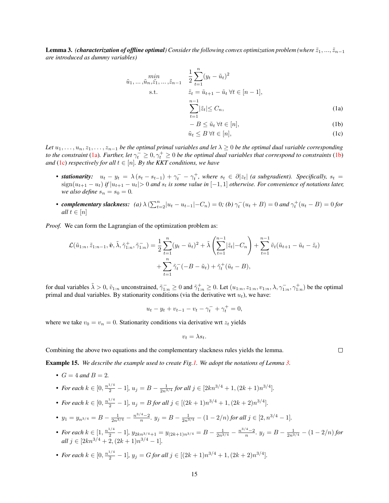**Lemma 3.** *(characterization of offline optimal)* Consider the following convex optimization problem (where  $\tilde{z}_1, ..., \tilde{z}_{n-1}$ *are introduced as dummy variables)*

$$
\tilde{u}_1, \dots, \tilde{u}_n, \tilde{z}_1, \dots, \tilde{z}_{n-1} \quad \frac{1}{2} \sum_{t=1}^n (y_t - \tilde{u}_t)^2
$$
\n
$$
\text{s.t.} \qquad \tilde{z}_t = \tilde{u}_{t+1} - \tilde{u}_t \,\forall t \in [n-1],
$$
\n
$$
\sum_{t=1}^{n-1} |\tilde{z}_t| \le C_n,
$$
\n(1a)

$$
-B \le \tilde{u}_t \,\forall t \in [n],\tag{1b}
$$

$$
\tilde{u}_t \le B \,\forall t \in [n],\tag{1c}
$$

Let  $u_1, \ldots, u_n, z_1, \ldots, z_{n-1}$  *be the optimal primal variables and let*  $\lambda \geq 0$  *be the optimal dual variable corresponding to the constraint* [\(1a\)](#page-3-1). Further, let  $\gamma_t^- \geq 0, \gamma_t^+ \geq 0$  be the optimal dual variables that correspond to constraints [\(1b\)](#page-3-2) *and* [\(1c\)](#page-3-3) *respectively for all*  $t \in [n]$ *. By the KKT conditions, we have* 

- **stationarity:**  $u_t y_t = \lambda (s_t s_{t-1}) + \gamma_t^- \gamma_t^+$ , where  $s_t \in \partial |z_t|$  *(a subgradient). Specifically,*  $s_t =$  $\sigma$  $\sin(u_{t+1} - u_t)$  *if*  $|u_{t+1} - u_t| > 0$  *and*  $s_t$  *is some value in*  $[-1, 1]$  *otherwise. For convenience of notations later, we also define*  $s_n = s_0 = 0$ .
- *complementary slackness:* (a)  $\lambda (\sum_{t=2}^{n} |u_t u_{t-1}| C_n) = 0$ ; (b)  $\gamma_t^-(u_t + B) = 0$  and  $\gamma_t^+(u_t B) = 0$  for *all*  $t \in [n]$

*Proof.* We can form the Lagrangian of the optimization problem as:

$$
\mathcal{L}(\tilde{u}_{1:n}, \tilde{z}_{1:n-1}, \tilde{\mathbf{v}}, \tilde{\lambda}, \tilde{\gamma}_{1:n}^+, \tilde{\gamma}_{1:n}^-) = \frac{1}{2} \sum_{t=1}^n (y_t - \tilde{u}_t)^2 + \tilde{\lambda} \left( \sum_{t=1}^{n-1} |\tilde{z}_t| - C_n \right) + \sum_{t=1}^{n-1} \tilde{v}_t (\tilde{u}_{t+1} - \tilde{u}_t - \tilde{z}_t)
$$

$$
+ \sum_{t=1}^n \tilde{\gamma}_t^- (-B - \tilde{u}_t) + \tilde{\gamma}_t^+ (\tilde{u}_t - B),
$$

for dual variables  $\tilde{\lambda} > 0$ ,  $\tilde{v}_{1:n}$  unconstrained,  $\tilde{\gamma}_{1:n}^{-} \ge 0$  and  $\tilde{\gamma}_{1:n}^{+} \ge 0$ . Let  $(u_{1:n}, z_{1:n}, v_{1:n}, \lambda, \gamma_{1:n}^{-}, \gamma_{1:n}^{+})$  be the optimal primal and dual variables. By stationarity conditions (via the derivative wrt  $u_t$ ), we have:

$$
u_t - y_t + v_{t-1} - v_t - \gamma_t^- + \gamma_t^+ = 0,
$$

where we take  $v_0 = v_n = 0$ . Stationarity conditions via derivative wrt  $z_t$  yields

$$
v_t = \lambda s_t.
$$

Combining the above two equations and the complementary slackness rules yields the lemma.

<span id="page-14-0"></span>Example 15. *We describe the example used to create Fig[.1.](#page-5-0) We adopt the notations of Lemma [3.](#page-3-4)*

- $G = 4$  *and*  $B = 2$ .
- *For each*  $k \in [0, \frac{n^{1/4}}{2} 1]$ ,  $u_j = B \frac{1}{2n^{3/4}}$  *for all*  $j \in [2kn^{3/4} + 1, (2k + 1)n^{3/4}]$ .
- *For each*  $k \in [0, \frac{n^{1/4}}{2} 1]$ ,  $u_j = B$  *for all*  $j \in [(2k+1)n^{3/4} + 1, (2k+2)n^{3/4}]$ .
- $y_1 = y_{n^{3/4}} = B \frac{1}{2n^{3/4}} \frac{n^{3/4} 2}{n}$ ,  $y_j = B \frac{1}{2n^{3/4}} (1 2/n)$  for all  $j \in [2, n^{3/4} 1]$ .
- For each  $k \in [1, \frac{n^{1/4}}{2} 1]$ ,  $y_{2kn^{3/4}+1} = y_{(2k+1)n^{3/4}} = B \frac{1}{2n^{3/4}} \frac{n^{3/4}-2}{n}$ .  $y_j = B \frac{1}{2n^{3/4}} (1 2/n)$  for  $all j \in [2kn^{3/4} + 2, (2k+1)n^{3/4} - 1].$
- *For each*  $k \in [0, \frac{n^{1/4}}{2} 1]$ ,  $y_j = G$  *for all*  $j \in [(2k+1)n^{3/4} + 1, (2k+2)n^{3/4}]$ .

 $\Box$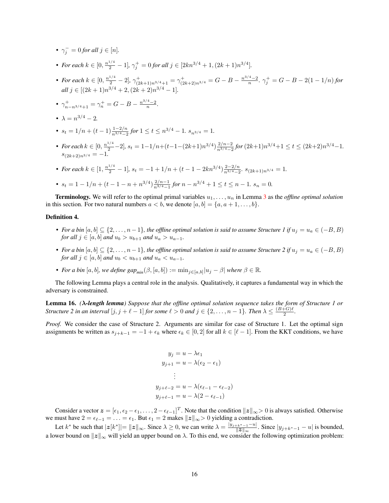- $\gamma_j^- = 0$  for all  $j \in [n]$ .
- *For each*  $k \in [0, \frac{n^{1/4}}{2} 1]$ ,  $\gamma_j^+ = 0$  *for all*  $j \in [2kn^{3/4} + 1, (2k + 1)n^{3/4}]$ .
- *For each*  $k \in [0, \frac{n^{1/4}}{2} 2]$ ,  $\gamma^+_{(2k+1)n^{3/4}+1} = \gamma^+_{(2k+2)n^{3/4}} = G B \frac{n^{3/4}-2}{n}$ .  $\gamma^+_j = G B 2(1-1/n)$  for  $all \, j \in [(2k+1)n^{3/4} + 2, (2k+2)n^{3/4} - 1].$
- $\gamma_{n-n^{3/4}+1}^+ = \gamma_n^+ = G B \frac{n^{3/4}-2}{n}.$
- $\lambda = n^{3/4} 2.$
- $s_t = 1/n + (t 1) \frac{1 2/n}{n^{3/4} 2}$  for  $1 \le t \le n^{3/4} 1$ *.*  $s_{n^{3/4}} = 1$ *.*
- For each  $k \in [0, \frac{n^{1/4}}{2} 2]$ ,  $s_t = 1 1/n + (t 1 (2k+1)n^{3/4}) \frac{2/n-2}{n^{3/4}-2}$  $\frac{2/n-2}{n^{3/4}-2}$  for  $(2k+1)n^{3/4}+1 \le t \le (2k+2)n^{3/4}-1$ .  $s_{(2k+2)n^{3/4}} = -1.$
- For each  $k \in [1, \frac{n^{1/4}}{2} 1]$ ,  $s_t = -1 + 1/n + (t 1 2kn^{3/4}) \frac{2-2/n}{n^{3/4}-2}$  $rac{2-2/n}{n^{3/4}-2}$ *.*  $s_{(2k+1)n^{3/4}}=1$ .

• 
$$
s_t = 1 - 1/n + (t - 1 - n + n^{3/4}) \frac{2/n - 1}{n^{3/4} - 1}
$$
 for  $n - n^{3/4} + 1 \le t \le n - 1$ .  $s_n = 0$ .

**Terminology.** We will refer to the optimal primal variables  $u_1, \ldots, u_n$  in Lemma [3](#page-3-4) as the *offline optimal solution* in this section. For two natural numbers  $a < b$ , we denote  $[a, b] = \{a, a+1, \ldots, b\}$ .

#### Definition 4.

- For a bin  $[a, b] \subseteq \{2, \ldots, n-1\}$ , the offline optimal solution is said to assume Structure 1 if  $u_j = u_a \in (-B, B)$ *for all*  $j \in [a, b]$  *and*  $u_b > u_{b+1}$  *and*  $u_a > u_{a-1}$ *.*
- *For a bin*  $[a, b] \subseteq \{2, \ldots, n-1\}$ *, the offline optimal solution is said to assume Structure 2 if*  $u_j = u_a \in (-B, B)$ *for all*  $j \in [a, b]$  *and*  $u_b < u_{b+1}$  *and*  $u_a < u_{a-1}$ *.*
- *For a bin*  $[a, b]$ *, we define gap*<sub>*min*</sub></sub> $(\beta, [a, b]) := \min_{j \in [a, b]} |u_j \beta|$  *where*  $\beta \in \mathbb{R}$ *.*

The following Lemma plays a central role in the analysis. Qualitatively, it captures a fundamental way in which the adversary is constrained.

<span id="page-15-0"></span>Lemma 16. *(*λ*-length lemma) Suppose that the offline optimal solution sequence takes the form of Structure 1 or Structure 2 in an interval*  $[j, j + \ell - 1]$  *for some*  $\ell > 0$  *and*  $j \in \{2, ..., n - 1\}$ *. Then*  $\lambda \leq \frac{(B+G)\ell}{2}$  $rac{1}{2}$ .

*Proof.* We consider the case of Structure 2. Arguments are similar for case of Structure 1. Let the optimal sign assignments be written as  $s_{j+k-1} = -1 + \epsilon_k$  where  $\epsilon_k \in [0, 2]$  for all  $k \in [\ell - 1]$ . From the KKT conditions, we have

$$
y_j = u - \lambda \epsilon_1
$$
  
\n
$$
y_{j+1} = u - \lambda(\epsilon_2 - \epsilon_1)
$$
  
\n
$$
\vdots
$$
  
\n
$$
y_{j+\ell-2} = u - \lambda(\epsilon_{\ell-1} - \epsilon_{\ell-2})
$$
  
\n
$$
y_{j+\ell-1} = u - \lambda(2 - \epsilon_{\ell-1})
$$

Consider a vector  $\boldsymbol{z} = [\epsilon_1, \epsilon_2 - \epsilon_1, \dots, 2 - \epsilon_{\ell-1}]^T$ . Note that the condition  $||\boldsymbol{z}||_{\infty} > 0$  is always satisfied. Otherwise we must have  $2 = \epsilon_{\ell-1} = \ldots = \epsilon_1$ . But  $\epsilon_1 = 2$  makes  $||z||_{\infty} > 0$  yielding a contradiction.

Let k<sup>\*</sup> be such that  $|z[k^*]| = ||z||_{\infty}$ . Since  $\lambda \ge 0$ , we can write  $\lambda = \frac{|y_{j+k^*-1}-u|}{||z||_{\infty}}$ . Since  $|y_{j+k^*-1}-u|$  is bounded, a lower bound on  $||z||_{\infty}$  will yield an upper bound on  $\lambda$ . To this end, we consider the following optimization problem: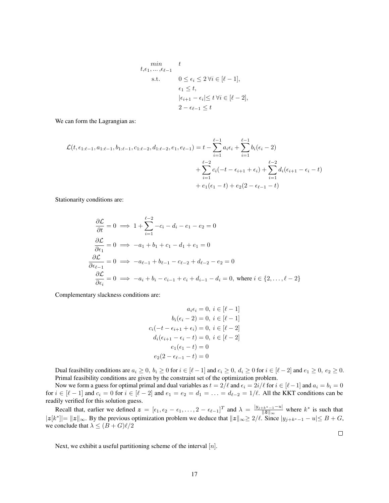$$
t, \epsilon_1, \dots, \epsilon_{\ell-1} \quad t
$$
\n
$$
\text{s.t.} \quad 0 \le \epsilon_i \le 2 \,\forall i \in [\ell-1],
$$
\n
$$
\epsilon_1 \le t,
$$
\n
$$
|\epsilon_{i+1} - \epsilon_i| \le t \,\forall i \in [\ell-2],
$$
\n
$$
2 - \epsilon_{\ell-1} \le t
$$

We can form the Lagrangian as:

$$
\mathcal{L}(t, \epsilon_{1:\ell-1}, a_{1:\ell-1}, b_{1:\ell-1}, c_{1:\ell-2}, d_{1:\ell-2}, e_1, e_{\ell-1}) = t - \sum_{i=1}^{\ell-1} a_i \epsilon_i + \sum_{i=1}^{\ell-1} b_i (\epsilon_i - 2)
$$
  
+ 
$$
\sum_{i=1}^{\ell-2} c_i (-t - \epsilon_{i+1} + \epsilon_i) + \sum_{i=1}^{\ell-2} d_i (\epsilon_{i+1} - \epsilon_i - t)
$$
  
+ 
$$
e_1 (\epsilon_1 - t) + e_2 (2 - \epsilon_{\ell-1} - t)
$$

Stationarity conditions are:

$$
\frac{\partial \mathcal{L}}{\partial t} = 0 \implies 1 + \sum_{i=1}^{\ell-2} -c_i - d_i - e_1 - e_2 = 0
$$
  

$$
\frac{\partial \mathcal{L}}{\partial \epsilon_1} = 0 \implies -a_1 + b_1 + c_1 - d_1 + e_1 = 0
$$
  

$$
\frac{\partial \mathcal{L}}{\partial \epsilon_{\ell-1}} = 0 \implies -a_{\ell-1} + b_{\ell-1} - c_{\ell-2} + d_{\ell-2} - e_2 = 0
$$
  

$$
\frac{\partial \mathcal{L}}{\partial \epsilon_i} = 0 \implies -a_i + b_i - c_{i-1} + c_i + d_{i-1} - d_i = 0, \text{ where } i \in \{2, ..., \ell-2\}
$$

Complementary slackness conditions are:

$$
a_i \epsilon_i = 0, \ i \in [\ell - 1]
$$

$$
b_i(\epsilon_i - 2) = 0, \ i \in [\ell - 1]
$$

$$
c_i(-t - \epsilon_{i+1} + \epsilon_i) = 0, \ i \in [\ell - 2]
$$

$$
d_i(\epsilon_{i+1} - \epsilon_i - t) = 0, \ i \in [\ell - 2]
$$

$$
e_1(\epsilon_1 - t) = 0
$$

$$
e_2(2 - \epsilon_{\ell - 1} - t) = 0
$$

Dual feasibility conditions are  $a_i \geq 0$ ,  $b_i \geq 0$  for  $i \in [\ell - 1]$  and  $c_i \geq 0$ ,  $d_i \geq 0$  for  $i \in [\ell - 2]$  and  $e_1 \geq 0$ ,  $e_2 \geq 0$ . Primal feasibility conditions are given by the constraint set of the optimization problem.

Now we form a guess for optimal primal and dual variables as  $t = 2/\ell$  and  $\epsilon_i = 2i/\ell$  for  $i \in [\ell-1]$  and  $a_i = b_i = 0$ for  $i \in [\ell - 1]$  and  $c_i = 0$  for  $i \in [\ell - 2]$  and  $e_1 = e_2 = d_1 = \ldots = d_{\ell-2} = 1/\ell$ . All the KKT conditions can be readily verified for this solution guess.

Recall that, earlier we defined  $\boldsymbol{z} = [\epsilon_1, \epsilon_2 - \epsilon_1, \dots, 2 - \epsilon_{\ell-1}]^T$  and  $\lambda = \frac{|y_{j+k^*-1}-u|}{\|\boldsymbol{z}\|_{\infty}}$  where  $k^*$  is such that  $|z[k^*]| = ||z||_{\infty}$ . By the previous optimization problem we deduce that  $||z||_{\infty} \ge 2/\ell$ . Since  $|y_{j+k^*-1} - u| \le B + G$ , we conclude that  $\lambda \leq (B+G)\ell/2$ 

 $\Box$ 

Next, we exhibit a useful partitioning scheme of the interval  $[n]$ .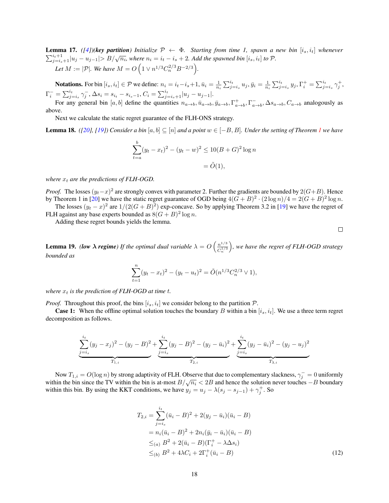<span id="page-17-0"></span>**Lemma 17.** *([\[4\]](#page-11-0))(key partition)* Initialize  $P \leftarrow \Phi$ *. Starting from time 1, spawn a new bin*  $[i_s, i_t]$  *whenever*  $\sum_{j=i_s+1}^{i_t+1} |u_j - u_{j-1}| > B/\sqrt{n_i}$ , where  $n_i = i_t - i_s + 2$ . Add the spawned bin  $[i_s, i_t]$  to  $\mathcal{P}$ .

*Let*  $M := |\mathcal{P}|$ *. We have*  $M = O\left(1 \vee n^{1/3} C_n^{2/3} B^{-2/3}\right)$ *.* 

Notations. For bin  $[i_s, i_t] \in \mathcal{P}$  we define:  $n_i = i_t - i_s + 1$ ,  $\bar{u}_i = \frac{1}{n_i} \sum_{j=i_s}^{i_t} u_j$ ,  $\bar{y}_i = \frac{1}{n_i} \sum_{j=i_s}^{i_t} y_j$ ,  $\Gamma_i^+ = \sum_{j=i_s}^{i_t} \gamma_j^+$ ,  $\Gamma_i^- = \sum_{j=i_s}^{i_t} \gamma_j^-, \Delta s_i = s_{i_t} - s_{i_s-1}, C_i = \sum_{j=i_s+1}^{i_t} |u_j - u_{j-1}|.$ 

For any general bin [a, b] define the quantities  $n_{a\to b}$ ,  $\bar{u}_{a\to b}$ ,  $\bar{y}_{a\to b}$ ,  $\Gamma^+_{a\to b}$ ,  $\Gamma^-_{a\to b}$ ,  $\Delta s_{a\to b}$ ,  $C_{a\to b}$  analogously as above.

Next we calculate the static regret guarantee of the FLH-ONS strategy.

<span id="page-17-3"></span>**Lemma [1](#page-2-2)8.** *(*[\[20\]](#page-11-13), [\[19\]](#page-11-3)) Consider a bin  $[a, b] \subseteq [n]$  and a point  $w \in [-B, B]$ . Under the setting of Theorem 1 we have

$$
\sum_{t=a}^{b} (y_t - x_t)^2 - (y_t - w)^2 \le 10(B + G)^2 \log n
$$
  
=  $\tilde{O}(1)$ ,

*where*  $x_t$  *are the predictions of FLH-OGD.* 

*Proof.* The losses  $(y_t-x)^2$  are strongly convex with parameter 2. Further the gradients are bounded by 2( $G+B$ ). Hence by Theorem 1 in [\[20\]](#page-11-13) we have the static regret guarantee of OGD being  $4(G + B)^2 \cdot (2 \log n)/4 = 2(G + B)^2 \log n$ .

The losses  $(y_t - x)^2$  are  $1/(2(G + B)^2)$  exp-concave. So by applying Theorem 3.2 in [\[19\]](#page-11-3) we have the regret of FLH against any base experts bounded as  $8(G + B)^2 \log n$ .

Adding these regret bounds yields the lemma.

 $\Box$ 

<span id="page-17-1"></span>**Lemma 19.** *(low*  $\lambda$  *regime) If the optimal dual variable*  $\lambda = O\left(\frac{n^{1/3}}{C^{1/3}}\right)$  $C_n^{1/3}$  *, we have the regret of FLH-OGD strategy bounded as*

$$
\sum_{t=1}^{n} (y_t - x_t)^2 - (y_t - u_t)^2 = \tilde{O}(n^{1/3} C_n^{2/3} \vee 1),
$$

*where*  $x_t$  *is the prediction of FLH-OGD at time t.* 

*Proof.* Throughout this proof, the bins  $[i_s, i_t]$  we consider belong to the partition  $P$ .

**Case 1:** When the offline optimal solution touches the boundary B within a bin  $[i_s, i_t]$ . We use a three term regret decomposition as follows.

$$
\underbrace{\sum_{j=i_s}^{i_t} (y_j - x_j)^2 - (y_j - B)^2}_{T_{1,i}} + \underbrace{\sum_{j=i_s}^{i_t} (y_j - B)^2 - (y_j - \bar{u}_i)^2}_{T_{2,i}} + \underbrace{\sum_{j=i_s}^{i_t} (y_j - \bar{u}_i)^2 - (y_j - u_j)^2}_{T_{3,i}}
$$

Now  $T_{1,i} = O(\log n)$  by strong adaptivity of FLH. Observe that due to complementary slackness,  $\gamma_i^- = 0$  uniformly within the bin since the TV within the bin is at-most  $B/\sqrt{n_i}$  < 2B and hence the solution never touches – B boundary within this bin. By using the KKT conditions, we have  $y_j = u_j - \lambda(s_j - s_{j-1}) + \gamma_j^+$ . So

<span id="page-17-2"></span>
$$
T_{2,i} = \sum_{j=i_s}^{i_t} (\bar{u}_i - B)^2 + 2(y_j - \bar{u}_i)(\bar{u}_i - B)
$$
  
=  $n_i(\bar{u}_i - B)^2 + 2n_i(\bar{y}_i - \bar{u}_i)(\bar{u}_i - B)$   

$$
\leq_{(a)} B^2 + 2(\bar{u}_i - B)(\Gamma_i^+ - \lambda \Delta s_i)
$$
  

$$
\leq_{(b)} B^2 + 4\lambda C_i + 2\Gamma_i^+(\bar{u}_i - B)
$$
 (12)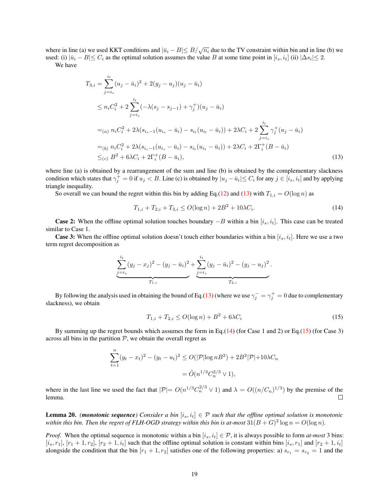where in line (a) we used KKT conditions and  $|\bar{u}_i - B| \leq B/\sqrt{n_i}$  due to the TV constraint within bin and in line (b) we used: (i)  $|\bar{u}_i - B| \le C_i$  as the optimal solution assumes the value B at some time point in  $[i_s, i_t]$  (ii)  $|\Delta s_i| \le 2$ .

We have

$$
T_{3,i} = \sum_{j=i_s}^{i_t} (u_j - \bar{u}_i)^2 + 2(y_j - u_j)(u_j - \bar{u}_i)
$$
  
\n
$$
\leq n_i C_i^2 + 2 \sum_{j=i_s}^{i_t} (-\lambda (s_j - s_{j-1}) + \gamma_j^+)(u_j - \bar{u}_i)
$$
  
\n
$$
=_{(a)} n_i C_i^2 + 2\lambda (s_{i_s-1}(u_{i_s} - \bar{u}_i) - s_{i_t}(u_{i_t} - \bar{u}_i)) + 2\lambda C_i + 2 \sum_{j=i_s}^{i_t} \gamma_j^+(u_j - \bar{u}_i)
$$
  
\n
$$
=_{(b)} n_i C_i^2 + 2\lambda (s_{i_s-1}(u_{i_s} - \bar{u}_i) - s_{i_t}(u_{i_t} - \bar{u}_i)) + 2\lambda C_i + 2\Gamma_i^+(B - \bar{u}_i)
$$
  
\n
$$
\leq_{(c)} B^2 + 6\lambda C_i + 2\Gamma_i^+(B - \bar{u}_i),
$$
\n(13)

where line (a) is obtained by a rearrangement of the sum and line (b) is obtained by the complementary slackness condition which states that  $\gamma_j^+ = 0$  if  $u_j < B$ . Line (c) is obtained by  $|u_j - \bar{u}_i| \le C_i$  for any  $j \in [i_s, i_t]$  and by applying triangle inequality.

So overall we can bound the regret within this bin by adding Eq.[\(12\)](#page-17-2) and [\(13\)](#page-18-1) with  $T_{1,i} = O(\log n)$  as

<span id="page-18-2"></span><span id="page-18-1"></span>
$$
T_{1,i} + T_{2,i} + T_{3,i} \le O(\log n) + 2B^2 + 10\lambda C_i.
$$
\n(14)

**Case 2:** When the offline optimal solution touches boundary  $-B$  within a bin  $[i_s, i_t]$ . This case can be treated similar to Case 1.

**Case 3:** When the offline optimal solution doesn't touch either boundaries within a bin  $[i_s, i_t]$ . Here we use a two term regret decomposition as

$$
\underbrace{\sum_{j=i_s}^{i_t} (y_j - x_j)^2 - (y_j - \bar{u}_i)^2}_{T_{1,i}} + \underbrace{\sum_{j=i_s}^{i_t} (y_j - \bar{u}_i)^2 - (y_j - u_j)^2}_{T_{2,i}}.
$$

By following the analysis used in obtaining the bound of Eq.[\(13\)](#page-18-1) (where we use  $\gamma_j^-=\gamma_j^+=0$  due to complementary slackness), we obtain

<span id="page-18-3"></span>
$$
T_{1,i} + T_{2,i} \le O(\log n) + B^2 + 6\lambda C_i
$$
\n(15)

By summing up the regret bounds which assumes the form in Eq.[\(14\)](#page-18-2) (for Case 1 and 2) or Eq.[\(15\)](#page-18-3) (for Case 3) across all bins in the partition  $P$ , we obtain the overall regret as

$$
\sum_{t=1}^{n} (y_t - x_t)^2 - (y_t - u_t)^2 \le O(|\mathcal{P}| \log nB^2) + 2B^2|\mathcal{P}| + 10\lambda C_n
$$
  
=  $\tilde{O}(n^{1/3}C_n^{2/3} \vee 1),$ 

where in the last line we used the fact that  $|\mathcal{P}| = O(n^{1/3}C_n^{2/3} \vee 1)$  and  $\lambda = O((n/C_n)^{1/3})$  by the premise of the lemma.  $\Box$ 

<span id="page-18-0"></span>**Lemma 20.** *(monotonic sequence*) Consider a bin  $[i_s, i_t] \in \mathcal{P}$  such that the offline optimal solution is monotonic within this bin. Then the regret of FLH-OGD strategy within this bin is at-most  $31(B+G)^2\log n=O(\log n)$ .

*Proof.* When the optimal sequence is monotonic within a bin  $[i_s, i_t] \in \mathcal{P}$ , it is always possible to form *at-most* 3 bins:  $[i_s, r_1], [r_1 + 1, r_2], [r_2 + 1, i_t]$  such that the offline optimal solution is constant within bins  $[i_s, r_1]$  and  $[r_2 + 1, i_t]$ alongside the condition that the bin  $[r_1 + 1, r_2]$  satisfies one of the following properties: a)  $s_{r_1} = s_{r_2} = 1$  and the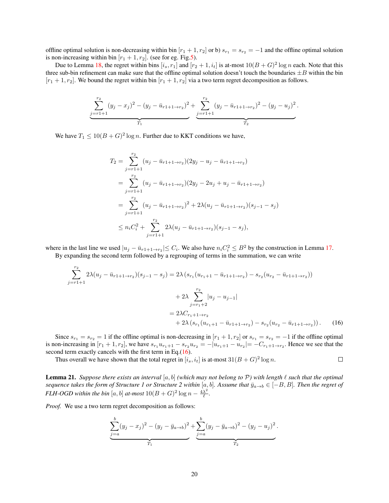offline optimal solution is non-decreasing within bin  $[r_1 + 1, r_2]$  or b)  $s_{r_1} = s_{r_2} = -1$  and the offline optimal solution is non-increasing within bin  $[r_1 + 1, r_2]$ . (see for eg. Fig[.5\)](#page-20-1).

Due to Lemma [18,](#page-17-3) the regret within bins  $[i_s, r_1]$  and  $[r_2 + 1, i_t]$  is at-most  $10(B+G)^2 \log n$  each. Note that this three sub-bin refinement can make sure that the offline optimal solution doesn't touch the boundaries  $\pm B$  within the bin  $[r_1 + 1, r_2]$ . We bound the regret within bin  $[r_1 + 1, r_2]$  via a two term regret decomposition as follows.

$$
\underbrace{\sum_{j=r1+1}^{r_2} (y_j - x_j)^2 - (y_j - \bar{u}_{r1+1 \to r_2})^2}_{T_1} + \underbrace{\sum_{j=r1+1}^{r_2} (y_j - \bar{u}_{r1+1 \to r_2})^2 - (y_j - u_j)^2}_{T_2}.
$$

We have  $T_1 \leq 10(B+G)^2 \log n$ . Further due to KKT conditions we have,

$$
T_2 = \sum_{j=r1+1}^{r_2} (u_j - \bar{u}_{r1+1 \to r_2})(2y_j - u_j - \bar{u}_{r1+1 \to r_2})
$$
  
\n
$$
= \sum_{j=r1+1}^{r_2} (u_j - \bar{u}_{r1+1 \to r_2})(2y_j - 2u_j + u_j - \bar{u}_{r1+1 \to r_2})
$$
  
\n
$$
= \sum_{j=r1+1}^{r_2} (u_j - \bar{u}_{r1+1 \to r_2})^2 + 2\lambda (u_j - \bar{u}_{r1+1 \to r_2})(s_{j-1} - s_j)
$$
  
\n
$$
\leq n_i C_i^2 + \sum_{j=r1+1}^{r_2} 2\lambda (u_j - \bar{u}_{r1+1 \to r_2})(s_{j-1} - s_j),
$$

where in the last line we used  $|u_j - \bar{u}_{r1+1 \to r_2}| \leq C_i$ . We also have  $n_i C_i^2 \leq B^2$  by the construction in Lemma [17.](#page-17-0)

By expanding the second term followed by a regrouping of terms in the summation, we can write

$$
\sum_{j=r1+1}^{r_2} 2\lambda (u_j - \bar{u}_{r1+1 \to r_2})(s_{j-1} - s_j) = 2\lambda (s_{r_1}(u_{r_1+1} - \bar{u}_{r1+1 \to r_2}) - s_{r_2}(u_{r_2} - \bar{u}_{r1+1 \to r_2}))
$$
  
+ 
$$
2\lambda \sum_{j=r_1+2}^{r_2} |u_j - u_{j-1}|
$$
  
= 
$$
2\lambda C_{r_1+1 \to r_2}
$$
  
+ 
$$
2\lambda (s_{r_1}(u_{r_1+1} - \bar{u}_{r1+1 \to r_2}) - s_{r_2}(u_{r_2} - \bar{u}_{r1+1 \to r_2})).
$$
 (16)

Since  $s_{r_1} = s_{r_2} = 1$  if the offline optimal is non-decreasing in  $[r_1 + 1, r_2]$  or  $s_{r_1} = s_{r_2} = -1$  if the offline optimal is non-increasing in  $[r_1 + 1, r_2]$ , we have  $s_{r_1}u_{r_1+1} - s_{r_2}u_{r_2} = -|u_{r_1+1} - u_{r_2}| = -C_{r_1+1 \to r_2}$ . Hence we see that the second term exactly cancels with the first term in Eq.[\(16\)](#page-19-0).  $\Box$ 

Thus overall we have shown that the total regret in  $[i_s, i_t]$  is at-most  $31(B+G)^2 \log n$ .

<span id="page-19-1"></span>**Lemma 21.** Suppose there exists an interval  $[a, b]$  (which may not belong to P) with length  $\ell$  such that the optimal *sequence takes the form of Structure 1 or Structure 2 within* [a, b]. Assume that  $\bar{y}_{a\to b} \in [-B, B]$ . Then the regret of *FLH-OGD within the bin*  $[a, b]$  *at-most*  $10(B+G)^2 \log n - \frac{4\lambda^2}{\ell}$  $\frac{\lambda^2}{\ell}$ .

*Proof.* We use a two term regret decomposition as follows:

<span id="page-19-0"></span>
$$
\underbrace{\sum_{j=a}^{b} (y_j - x_j)^2 - (y_j - \bar{y}_{a \to b})^2}_{T_1} + \underbrace{\sum_{j=a}^{b} (y_j - \bar{y}_{a \to b})^2 - (y_j - u_j)^2}_{T_2}.
$$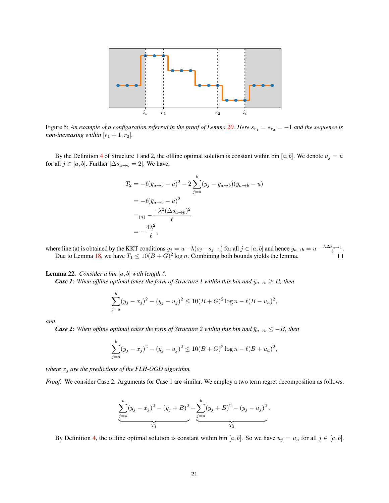<span id="page-20-1"></span>

Figure 5: An example of a configuration referred in the proof of Lemma [20.](#page-18-0) Here  $s_{r_1} = s_{r_2} = -1$  and the sequence is *non-increasing within*  $[r_1 + 1, r_2]$ *.* 

By the Definition [4](#page-4-4) of Structure 1 and 2, the offline optimal solution is constant within bin [a, b]. We denote  $u_j = u$ for all  $j \in [a, b]$ . Further  $|\Delta s_{a\rightarrow b} = 2|$ . We have,

$$
T_2 = -\ell(\bar{y}_{a \to b} - u)^2 - 2\sum_{j=a}^{b} (y_j - \bar{y}_{a \to b})(\bar{y}_{a \to b} - u)
$$
  
=  $-\ell(\bar{y}_{a \to b} - u)^2$   
=  $(a) -\frac{\lambda^2(\Delta s_{a \to b})^2}{\ell}$   
=  $-\frac{4\lambda^2}{\ell}$ ,

where line (a) is obtained by the KKT conditions  $y_j = u - \lambda(s_j - s_{j-1})$  for all  $j \in [a, b]$  and hence  $\bar{y}_{a \to b} = u - \frac{\lambda \Delta s_{a \to b}}{\ell}$ . Due to Lemma [18,](#page-17-3) we have  $T_1 \leq 10(B+G)^2 \log n$ . Combining both bounds yields the lemma.

<span id="page-20-0"></span>**Lemma 22.** *Consider a bin*  $[a, b]$  *with length*  $\ell$ *.* 

*Case 1:* When offline optimal takes the form of Structure 1 within this bin and  $\bar{y}_{a\to b} \geq B$ , then

$$
\sum_{j=a}^{b} (y_j - x_j)^2 - (y_j - u_j)^2 \le 10(B+G)^2 \log n - \ell(B-u_a)^2,
$$

*and*

*Case 2: When offline optimal takes the form of Structure 2 within this bin and*  $\bar{y}_{a\to b} \leq -B$ *, then* 

$$
\sum_{j=a}^{b} (y_j - x_j)^2 - (y_j - u_j)^2 \le 10(B+G)^2 \log n - \ell(B+u_a)^2,
$$

*where*  $x_j$  *are the predictions of the FLH-OGD algorithm.* 

*Proof.* We consider Case 2. Arguments for Case 1 are similar. We employ a two term regret decomposition as follows.

$$
\underbrace{\sum_{j=a}^{b} (y_j - x_j)^2 - (y_j + B)^2}_{T_1} + \underbrace{\sum_{j=a}^{b} (y_j + B)^2 - (y_j - u_j)^2}_{T_2}.
$$

By Definition [4,](#page-4-4) the offline optimal solution is constant within bin [a, b]. So we have  $u_j = u_a$  for all  $j \in [a, b]$ .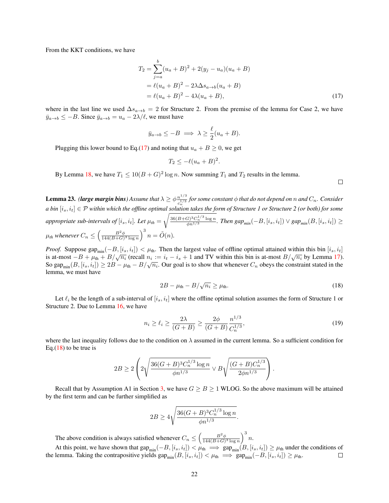From the KKT conditions, we have

$$
T_2 = \sum_{j=a}^{b} (u_a + B)^2 + 2(y_j - u_a)(u_a + B)
$$
  
=  $\ell(u_a + B)^2 - 2\lambda \Delta s_{a \to b}(u_a + B)$   
=  $\ell(u_a + B)^2 - 4\lambda(u_a + B),$  (17)

where in the last line we used  $\Delta s_{a\to b} = 2$  for Structure 2. From the premise of the lemma for Case 2, we have  $\bar{y}_{a\to b} \leq -B$ . Since  $\bar{y}_{a\to b} = u_a - 2\lambda/\ell$ , we must have

$$
\bar{y}_{a \to b} \leq -B \implies \lambda \geq \frac{\ell}{2}(u_a + B).
$$

Plugging this lower bound to Eq.[\(17\)](#page-21-1) and noting that  $u_a + B \ge 0$ , we get

$$
T_2 \leq -\ell(u_a + B)^2.
$$

By Lemma [18,](#page-17-3) we have  $T_1 \leq 10(B+G)^2 \log n$ . Now summing  $T_1$  and  $T_2$  results in the lemma.

<span id="page-21-3"></span><span id="page-21-2"></span><span id="page-21-1"></span> $\Box$ 

<span id="page-21-0"></span>**Lemma 23.** *(large margin bins)* Assume that  $\lambda \geq \phi \frac{n^{1/3}}{c_n^{1/3}}$  $\frac{n^{1/3}}{c_n^{1/3}}$  for some constant  $\phi$  that do not depend on n and  $C_n$ . Consider *a bin*  $[i_s, i_t] \in \mathcal{P}$  within which the offline optimal solution takes the form of Structure 1 or Structure 2 (or both) for some *appropriate sub-intervals of*  $[i_s, i_t]$ *. Let*  $\mu_{th} =$  $\int 36(B+G)^3C_n^{1/3}\log n$  $\frac{f_1^{\beta_1}C_n^{j_1} \log n}{\phi n^{1/3}}$ . Then  $gap_{min}(-B, [i_s, i_t]) \vee gap_{min}(B, [i_s, i_t]) \ge$  $\mu_{th}$  whenever  $C_n \leq \left(\frac{B^2 \phi}{144(B+G)^3 \log n}\right)^3 n = \tilde{O}(n)$ .

*Proof.* Suppose gap<sub>min</sub> $(-B, [i_s, i_t]) < \mu_{\text{th}}$ . Then the largest value of offline optimal attained within this bin  $[i_s, i_t]$ is at-most  $-B + \mu_{th} + B/\sqrt{n_i}$  (recall  $n_i := i_t - i_s + 1$  and TV within this bin is at-most  $B/\sqrt{n_i}$  by Lemma [17\)](#page-17-0). So gap<sub>min</sub> $(B, [i_s, i_t]) \ge 2B - \mu_{\text{th}} - B/\sqrt{n_i}$ . Our goal is to show that whenever  $C_n$  obeys the constraint stated in the lemma, we must have

$$
2B - \mu_{\text{th}} - B/\sqrt{n_i} \ge \mu_{\text{th}}.\tag{18}
$$

Let  $\ell_i$  be the length of a sub-interval of  $[i_s, i_t]$  where the offline optimal solution assumes the form of Structure 1 or Structure 2. Due to Lemma [16,](#page-15-0) we have

$$
n_i \ge \ell_i \ge \frac{2\lambda}{(G+B)} \ge \frac{2\phi}{(G+B)} \frac{n^{1/3}}{C_n^{1/3}},\tag{19}
$$

where the last inequality follows due to the condition on  $\lambda$  assumed in the current lemma. So a sufficient condition for Eq. $(18)$  to be true is

$$
2B \ge 2\left(2\sqrt{\frac{36(G+B)^3C_n^{1/3}\log n}{\phi n^{1/3}}}\vee B\sqrt{\frac{(G+B)C_n^{1/3}}{2\phi n^{1/3}}}\right).
$$

Recall that by Assumption A1 in Section [3,](#page-2-0) we have  $G \geq B \geq 1$  WLOG. So the above maximum will be attained by the first term and can be further simplified as

$$
2B \ge 4\sqrt{\frac{36(G+B)^3C_n^{1/3}\log n}{\phi n^{1/3}}}.
$$

The above condition is always satisfied whenever  $C_n \leq \left(\frac{B^2\phi}{144(B+G)^3\log n}\right)^3 n$ .

At this point, we have shown that  $\text{gap}_{\text{min}}(-B, [i_s, i_t]) < \mu_{\text{th}} \implies \text{gap}_{\text{min}}(B, [i_s, i_t]) \ge \mu_{\text{th}}$  under the conditions of the lemma. Taking the contrapositive yields  $\text{gap}_{\text{min}}(B, [i_s, i_t]) < \mu_{\text{th}} \implies \text{gap}_{\text{min}}(-B, [i_s, i_t]) \ge \mu_{\text{th}}$ .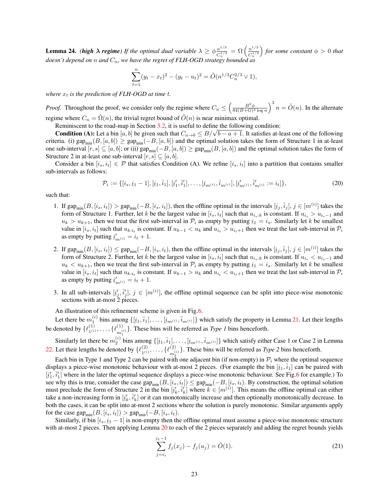<span id="page-22-0"></span>**Lemma 24.** *(high*  $\lambda$  *regime)* If the optimal dual variable  $\lambda \geq \phi \frac{n^{1/3}}{C_n^{1/3}}$  $\frac{n^{1/3}}{C_n^{1/3}} = \Omega\left(\frac{n^{1/3}}{C_n^{1/3}}\right)$ n n *doesn't depend on* n *and* Cn*, we have the regret of FLH-OGD strategy bounded as*  $\frac{n^{1/3}}{C_n^{1/3}}$  for some constant  $\phi > 0$  that

$$
\sum_{t=1}^{n} (y_t - x_t)^2 - (y_t - u_t)^2 = \tilde{O}(n^{1/3} C_n^{2/3} \vee 1),
$$

*where*  $x_t$  *is the prediction of FLH-OGD at time t.* 

*Proof.* Throughout the proof, we consider only the regime where  $C_n \leq \left(\frac{B^2 \phi}{84(B+G)^3 \log n}\right)^3 n = \tilde{O}(n)$ . In the alternate regime where  $C_n = \tilde{\Omega}(n)$ , the trivial regret bound of  $\tilde{O}(n)$  is near minimax optimal.

Reminiscent to the road-map in Section [3.2,](#page-3-0) it is useful to define the following condition:

**Condition (A):** Let a bin [a, b] be given such that  $C_{a\to b} \leq B/\sqrt{b-a+1}$ . It satisfies at-least one of the following criteria. (i) gap<sub>min</sub> $(B, [a, b]) \ge$  gap<sub>min</sub> $(-B, [a, b])$  and the optimal solution takes the form of Structure 1 in at-least one sub-interval  $[r, s] \subseteq [a, b]$ ; or (ii)  $\text{gap}_{\text{min}}(-B, [a, b]) \geq \text{gap}_{\text{min}}(B, [a, b])$  and the optimal solution takes the form of Structure 2 in at-least one sub-interval  $[r, s] \subseteq [a, b]$ .

Consider a bin  $[i_s, i_t] \in \mathcal{P}$  that satisfies Condition (A). We refine  $[i_s, i_t]$  into a partition that contains smaller sub-intervals as follows:

$$
\mathcal{P}_i := \{ [i_s, \underline{i}_1 - 1], [i_1, \overline{i}_1], [i'_1, \overline{i}'_1], \dots, [i_{m^{(i)}}, \overline{i}_{m^{(i)}}], [i'_{m^{(i)}}, \overline{i}'_{m^{(i)}} := i_t] \},\tag{20}
$$

such that:

- 1. If  $\text{gap}_{\text{min}}(B, [i_s, i_t]) > \text{gap}_{\text{min}}(-B, [i_s, i_t])$ , then the offline optimal in the intervals  $[i_j, \bar{i}_j]$ ,  $j \in [m^{(i)}]$  takes the  $\sum_{i=1}^{\infty} \sum_{i=1}^{\infty} \sum_{i=1}^{\infty} \sum_{i=1}^{\infty} \sum_{j=1}^{\infty} \sum_{i=1}^{\infty} \sum_{j=1}^{\infty} \sum_{i=1}^{\infty} \sum_{j=1}^{\infty} \sum_{j=1}^{\infty} \sum_{j=1}^{\infty} \sum_{j=1}^{\infty} \sum_{j=1}^{\infty} \sum_{j=1}^{\infty} \sum_{j=1}^{\infty} \sum_{j=1}^{\infty} \sum_{j=1}^{\infty} \sum_{j=1}^{\infty} \sum_{$  $u_k > u_{k+1}$ , then we treat the first sub-interval in  $\mathcal{P}_i$  as empty by putting  $\underline{i}_1 = i_s$ . Similarly let k be smallest value in  $[i_s, i_t]$  such that  $u_{k:i_t}$  is constant. If  $u_{k-1} < u_k$  and  $u_{i_t} > u_{i_t+1}$  then we treat the last sub-interval in  $\mathcal{P}_i$  and  $u_{i_t} > u_{i_t+1}$  then we treat the last sub-interval in  $\mathcal{P}_i$ as empty by putting  $\underline{i}'_{m(i)} = i_t + 1$ .
- 2. If  $\text{gap}_{\text{min}}(B, [i_s, i_t]) \leq \text{gap}_{\text{min}}(-B, [i_s, i_t])$ , then the offline optimal in the intervals  $[i_j, \bar{i}_j]$ ,  $j \in [m^{(i)}]$  takes the  $\sum_{i=1}^{\infty} \sum_{i=1}^{\infty} \sum_{i=1}^{\infty} \sum_{i=1}^{\infty} \sum_{i=1}^{\infty} \sum_{i=1}^{\infty} \sum_{i=1}^{\infty} \sum_{i=1}^{\infty} \sum_{i=1}^{\infty} \sum_{i=1}^{\infty} \sum_{i=1}^{\infty} \sum_{i=1}^{\infty} \sum_{i=1}^{\infty} \sum_{i=1}^{\infty} \sum_{i=1}^{\infty} \sum_{i=1}^{\infty} \sum_{i=1}^{\infty} \sum_{i=1}^{\infty} \sum_{$  $u_k < u_{k+1}$ , then we treat the first sub-interval in  $\mathcal{P}_i$  as empty by putting  $\underline{i}_1 = i_s$ . Similarly let k be smallest value in  $[i_s, i_t]$  such that  $u_{k:i_t}$  is constant. If  $u_{k-1} > u_k$  and  $u_{i_t} < u_{i_t+1}$  then we treat the last sub-interval in  $\mathcal{P}_i$  and  $u_{i_t}$ as empty by putting  $\underline{i}'_{m^{(i)}} = \underline{i}_t + 1$ .
- 3. In all sub-intervals  $[i'_j, \bar{i}'_j]$ ,  $j \in [m^{(i)}]$ , the offline optimal sequence can be split into piece-wise monotonic  $\lim_{y \to 0} \lim_{y \to 0} \lim_{y \to 0} \lim_{y \to 0} \lim_{y \to 0} \lim_{y \to 0} \lim_{y \to 0} \lim_{y \to 0} \lim_{y \to 0} \lim_{y \to 0} \lim_{y \to 0} \lim_{y \to 0} \lim_{y \to 0} \lim_{y \to 0} \lim_{y \to 0} \lim_{y \to 0} \lim_{y \to 0} \lim_{y \to 0} \lim_{y \to 0} \lim_{y \to 0} \lim_{y \to 0} \lim_{y \to 0} \lim_{y \to 0} \lim_{y \to 0} \lim_{y$

An illustration of this refinement scheme is given in Fig[.6.](#page-24-0)

Let there be  $m_1^{(i)}$  bins among  $\{[\underline{i}_1, \overline{i}_1], \dots, [\underline{i}_{m^{(i)}}, \overline{i}_{m^{(i)}}]\}$  which satisfy the property in Lemma [21.](#page-19-1) Let their lengths be denoted by  $\{\ell_{1^{(i)}}^{(1)}\}$  $\{\ell_{1^{(i)}}^{(1)},\ldots,\ell_{m}^{(1)}\}$  $\binom{1}{m_1(i)}$ . These bins will be referred as *Type 1* bins henceforth.

Similarly let there be  $m_2^{(i)}$  bins among  $\{[\underline{i}_1, \overline{i}_1], \ldots, [\underline{i}_{m^{(i)}}, \overline{i}_{m^{(i)}}]\}$  which satisfy either Case 1 or Case 2 in Lemma [22.](#page-20-0) Let their lengths be denoted by  $\{\ell_{1(i)}^{(2)}\}$  $\{\ell_{1^{(i)}}^{(2)},\ldots,\{\ell_{m_{i}}^{(2)}\}$  $\binom{2}{m_2^{(i)}}$ . These bins will be referred as *Type 2* bins henceforth.

Each bin in Type 1 and Type 2 can be paired with one adjacent bin (if non-empty) in  $P_i$  where the optimal sequence displays a piece-wise monotonic behaviour with at-most 2 pieces. (For example the bin  $[\underline{i}_1, \overline{i}_1]$  can be paired with  $[i'_1, \bar{i}'_1]$  where in the later the optimal sequence displays a piece-wise monotonic behaviour. See Fig[.6](#page-24-0) for example.) To see why this is true, consider the case  $\text{gap}_{\text{min}}(B, [i_s, i_t]) \leq \text{gap}_{\text{min}}(-B, [i_s, i_t)$ . By construction, the optimal solution must preclude the form of Structure 2 in the bin  $[\underline{i}'_k, \overline{i}'_k]$  where  $k \in [m^{(i)}]$ . This means the offline optimal can either take a non-increasing form in  $[\underline{i}'_k, \overline{i}'_k]$  or it can monotonically increase and then optionally monotonically decrease. In  $\sum_{k=1}^{\infty}$  of  $k$  can be split into at-most 2 sections where the solution is purely monotonic. Similar arguments apply both the cases, it can be split into at-most 2 sections where the solution is purely monotonic. Si for the case gap<sub>min</sub> $(B, [i_s, i_t]) >$  gap<sub>min</sub> $(-B, [i_s, i_t])$ .

Similarly, if bin  $[i_s, i_1 - 1]$  is non-empty then the offline optimal must assume a piece-wise monotonic structure with at-most 2 pieces. Then applying Lemma  $20$  to each of the 2 pieces separately and adding the regret bounds yields

<span id="page-22-1"></span>
$$
\sum_{j=i_s}^{i_1-1} f_j(x_j) - f_j(u_j) = \tilde{O}(1).
$$
\n(21)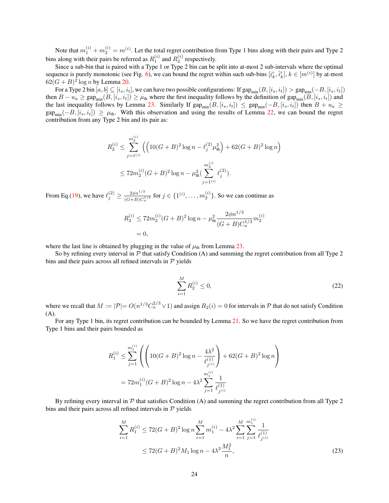Note that  $m_1^{(i)} + m_2^{(i)} = m^{(i)}$ . Let the total regret contribution from Type 1 bins along with their pairs and Type 2 bins along with their pairs be referred as  $R_1^{(i)}$  and  $R_2^{(i)}$  respectively.

Since a sub-bin that is paired with a Type 1 or Type 2 bin can be split into at-most 2 sub-intervals where the optimal sequence is purely monotonic (see Fig. [6\)](#page-24-0), we can bound the regret within such sub-bins  $[\underline{i}'_k, \overline{i}'_k]$ ,  $k \in [m^{(i)}]$  by at-most  $62(C + R)^2 \log n$  by I amma 20  $62(G+B)^2\log n$  by Lemma [20.](#page-18-0)

For a Type 2 bin  $[a, b] \subseteq [i_s, i_t]$ , we can have two possible configurations: If  $\text{gap}_{\text{min}}(B, [i_s, i_t]) > \text{gap}_{\text{min}}(-B, [i_s, i_t])$ then  $B - u_a \ge \text{gap}_{\text{min}}(B, [i_s, i_t]) \ge \mu_{\text{th}}$  where the first inequality follows by the definition of  $\text{gap}_{\text{min}}(B, [i_s, i_t])$  and the last inequality follows by Lemma [23.](#page-21-0) Similarly If  $\text{gap}_{\text{min}}(B, [i_s, i_t]) \leq \text{gap}_{\text{min}}(-B, [i_s, i_t])$  then  $B + u_a \geq$  $\text{gap}_{\text{min}}(-B, [i_s, i_t]) \ge \mu_{\text{th}}$ . With this observation and using the results of Lemma [22,](#page-20-0) we can bound the regret contribution from any Type 2 bin and its pair as:

$$
R_2^{(i)} \le \sum_{j=1^{(i)}}^{m_2^{(i)}} \left( \left( 10(G+B)^2 \log n - \ell_j^{(2)} \mu_{\text{th}}^2 \right) + 62(G+B)^2 \log n \right)
$$
  

$$
\le 72m_2^{(i)}(G+B)^2 \log n - \mu_{\text{th}}^2 \left( \sum_{j=1^{(i)}}^{m_2^{(i)}} \ell_j^{(2)} \right).
$$

From Eq.[\(19\)](#page-21-3), we have  $\ell_j^{(2)} \ge \frac{2\phi n^{1/3}}{(G+B)C_s^3}$  $\frac{2\phi n^{1/3}}{(G+B)C_n^{1/3}}$  for  $j \in \{1^{(i)}, \ldots, m_2^{(i)}\}$ . So we can continue as

$$
R_2^{(i)} \le 72m_2^{(i)}(G+B)^2 \log n - \mu_{\text{th}}^2 \frac{2\phi n^{1/3}}{(G+B)C_n^{1/3}} m_2^{(i)}
$$
  
= 0,

where the last line is obtained by plugging in the value of  $\mu_{\text{th}}$  from Lemma [23.](#page-21-0)

So by refining every interval in  $P$  that satisfy Condition (A) and summing the regret contribution from all Type 2 bins and their pairs across all refined intervals in  $P$  yields

<span id="page-23-1"></span>
$$
\sum_{i=1}^{M} R_2^{(i)} \le 0,\tag{22}
$$

where we recall that  $M := |\mathcal{P}| = O(n^{1/3} C_n^{2/3} \vee 1)$  and assign  $R_2(i) = 0$  for intervals in  $\mathcal{P}$  that do not satisfy Condition (A).

For any Type 1 bin, its regret contribution can be bounded by Lemma [21.](#page-19-1) So we have the regret contribution from Type 1 bins and their pairs bounded as

$$
R_1^{(i)} \le \sum_{j=1}^{m_1^{(i)}} \left( \left( 10(G+B)^2 \log n - \frac{4\lambda^2}{\ell_{j^{(i)}}^{(1)}} \right) + 62(G+B)^2 \log n \right)
$$
  
=  $72m_1^{(i)}(G+B)^2 \log n - 4\lambda^2 \sum_{j=1}^{m_1^{(i)}} \frac{1}{\ell_{j^{(i)}}^{(1)}}$ 

By refining every interval in  $P$  that satisfies Condition (A) and summing the regret contribution from all Type 2 bins and their pairs across all refined intervals in  $P$  yields

<span id="page-23-0"></span>
$$
\sum_{i=1}^{M} R_1^{(i)} \le 72(G+B)^2 \log n \sum_{i=1}^{M} m_1^{(i)} - 4\lambda^2 \sum_{i=1}^{M} \sum_{j=1}^{m_1^{(i)}} \frac{1}{\ell_{j^{(i)}}^{(1)}}
$$
  
 
$$
\le 72(G+B)^2 M_1 \log n - 4\lambda^2 \frac{M_1^2}{n},
$$
 (23)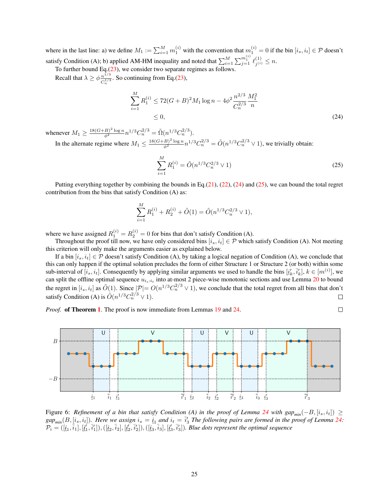where in the last line: a) we define  $M_1 := \sum_{i=1}^M m_1^{(i)}$  with the convention that  $m_1^{(i)} = 0$  if the bin  $[i_s, i_t] \in \mathcal{P}$  doesn't satisfy Condition (A); b) applied AM-HM inequality and noted that  $\sum_{i=1}^{M} \sum_{j=1}^{m_1^{(i)}} \ell_{j^{(i)}}^{(1)}$  $j^{(1)} \leq n$ .

To further bound Eq.[\(23\)](#page-23-0), we consider two separate regimes as follows. Recall that  $\lambda \geq \phi \frac{n^{1/3}}{C_n^{1/3}}$  $\frac{n^{1/9}}{C_n^{1/3}}$ . So continuing from Eq.[\(23\)](#page-23-0),

$$
\sum_{i=1}^{M} R_1^{(i)} \le 72(G+B)^2 M_1 \log n - 4\phi^2 \frac{n^{2/3}}{C_n^{2/3}} \frac{M_1^2}{n}
$$
\n
$$
\le 0,
$$
\n(24)

whenever  $M_1 \ge \frac{18(G+B)^2 \log n}{\phi^2} n^{1/3} C_n^{2/3} = \tilde{\Omega}(n^{1/3} C_n^{2/3}).$ 

In the alternate regime where  $M_1 \leq \frac{18(G+B)^2 \log n}{\phi^2} n^{1/3} C_n^{2/3} = \tilde{O}(n^{1/3} C_n^{2/3} \vee 1)$ , we trivially obtain:

<span id="page-24-1"></span>
$$
\sum_{i=1}^{M} R_1^{(i)} = \tilde{O}(n^{1/3} C_n^{2/3} \vee 1)
$$
\n(25)

Putting everything together by combining the bounds in Eq.[\(21\)](#page-22-1), [\(22\)](#page-23-1), [\(24\)](#page-24-1) and [\(25\)](#page-24-2), we can bound the total regret contribution from the bins that satisfy Condition (A) as:

$$
\sum_{i=1}^{M} R_1^{(i)} + R_2^{(i)} + \tilde{O}(1) = \tilde{O}(n^{1/3} C_n^{2/3} \vee 1),
$$

where we have assigned  $R_1^{(i)} = R_2^{(i)} = 0$  for bins that don't satisfy Condition (A).

Throughout the proof till now, we have only considered bins  $[i_s, i_t] \in \mathcal{P}$  which satisfy Condition (A). Not meeting this criterion will only make the arguments easier as explained below.

If a bin  $[i_s, i_t] \in \mathcal{P}$  doesn't satisfy Condition (A), by taking a logical negation of Condition (A), we conclude that this can only happen if the optimal solution precludes the form of either Structure 1 or Structure 2 (or both) within some sub-interval of  $[i_s, i_t]$ . Consequently by applying similar arguments we used to handle the bins  $[i'_k, \bar{i}'_k]$ ,  $k \in [m^{(i)}]$ , we can split the offline optimal sequence  $u_{i_s:i_t}$  into at-most 2 piece-wise monotonic sections and use Lemma [20](#page-18-0) to bound the regret in  $[i_s, i_t]$  as  $\tilde{O}(1)$ . Since  $|\mathcal{P}| = O(n^{1/3}C_n^{2/3} \vee 1)$ , we conclude that the total regret from all bins that don't satisfy Condition (A) is  $\tilde{O}(n^{1/3}C_n^{2/3} \vee 1)$ .  $\Box$ 

*Proof.* of Theorem [1](#page-2-2). The proof is now immediate from Lemmas [19](#page-17-1) and [24.](#page-22-0)

<span id="page-24-2"></span>

<span id="page-24-0"></span>

Figure 6: *Refinement of a bin that satisfy Condition (A) in the proof of Lemma [24](#page-22-0) with*  $gap_{min}(-B, [i_s, i_t])$  *≥*  $gap_{min}(B, [i_s, i_t])$ . Here we assign  $i_s = i_1$  and  $i_t = \overline{i}'_3$  The following pairs are formed in the proof of Lemma [24:](#page-22-0)  $\mathcal{P}_i = ([\underline{i}_1,\overline{i}_1], [\underline{i}'_1,\overline{i}'_1]),([\underline{i}_2,\overline{i}_2], [\underline{i}'_2,\overline{i}'_2]),([\underline{i}_3,\overline{i}_3], [\underline{i}'_3,\overline{i}'_3]).$  Blue dots represent the optimal sequence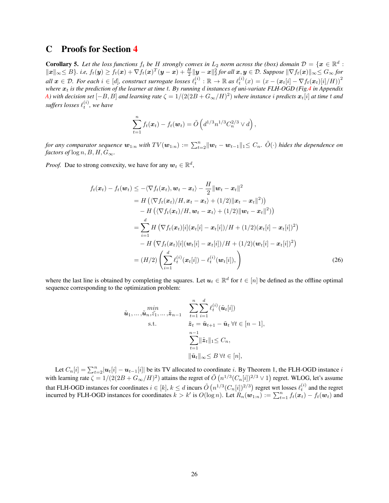### <span id="page-25-0"></span>C Proofs for Section [4](#page-6-2)

**Corollary 5.** Let the loss functions  $f_t$  be H strongly convex in  $L_2$  norm across the (box) domain  $\mathcal{D} = \{x \in \mathbb{R}^d :$  $\|{\boldsymbol x}\|_\infty \le B\}$ . i.e,  $f_t({\boldsymbol y}) \ge f_t({\boldsymbol x}) + \nabla f_t({\boldsymbol x})^T({\boldsymbol y}-{\boldsymbol x}) + \frac{H}{2}\|{\boldsymbol y}-{\boldsymbol x}\|_2^2$  for all  ${\boldsymbol x},{\boldsymbol y} \in \mathcal{D}$ . Suppose  $\|\nabla f_t({\boldsymbol x})\|_\infty \le G_\infty$  for  $all \ x \in \mathcal{D}$ . For each  $i \in [d]$ , construct surrogate losses  $\ell_t^{(i)} : \mathbb{R} \to \mathbb{R}$  as  $\ell_t^{(i)}(x) = (x - (x_t[i] - \nabla f_t(x_t)[i]/H))^2$ *where* x<sup>t</sup> *is the prediction of the learner at time* t*. By running* d *instances of uni-variate FLH-OGD (Fig[.4](#page-13-2) in Appendix A*) with decision set  $[-B, B]$  and learning rate  $\zeta = 1/(2(2B + G_{\infty}/H)^2)$  where instance i predicts  $x_t[i]$  at time t and suffers losses  $\ell_t^{(i)}$ , we have

$$
\sum_{t=1}^n f_t(\boldsymbol{x}_t) - f_t(\boldsymbol{w}_t) = \tilde{O}\left(d^{1/3}n^{1/3}C_n^{2/3} \vee d\right),
$$

*for any comparator sequence*  $w_{1:n}$  *with*  $TV(w_{1:n}) := \sum_{t=2}^{n} ||w_t - w_{t-1}||_1 \leq C_n$ .  $\tilde{O}(\cdot)$  *hides the dependence on factors of*  $\log n, B, H, G_{\infty}$ *.* 

*Proof.* Due to strong convexity, we have for any  $w_t \in \mathbb{R}^d$ ,

$$
f_t(\boldsymbol{x}_t) - f_t(\boldsymbol{w}_t) \le -\langle \nabla f_t(\boldsymbol{x}_t), \boldsymbol{w}_t - \boldsymbol{x}_t \rangle - \frac{H}{2} || \boldsymbol{w}_t - \boldsymbol{x}_t ||^2
$$
  
\n
$$
= H\left( \langle \nabla f_t(\boldsymbol{x}_t) / H, \boldsymbol{x}_t - \boldsymbol{x}_t \rangle + (1/2) || \boldsymbol{x}_t - \boldsymbol{x}_t ||^2 \right) \right)
$$
  
\n
$$
- H\left( \langle \nabla f_t(\boldsymbol{x}_t) / H, \boldsymbol{w}_t - \boldsymbol{x}_t \rangle + (1/2) || \boldsymbol{w}_t - \boldsymbol{x}_t ||^2 \right) \right)
$$
  
\n
$$
= \sum_{i=1}^d H\left( \nabla f_t(\boldsymbol{x}_t) [i] (\boldsymbol{x}_t[i] - \boldsymbol{x}_t[i]) / H + (1/2) (\boldsymbol{x}_t[i] - \boldsymbol{x}_t[i])^2 \right)
$$
  
\n
$$
- H\left( \nabla f_t(\boldsymbol{x}_t) [i] (\boldsymbol{w}_t[i] - \boldsymbol{x}_t[i]) / H + (1/2) (\boldsymbol{w}_t[i] - \boldsymbol{x}_t[i])^2 \right)
$$
  
\n
$$
= (H/2) \left( \sum_{i=1}^d \ell_t^{(i)}(\boldsymbol{x}_t[i]) - \ell_t^{(i)}(\boldsymbol{w}_t[i]), \right)
$$
(26)

where the last line is obtained by completing the squares. Let  $u_t \in \mathbb{R}^d$  for  $t \in [n]$  be defined as the offline optimal sequence corresponding to the optimization problem:

<span id="page-25-1"></span>
$$
\tilde{u}_1, \dots, \tilde{u}_n, \tilde{z}_1, \dots, \tilde{z}_{n-1} \quad \sum_{t=1}^n \sum_{i=1}^d \ell_t^{(i)}(\tilde{u}_t[i])
$$
\ns.t.\n
$$
\tilde{z}_t = \tilde{u}_{t+1} - \tilde{u}_t \,\forall t \in [n-1],
$$
\n
$$
\sum_{t=1}^{n-1} \|\tilde{z}_t\|_1 \leq C_n,
$$
\n
$$
\|\tilde{u}_t\|_{\infty} \leq B \,\forall t \in [n],
$$

Let  $C_n[i] = \sum_{t=2}^n |u_t[i] - u_{t-1}[i]|$  be its TV allocated to coordinate i. By Theorem 1, the FLH-OGD instance i with learning rate  $\zeta = 1/(2(2B + G_{\infty}/H)^2)$  attains the regret of  $\tilde{O}(n^{1/3}(C_n[i])^{2/3} \vee 1)$  regret. WLOG, let's assume that FLH-OGD instances for coordinates  $i \in [k]$ ,  $k \le d$  incurs  $\tilde{O}(n^{1/3}(C_n[i])^{2/3})$  regret wrt losses  $\ell_t^{(i)}$  and the regret incurred by FLH-OGD instances for coordinates  $k > k'$  is  $O(\log n)$ . Let  $R_n(\mathbf{w}_{1:n}) := \sum_{t=1}^n f_t(\mathbf{x}_t) - f_t(\mathbf{w}_t)$  and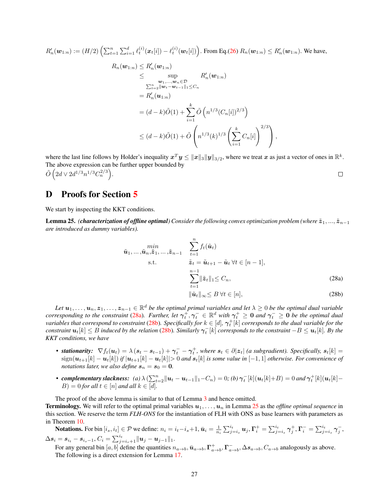$R'_n(\boldsymbol{w}_{1:n}) := (H/2) \left( \sum_{t=1}^n \sum_{i=1}^d \ell_t^{(i)}(\boldsymbol{x}_t[i]) - \ell_t^{(i)}(\boldsymbol{w}_t[i]) \right)$ . From Eq.[\(26\)](#page-25-1)  $R_n(\boldsymbol{w}_{1:n}) \le R'_n(\boldsymbol{w}_{1:n})$ . We have,

$$
R_n(\mathbf{w}_{1:n}) \leq R'_n(\mathbf{w}_{1:n})
$$
  
\n
$$
\leq \sup_{\substack{\mathbf{w}_1, \dots, \mathbf{w}_n \in \mathcal{D} \\ \sum_{t=2}^n ||\mathbf{w}_t - \mathbf{w}_{t-1}||_1 \leq C_n}} R'_n(\mathbf{w}_{1:n})
$$
  
\n
$$
= R'_n(\mathbf{u}_{1:n})
$$
  
\n
$$
= (d - k)\tilde{O}(1) + \sum_{i=1}^k \tilde{O}\left(n^{1/3}(C_n[i])^{2/3}\right)
$$
  
\n
$$
\leq (d - k)\tilde{O}(1) + \tilde{O}\left(n^{1/3}(k)^{1/3}\left(\sum_{i=1}^k C_n[i]\right)^{2/3}\right),
$$

where the last line follows by Holder's inequality  $x^T y \leq \|x\|_3 \|y\|_{3/2}$ , where we treat  $x$  as just a vector of ones in  $\mathbb{R}^k$ . The above expression can be further upper bounded by  $\tilde{O}\left(2d\vee 2d^{1/3}n^{1/3}C_n^{2/3}\right)$ .  $\Box$ 

### <span id="page-26-0"></span>D Proofs for Section [5](#page-8-2)

We start by inspecting the KKT conditions.

<span id="page-26-1"></span>**Lemma 25.** *(characterization of offline optimal)* Consider the following convex optimization problem (where  $\tilde{z}_1, ..., \tilde{z}_{n-1}$ *are introduced as dummy variables).*

<span id="page-26-3"></span><span id="page-26-2"></span>
$$
\tilde{u}_1, \dots, \tilde{u}_n, \tilde{z}_1, \dots, \tilde{z}_{n-1} \quad \sum_{t=1}^n f_t(\tilde{u}_t)
$$
\n
$$
\text{s.t.} \qquad \tilde{z}_t = \tilde{u}_{t+1} - \tilde{u}_t \,\forall t \in [n-1],
$$
\n
$$
\sum_{t=1}^{n-1} \|\tilde{z}_t\|_1 \leq C_n,
$$
\n
$$
\|\tilde{u}_t\|_{\infty} \leq B \,\forall t \in [n],
$$
\n(28a)

Let  $u_1, \ldots, u_n, z_1, \ldots, z_{n-1} \in \mathbb{R}^d$  *be the optimal primal variables and let*  $\lambda \geq 0$  *be the optimal dual variable corresponding to the constraint* [\(28a\)](#page-26-2). Further, let  $\gamma_t^+,\gamma_t^- \in \mathbb{R}^d$  with  $\gamma_t^+ \geq 0$  and  $\gamma_t^- \geq 0$  be the optimal dual *variables that correspond to constraint* [\(28b\)](#page-26-3). Specifically for  $k \in [d]$ ,  $\gamma_t^+[k]$  corresponds to the dual variable for the  $constant$   $u_t[k] \leq B$  induced by the relation [\(28b\)](#page-26-3). Similarly  $\gamma_t^{-}[k]$  corresponds to the constraint  $-B \leq u_t[k]$ . By the *KKT conditions, we have*

- *stationarity:*  $\nabla f_t(u_t) = \lambda (s_t s_{t-1}) + \gamma_t^- \gamma_t^+$ , where  $s_t \in \partial |z_t|$  *(a subgradient). Specifically,*  $s_t[k] =$  $\sup(u_{t+1}[k] - u_t[k])$  *if*  $|u_{t+1}[k] - u_t[k]| > 0$  *and*  $s_t[k]$  *is some value in*  $[-1, 1]$  *otherwise. For convenience of notations later, we also define*  $s_n = s_0 = 0$ .
- **complementary slackness:** (a)  $\lambda (\sum_{t=2}^{n} ||u_t u_{t-1}||_1 C_n) = 0$ ; (b)  $\gamma_t^{-}[k](u_t[k]+B) = 0$  and  $\gamma_t^{+}[k](u_t[k]+C_n)$  $B$ ) = 0 *for all*  $t \in [n]$  *and all*  $k \in [d]$ *.*

The proof of the above lemma is similar to that of Lemma [3](#page-3-4) and hence omitted.

**Terminology.** We will refer to the optimal primal variables  $u_1, \ldots, u_n$  in Lemma [25](#page-26-1) as the *offline optimal sequence* in this section. We reserve the term *FLH-ONS* for the instantiation of FLH with ONS as base learners with parameters as in Theorem [10.](#page-9-0)

Notations. For bin  $[i_s, i_t] \in \mathcal{P}$  we define:  $n_i = i_t - i_s + 1$ ,  $\bar{u}_i = \frac{1}{n_i} \sum_{j=i_s}^{i_t} u_j$ ,  $\Gamma_i^+ = \sum_{j=i_s}^{i_t} \gamma_j^+$ ,  $\Gamma_i^- = \sum_{j=i_s}^{i_t} \gamma_j^-$ ,  $\Delta \boldsymbol{s}_{i} = \boldsymbol{s}_{i_{t}} - \boldsymbol{s}_{i_{s}-1}, C_{i} = \sum_{j=i_{s}+1}^{i_{t}} \lVert \boldsymbol{u}_{j} - \boldsymbol{u}_{j-1} \rVert_{1}.$ 

For any general bin  $[a, b]$  define the quantities  $n_{a\to b}$ ,  $\bar{\mathbf{u}}_{a\to b}$ ,  $\Gamma^+_{a\to b}$ ,  $\Gamma^-_{a\to b}$ ,  $\Delta s_{a\to b}$ ,  $C_{a\to b}$  analogously as above. The following is a direct extension for Lemma [17.](#page-17-0)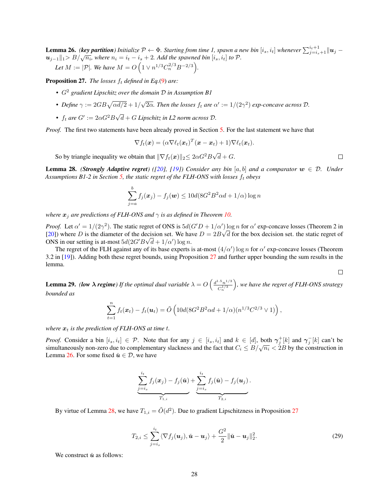<span id="page-27-0"></span>**Lemma 26.** *(key partition)* Initialize  $P \leftarrow \Phi$ . Starting from time 1, spawn a new bin  $[i_s, i_t]$  whenever  $\sum_{j=i_s+1}^{i_t+1} ||u_j - u_j||$  $u_{j-1}$ ||1>  $B/\sqrt{n_i}$ , where  $n_i = i_t - i_s + 2$ . Add the spawned bin  $[i_s, i_t]$  to  $\mathcal{P}$ . *Let*  $M := |\mathcal{P}|$ *. We have*  $M = O\left(1 \vee n^{1/3} C_n^{2/3} B^{-2/3}\right)$ *.* 

<span id="page-27-2"></span>**Proposition 27.** *The losses*  $f_t$  *defined in Eq.*[\(9\)](#page-8-3) *are:* 

• <sup>G</sup><sup>2</sup> *gradient Lipschitz over the domain* <sup>D</sup> *in Assumption B1*

• Define  $\gamma := 2GB\sqrt{\alpha d/2} + 1/\sqrt{2\alpha}$ . Then the losses  $f_t$  are  $\alpha':= 1/(2\gamma^2)$  exp-concave across  $\mathcal{D}$ .

•  $f_t$  are  $G' := 2\alpha G^2 B\sqrt{d} + G$  *Lipschitz in L2 norm across*  $D$ .

*Proof.* The first two statements have been already proved in Section [5.](#page-8-2) For the last statement we have that

$$
\nabla f_t(\boldsymbol{x}) = (\alpha \nabla \ell_t(\boldsymbol{x}_t)^T (\boldsymbol{x} - \boldsymbol{x}_t) + 1) \nabla \ell_t(\boldsymbol{x}_t).
$$

So by triangle inequality we obtain that  $\|\nabla f_t(\boldsymbol{x})\|_2 \leq 2\alpha G^2 B \sqrt{d} + G$ .

<span id="page-27-3"></span>**Lemma 28.** *(Strongly Adaptive regret)* ([\[20\]](#page-11-13), [\[19\]](#page-11-3)) Consider any bin [a, b] and a comparator  $w \in \mathcal{D}$ . Under Assumptions B1-2 in Section [5,](#page-8-2) the static regret of the FLH-ONS with losses  $f_t$  obeys

$$
\sum_{j=a}^{b} f_j(\boldsymbol{x}_j) - f_j(\boldsymbol{w}) \le 10d(8G^2B^2\alpha d + 1/\alpha)\log n
$$

*where*  $x_j$  *are predictions of FLH-ONS and*  $\gamma$  *is as defined in Theorem [10.](#page-9-0)* 

*Proof.* Let  $\alpha' = 1/(2\gamma^2)$ . The static regret of ONS is  $5d(G'D + 1/\alpha') \log n$  for  $\alpha'$  exp-concave losses (Theorem 2 in [\[20\]](#page-11-13)) where D is the diameter of the decision set. We have  $D = 2B\sqrt{d}$  for the box decision set. the static regret of  $[20]$ ONS in our setting is at-most  $5d(2G'B\sqrt{d}+1/\alpha')\log n$ .

The regret of the FLH against any of its base experts is at-most  $(4/\alpha') \log n$  for  $\alpha'$  exp-concave losses (Theorem 3.2 in [\[19\]](#page-11-3)). Adding both these regret bounds, using Proposition [27](#page-27-2) and further upper bounding the sum results in the lemma.

<span id="page-27-1"></span>**Lemma 29.** *(low*  $\lambda$  *regime)* If the optimal dual variable  $\lambda = O\left(\frac{d^{1.5}n^{1/3}}{C^{1/3}}\right)$  $C_n^{1/3}$  *, we have the regret of FLH-ONS strategy bounded as*

$$
\sum_{t=1}^{n} f_t(\boldsymbol{x}_t) - f_t(\boldsymbol{u}_t) = \tilde{O}\left(10d(8G^2B^2\alpha d + 1/\alpha)(n^{1/3}C^{2/3} \vee 1)\right),
$$

*where*  $x_t$  *is the prediction of FLH-ONS at time t.* 

*Proof.* Consider a bin  $[i_s, i_t] \in \mathcal{P}$ . Note that for any  $j \in [i_s, i_t]$  and  $k \in [d]$ , both  $\gamma_j^+[k]$  and  $\gamma_j^-[k]$  can't be simultaneously non-zero due to complementary slackness and the fact that  $C_i \leq B/\sqrt{n_i} < 2B$  by the construction in Lemma [26.](#page-27-0) For some fixed  $\check{u} \in \mathcal{D}$ , we have

$$
\underbrace{\sum_{j=i_s}^{i_t} f_j(\boldsymbol{x}_j) - f_j(\boldsymbol{\check{u}})}_{T_{1,i}} + \underbrace{\sum_{j=i_s}^{i_t} f_j(\boldsymbol{\check{u}})}_{T_{2,i}} - f_j(\boldsymbol{u}_j).
$$

By virtue of Lemma [28,](#page-27-3) we have  $T_{1,i} = \tilde{O}(d^2)$ . Due to gradient Lipschitzness in Proposition [27](#page-27-2)

$$
T_{2,i} \leq \sum_{j=i_s}^{i_t} \langle \nabla f_j(\boldsymbol{u}_j), \tilde{\boldsymbol{u}} - \boldsymbol{u}_j \rangle + \frac{G^2}{2} ||\tilde{\boldsymbol{u}} - \boldsymbol{u}_j||_2^2.
$$
 (29)

We construct  $\check{u}$  as follows:

 $\Box$ 

<span id="page-27-4"></span> $\Box$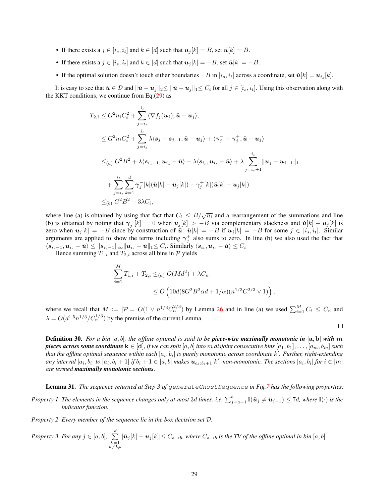- If there exists a  $j \in [i_s, i_t]$  and  $k \in [d]$  such that  $u_j[k] = B$ , set  $\check{u}[k] = B$ .
- If there exists a  $j \in [i_s, i_t]$  and  $k \in [d]$  such that  $u_j[k] = -B$ , set  $\check{u}[k] = -B$ .
- If the optimal solution doesn't touch either boundaries  $\pm B$  in  $[i_s, i_t]$  across a coordinate, set  $\check{u}[k] = u_{i_s}[k]$ .

It is easy to see that  $\check{u} \in \mathcal{D}$  and  $\|\check{u} - u_i\|_2 \le \|\check{u} - u_i\|_1 \le C_i$  for all  $j \in [i_s, i_t]$ . Using this observation along with the KKT conditions, we continue from Eq. $(29)$  as

$$
T_{2,i} \leq G^2 n_i C_i^2 + \sum_{j=i_s}^{i_t} \langle \nabla f_j(\boldsymbol{u}_j), \boldsymbol{\check{u}} - \boldsymbol{u}_j \rangle,
$$
  
\n
$$
\leq G^2 n_i C_i^2 + \sum_{j=i_s}^{i_t} \lambda \langle \boldsymbol{s}_j - \boldsymbol{s}_{j-1}, \boldsymbol{\check{u}} - \boldsymbol{u}_j \rangle + \langle \boldsymbol{\gamma}_j^- - \boldsymbol{\gamma}_j^+, \boldsymbol{\check{u}} - \boldsymbol{u}_j \rangle
$$
  
\n
$$
\leq_{(a)} G^2 B^2 + \lambda \langle \boldsymbol{s}_{i_s-1}, \boldsymbol{u}_{i_s} - \boldsymbol{\check{u}} \rangle - \lambda \langle \boldsymbol{s}_{i_t}, \boldsymbol{u}_{i_t} - \boldsymbol{\check{u}} \rangle + \lambda \sum_{j=i_s+1}^{i_t} \|\boldsymbol{u}_j - \boldsymbol{u}_{j-1}\|_1
$$
  
\n
$$
+ \sum_{j=i_s}^{i_t} \sum_{k=1}^d \gamma_j^- [k] (\boldsymbol{\check{u}}[k] - \boldsymbol{u}_j[k]) - \gamma_j^+ [k] (\boldsymbol{\check{u}}[k] - \boldsymbol{u}_j[k])
$$
  
\n
$$
\leq_{(b)} G^2 B^2 + 3\lambda C_i,
$$

where line (a) is obtained by using that fact that  $C_i \leq B/\sqrt{n_i}$  and a rearrangement of the summations and line (b) is obtained by noting that  $\gamma_j^{-}[k] = 0$  when  $u_j[k] > -B$  via complementary slackness and  $\check{u}[k] - u_j[k]$  is zero when  $u_j[k] = -B$  since by construction of  $\check{u}$ :  $\check{u}[k] = -B$  if  $u_j[k] = -B$  for some  $j \in [i_s, i_t]$ . Similar arguments are applied to show the terms including  $\gamma_j^+$  also sums to zero. In line (b) we also used the fact that  $\langle s_{i_s-1}, u_{i_s} - \check{u} \rangle \leq \| s_{i_s-1} \|_\infty \| u_{i_s} - \check{u} \|_1 \leq C_i.$  Similarly  $\langle s_{i_t}, u_{i_t} - \check{u} \rangle \leq C_i$ 

Hence summing  $T_{1,i}$  and  $T_{2,i}$  across all bins in  $P$  yields

$$
\sum_{i=1}^{M} T_{1,i} + T_{2,i} \leq_{(a)} \tilde{O}(Md^2) + \lambda C_n
$$
  
 
$$
\leq \tilde{O}\left(10d(8G^2B^2\alpha d + 1/\alpha)(n^{1/3}C^{2/3} \vee 1)\right),
$$

where we recall that  $M := |\mathcal{P}| = O(1 \vee n^{1/3} C_n^{2/3})$  by Lemma [26](#page-27-0) and in line (a) we used  $\sum_{i=1}^M C_i \leq C_n$  and  $\lambda = O(d^{1.5}n^{1/3}/C_n^{1/3})$  by the premise of the current Lemma.

 $\Box$ 

Definition 30. *For a bin* [a, b]*, the offline optimal is said to be piece-wise maximally monotonic in* [a, b] *with* m *pieces across some coordinate*  $k \in [d]$ *, if we can split*  $[a, b]$  *into* m *disjoint consecutive bins*  $[a_1, b_1], \ldots, [a_m, b_m]$  *such* that the offline optimal sequence within each  $[a_i,b_i]$  is purely monotonic across coordinate k'. Further, right-extending any interval  $[a_i, b_i]$  to  $[a_i, b_i + 1]$  if  $b_i + 1 \in [a, b]$  makes  $u_{a_i:b_i+1}[k']$  non-monotonic. The sections  $[a_i, b_i]$  for  $i \in [m]$ *are termed maximally monotonic sections.*

<span id="page-28-0"></span>Lemma 31. *The sequence returned at Step 3 of* generateGhostSequence *in Fig[.7](#page-29-0) has the following properties:*

- *Property 1 The elements in the sequence changes only at-most* 3d *times. i.e,*  $\sum_{j=a+1}^{b} \mathbb{I}(\check{u}_j \neq \check{u}_{j-1}) \leq 7d$ , where  $\mathbb{I}(\cdot)$  is the *indicator function.*
- *Property 2 Every member of the sequence lie in the box decision set* D*.*

Property 3 For any 
$$
j \in [a, b]
$$
,  $\sum_{\substack{k=1 \ k \neq k_{fix}}}^d |\check{u}_j[k] - u_j[k]| \leq C_{a \to b}$ , where  $C_{a \to b}$  is the TV of the offline optimal in bin  $[a, b]$ .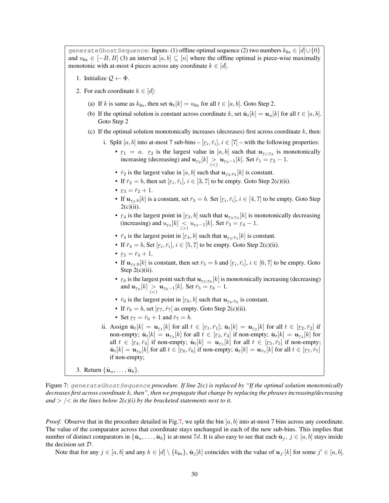<span id="page-29-0"></span>generateGhostSequence: Inputs- (1) offline optimal sequence (2) two numbers  $k_{fix} \in [d] \cup \{0\}$ and  $u_{fix} \in [-B, B]$  (3) an interval  $[a, b] \subseteq [n]$  where the offline optimal is piece-wise maximally monotonic with at-most 4 pieces across any coordinate  $k \in [d]$ . 1. Initialize  $\mathcal{Q} \leftarrow \Phi$ . 2. For each coordinate  $k \in [d]$ : (a) If k is same as  $k_{fix}$ , then set  $\check{u}_t[k] = u_{fix}$  for all  $t \in [a, b]$ . Goto Step 2. (b) If the optimal solution is constant across coordinate k, set  $\check{u}_t[k] = u_a[k]$  for all  $t \in [a, b]$ . Goto Step 2 (c) If the optimal solution monotonically increases (decreases) first across coordinate  $k$ , then: i. Split  $[a, b]$  into at-most 7 sub-bins  $-[r_i, \bar{r}_i], i \in [7]$  – with the following properties: ¯ •  $r_1 = a$ .  $r_2$  is the largest value in [a, b] such that  $u_{r_1:r_2}$  is monotonically  $\frac{d_1}{dx_1}$  and  $\frac{d_2}{dx_2}$  are integers value in [0,0] seems that  $\frac{d_1}{dx_1}$  is an increasing (decreasing) and  $u_{r_2}[k] > u_{r_2-1}[k]$ . Set  $\bar{r}_1 = r_2 - 1$ . •  $\bar{r}_2$  is the largest value in [a, b] such that  $u_{r_2:\bar{r}_2}[k]$  is constant. • If  $\bar{r}_2 = b$ , then set  $[r_i, \bar{r}_i], i \in [3, 7]$  to be empty. Goto Step 2(c)(ii). •  $r_3 = \bar{r}_2 + 1.$ • If  $u_{\text{r}_3:b}[k]$  is a constant, set  $\bar{r}_3 = b$ . Set  $[r_i, \bar{r}_i], i \in [4, 7]$  to be empty. Goto Step  $2(c)$  (ii)  $2(c)(ii)$ . •  $r_4$  is the largest point in  $[r_3, b]$  such that  $u_{r_3, r_4}[k]$  is monotonically decreasing (increasing) and  $u_{\mathcal{I}_{4}}[k] < u_{\mathcal{I}_{4}-1}[k]$ . Set  $\bar{r}_{3} = r_{4} - 1$ . •  $\bar{r}_4$  is the largest point in  $[r_4, b]$  such that  $u_{r_4, \bar{r}_4}[k]$  is constant. • If  $\bar{r}_4 = b$ , Set  $[r_i, \bar{r}_i], i \in [5, 7]$  to be empty. Goto Step 2(c)(ii). •  $r_5 = \bar{r}_4 + 1.$ • If  $u_{\tau_5:b}[k]$  is constant, then set  $\bar{r}_5 = b$  and  $[\tau_i, \bar{r}_i], i \in [6, 7]$  to be empty. Goto Step  $2(c)(ii)$ . •  $r_6$  is the largest point such that  $u_{r_5:r_6}[k]$  is monotonically increasing (decreasing) and  $u_{T_6}[k] > u_{T_6-1}[k]$ . Set  $\bar{r}_5 = r_6 - 1$ . •  $\bar{r}_6$  is the largest point in [ $r_6$ , b] such that  $u_{r_6:\bar{r}_6}$  is constant. • If  $\bar{r}_6 = b$ , set  $[\bar{r}_7, \bar{r}_7]$  as empty. Goto Step 2(c)(ii). • Set  $r_7 = \bar{r}_6 + 1$  and  $\bar{r}_7 = b$ . ii. Assign  $\check{u}_t[k] = u_{r_1}[k]$  for all  $t \in [r_1, \bar{r}_1]$ ;  $\check{u}_t[k] = u_{r_2}[k]$  for all  $t \in [r_2, \bar{r}_2]$  if non-empty;  $\check{u}_t[k] = u_{t_3}[k]$  for all  $t \in [t_3, \bar{r}_3]$  if non-empty;  $\check{u}_t[k] = u_{t_4}[k]$  for all  $t \in [r_4, \bar{r}_4]$  if non-empty;  $\tilde{u}_t[k] = u_{rs}[k]$  for all  $t \in [r_5, \bar{r}_5]$  if non-empty;  $\tilde{u}_t[k] = u_{\overline{r}_6}[k]$  for all  $t \in [\underline{r}_6, \overline{r}_6]$  if non-empty;  $\tilde{u}_t[k] = u_{\overline{r}_7}[k]$  for all  $t \in [\underline{r}_7, \overline{r}_7]$ <br>if non-empty:  $if non-empty;$ 3. Return  $\{\check{u}_a, \ldots, \check{u}_b\}.$ 

Figure 7: generateGhostSequence *procedure. If line 2(c) is replaced by "If the optimal solution monotonically decreases first across coordinate* k*, then", then we propagate that change by replacing the phrases increasing/decreasing* and  $>$   $\ell$  in the lines below 2(c)(i) by the bracketed statements next to it.

*Proof.* Observe that in the procedure detailed in Fig[.7,](#page-29-0) we split the bin [a, b] into at-most 7 bins across any coordinate. The value of the comparator across that coordinate stays unchanged in each of the new sub-bins. This implies that number of distinct comparators in  $\{\check{u}_a, \ldots, \check{u}_b\}$  is at-most 7d. It is also easy to see that each  $\check{u}_i, j \in [a, b]$  stays inside the decision set D.

Note that for any  $j \in [a, b]$  and any  $k \in [d] \setminus \{k_{fix}\}, \check{u}_j[k]$  coincides with the value of  $u_{j'}[k]$  for some  $j' \in [a, b]$ .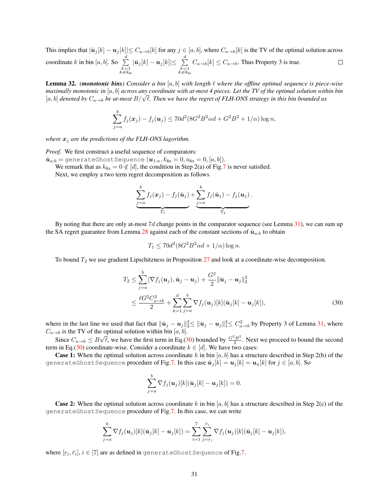This implies that  $|\check{u}_j[k] - u_j[k]| \leq C_{a\to b}[k]$  for any  $j \in [a, b]$ , where  $C_{a\to b}[k]$  is the TV of the optimal solution across coordinate k in bin [a, b]. So  $\sum_{ }^{d}$  $|\check{\boldsymbol{u}}_j[k]-\boldsymbol{u}_j[k]|\leq \sum\limits_{j=1}^d$  $\Box$  $C_{a\rightarrow b}[k] \leq C_{a\rightarrow b}$ . Thus Property 3 is true.  $k=1 \nk \neq k_{\text{fix}}$  $k=1 \nk \neq k_{\text{fix}}$ 

<span id="page-30-0"></span>**Lemma 32.** *(monotonic bins)* Consider a bin  $[a, b]$  with length  $\ell$  where the offline optimal sequence is piece-wise *maximally monotonic in* [a, b] *across any coordinate with at-most 4 pieces. Let the TV of the optimal solution within bin*  $[a, b]$  denoted by  $C_{a\rightarrow b}$  be at-most  $B/\sqrt{t}$ . Then we have the regret of FLH-ONS strategy in this bin bounded as

$$
\sum_{j=a}^{b} f_j(\boldsymbol{x}_j) - f_j(\boldsymbol{u}_j) \le 70d^2(8G^2B^2\alpha d + G^2B^2 + 1/\alpha)\log n,
$$

*where*  $x_i$  *are the predictions of the FLH-ONS lagorithm.* 

*Proof.* We first construct a useful sequence of comparators:

 $\check{\bm{u}}_{a:b} =$  generateGhostSequence  $(\bm{u}_{1:n}, k_\text{fix}=0, u_\text{fix}=0, [a, b]).$ 

We remark that as  $k_{fix} = 0 \notin [d]$ , the condition in Step 2(a) of Fig[.7](#page-29-0) is never satisfied.<br>Next, we employ a two term regret decomposition as follows  $\overline{\phantom{a}}$  ret decomposition as follo

$$
\underbrace{\sum_{j=a}^{b} f_j(\boldsymbol{x}_j) - f_j(\boldsymbol{\check{u}}_j)}_{T_1} + \underbrace{\sum_{j=a}^{b} f_j(\boldsymbol{\check{u}}_j) - f_j(\boldsymbol{u}_j)}_{T_2}.
$$

By noting that there are only at-most 7d change points in the comparator sequence (see Lemma [31\)](#page-28-0), we can sum up the SA regret guarantee from Lemma [28](#page-27-3) against each of the constant sections of  $\check{u}_{a:b}$  to obtain

<span id="page-30-1"></span>
$$
T_1 \le 70d^2(8G^2B^2\alpha d + 1/\alpha)\log n.
$$

To bound  $T_2$  we use gradient Lipschitzness in Proposition [27](#page-27-2) and look at a coordinate-wise decomposition.

$$
T_2 \leq \sum_{j=a}^{b} \langle \nabla f_j(\boldsymbol{u}_j), \check{\boldsymbol{u}}_j - \boldsymbol{u}_j \rangle + \frac{G^2}{2} ||\check{\boldsymbol{u}}_j - \boldsymbol{u}_j||_2^2
$$
  

$$
\leq \frac{\ell G^2 C_{a\to b}^2}{2} + \sum_{k=1}^{d} \sum_{j=a}^{b} \nabla f_j(\boldsymbol{u}_j)[k](\check{\boldsymbol{u}}_j[k] - \boldsymbol{u}_j[k]),
$$
 (30)

where in the last line we used that fact that  $\|\check{u}_j - u_j\|_2^2 \leq \|\check{u}_j - u_j\|_1^2 \leq C_{a\to b}^2$  by Property 3 of Lemma [31,](#page-28-0) where  $C_{a\rightarrow b}$  is the TV of the optimal solution within bin [a, b].

Since  $C_{a\to b} \leq B\sqrt{\ell}$ , we have the first term in Eq.[\(30\)](#page-30-1) bounded by  $\frac{G^2B^2}{2}$ . Next we proceed to bound the second term in Eq.[\(30\)](#page-30-1) coordinate-wise. Consider a coordinate  $k \in [d]$ . We have two cases:

**Case 1:** When the optimal solution across coordinate k in bin [a, b] has a structure described in Step 2(b) of the generateGhostSequence procedure of Fig[.7.](#page-29-0) In this case  $\check{u}_j[k] = u_j[k] = u_a[k]$  for  $j \in [a, b]$ . So

$$
\sum_{j=a}^{b} \nabla f_j(\boldsymbol{u}_j)[k](\boldsymbol{\check{u}}_j[k] - \boldsymbol{u}_j[k]) = 0.
$$

**Case 2:** When the optimal solution across coordinate k in bin [a, b] has a structure described in Step 2(c) of the generateGhostSequence procedure of Fig[.7.](#page-29-0) In this case, we can write

$$
\sum_{j=a}^{b} \nabla f_j(\boldsymbol{u}_j)[k](\check{\boldsymbol{u}}_j[k]-\boldsymbol{u}_j[k]) = \sum_{i=1}^{7} \sum_{j=r_i}^{\bar{r}_i} \nabla f_j(\boldsymbol{u}_j)[k](\check{\boldsymbol{u}}_j[k]-\boldsymbol{u}_j[k]),
$$

where  $[r_i,\bar{r}_i], i\in[7]$  are as defined in <code>generateGhostSequence</code> of Fig[.7.](#page-29-0)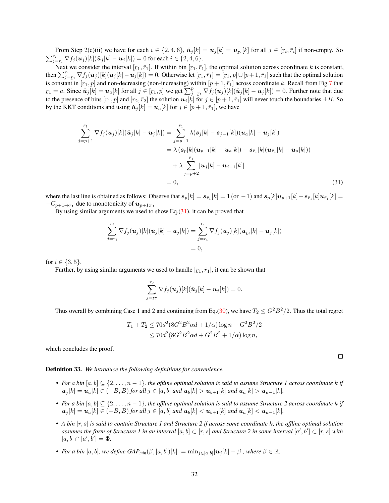From Step 2(c)(ii) we have for each  $i \in \{2, 4, 6\}$ ,  $\check{u}_j[k] = u_j[k] = u_{r_i}[k]$  for all  $j \in [r_i, \bar{r}_i]$  if non-empty. So  $\sum_{j=r_i}^{\bar{r}_i}\nabla f_j(\boldsymbol{u}_j)[k](\check{\boldsymbol{u}}_j[k]-\boldsymbol{u}_j[k])=0$  for each  $i\in\{2,4,6\}.$ 

Next we consider the interval  $[r_1, \bar{r}_1]$ . If within bin  $[r_1, \bar{r}_1]$ , the optimal solution across coordinate k is constant, then  $\sum_{j=r_1}^{r_1} \nabla f_j(u_j)[k](\tilde{u}_j[k]-u_j[k]) = 0$ . Otherwise let  $[r_1, \bar{r}_1] = [r_1, p] \cup [p+1, \bar{r}_1]$  such that the optimal solution is constant in  $[r_1, p]$  and non-decreasing (non-increasing) within  $[p + 1, \overline{r}_1]$  across coordinate k. Recall from Fig[.7](#page-29-0) that  $r_1 = a$ . Since  $\tilde{p}_1[k] = u$ ,  $[k]$  for all  $i \in [r_1, p]$  we get  $\sum_{r=1}^{p} \sum_{r=1}^{r} f_r(u_r)[k](\tilde$  $r_1 = a$ . Since  $\tilde{u}_j[k] = u_a[k]$  for all  $j \in [r_1, p]$  we get  $\sum_{j=r_1}^p \nabla f_j(u_j)[k](\tilde{u}_j[k] - u_j[k]) = 0$ . Further note that due to the presence of bins  $[r_1, p]$  and  $[r_2, \bar{r}_2]$  the solution  $u_j[k]$  for  $j \in [p+1, \bar{r}_1]$  will never touch the boundaries  $\pm B$ . So by the KKT conditions and using  $\tilde{u}_j[k] = u_a[k]$  for  $j \in [p+1, \bar{r}_1]$ , we have

$$
\sum_{j=p+1}^{\bar{r}_1} \nabla f_j(\boldsymbol{u}_j)[k](\check{\boldsymbol{u}}_j[k] - \boldsymbol{u}_j[k]) = \sum_{j=p+1}^{\bar{r}_1} \lambda(s_j[k] - s_{j-1}[k])(\boldsymbol{u}_a[k] - \boldsymbol{u}_j[k])
$$
  
\n
$$
= \lambda(s_p[k](\boldsymbol{u}_{p+1}[k] - \boldsymbol{u}_a[k]) - s_{\bar{r}_1}[k](\boldsymbol{u}_{\bar{r}_1}[k] - \boldsymbol{u}_a[k]))
$$
  
\n
$$
+ \lambda \sum_{j=p+2}^{\bar{r}_1} |\boldsymbol{u}_j[k] - \boldsymbol{u}_{j-1}[k]|
$$
  
\n
$$
= 0,
$$
\n(31)

where the last line is obtained as follows: Observe that  $s_p[k] = s_{\bar{r}_1}[k] = 1$  (or  $-1$ ) and  $s_p[k]u_{p+1}[k] - s_{\bar{r}_1}[k]u_{\bar{r}_1}[k] =$  $-C_{p+1\to\bar{r}_1}$  due to monotonicity of  $u_{p+1:\bar{r}_1}$ 

By using similar arguments we used to show Eq.[\(31\)](#page-31-1), it can be proved that

$$
\sum_{j=r_i}^{\bar{r}_i} \nabla f_j(\boldsymbol{u}_j)[k](\check{\boldsymbol{u}}_j[k]-\boldsymbol{u}_j[k]) = \sum_{j=r_i}^{\bar{r}_i} \nabla f_j(\boldsymbol{u}_j)[k](\boldsymbol{u}_{r_i}[k]-\boldsymbol{u}_j[k])
$$
  
= 0,

for  $i \in \{3, 5\}$ .

Further, by using similar arguments we used to handle  $[r_1, \bar{r}_1]$ , it can be shown that

$$
\sum_{j=\underline{r}_{7}}^{\overline{r}_{7}}\nabla f_{j}(\boldsymbol{u}_{j})[k](\check{\boldsymbol{u}}_{j}[k]-\boldsymbol{u}_{j}[k])=0.
$$

Thus overall by combining Case 1 and 2 and continuing from Eq.[\(30\)](#page-30-1), we have  $T_2 \leq G^2B^2/2$ . Thus the total regret

$$
T_1 + T_2 \le 70d^2(8G^2B^2\alpha d + 1/\alpha)\log n + G^2B^2/2
$$
  
 
$$
\le 70d^2(8G^2B^2\alpha d + G^2B^2 + 1/\alpha)\log n,
$$

which concludes the proof.

<span id="page-31-0"></span>Definition 33. *We introduce the following definitions for convenience.*

- For a bin  $[a, b] \subseteq \{2, \ldots, n-1\}$ , the offline optimal solution is said to assume Structure 1 across coordinate k if  $u_j[k] = u_a[k] \in (-B, B)$  for all  $j \in [a, b]$  and  $u_b[k] > u_{b+1}[k]$  and  $u_a[k] > u_{a-1}[k]$ .
- For a bin  $[a, b] \subseteq \{2, \ldots, n-1\}$ , the offline optimal solution is said to assume Structure 2 across coordinate k if  $u_j[k] = u_a[k] \in (-B, B)$  for all  $j \in [a, b]$  and  $u_b[k] < u_{b+1}[k]$  and  $u_a[k] < u_{a-1}[k]$ .
- *A bin* [r, s] *is said to contain Structure 1 and Structure 2 if across some coordinate* k*, the offline optimal solution* assumes the form of Structure 1 in an interval  $[a,b] \subset [r,s]$  and Structure 2 in some interval  $[a',b'] \subset [r,s]$  with  $[a, b] \cap [a', b'] = \Phi.$
- *For a bin*  $[a, b]$ *, we define*  $GAP_{min}(\beta, [a, b])[k] := \min_{j \in [a, b]} |u_j[k] \beta|$ *, where*  $\beta \in \mathbb{R}$ *.*

<span id="page-31-1"></span> $\Box$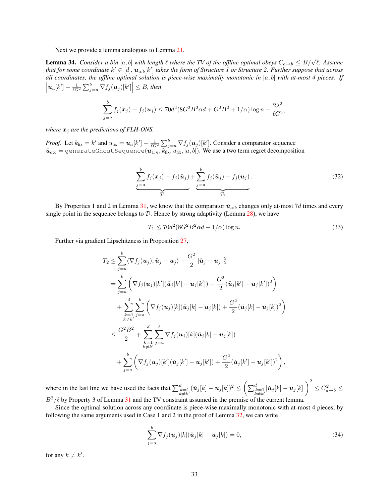Next we provide a lemma analogous to Lemma [21.](#page-19-1)

<span id="page-32-1"></span>**Lemma 34.** *Consider a bin*  $[a, b]$  *with length*  $\ell$  *where the TV of the offline optimal obeys*  $C_{a\to b} \leq B/\sqrt{\ell}$ *. Assume* that for some coordinate  $k' \in [d]$ ,  $\bm{u}_{a:b}[k']$  takes the form of Structure  $1$  or Structure 2. Further suppose that across *all coordinates, the offline optimal solution is piece-wise maximally monotonic in* [a, b] *with at-most 4 pieces. If*  $\left|\mathbf{u}_a[k']-\frac{1}{\ell G^2}\sum_{j=a}^b\nabla f_j(\mathbf{u}_j)[k']\right|\leq B$ , then

$$
\sum_{j=a}^{b} f_j(\boldsymbol{x}_j) - f_j(\boldsymbol{u}_j) \le 70d^2(8G^2B^2\alpha d + G^2B^2 + 1/\alpha)\log n - \frac{2\lambda^2}{\ell G^2},
$$

*where*  $x_j$  *are the predictions of FLH-ONS.* 

*Proof.* Let  $k_{fix} = k'$  and  $u_{fix} = u_a[k'] - \frac{1}{\ell G^2} \sum_{j=a}^{b} \nabla f_j(u_j)[k']$ . Consider a comparator sequence  $\check{\bm u}_{a:b} =$  generateGhostSequence $(\bm u_{1:n}, k_\text{fix}, u_\text{fix}, [a, b]).$  We use a two term regret decomposition

$$
\underbrace{\sum_{j=a}^{b} f_j(\boldsymbol{x}_j) - f_j(\boldsymbol{\check{u}}_j)}_{T_1} + \underbrace{\sum_{j=a}^{b} f_j(\boldsymbol{\check{u}}_j) - f_j(\boldsymbol{u}_j)}_{T_2}.
$$
\n(32)

By Properties 1 and 2 in Lemma [31,](#page-28-0) we know that the comparator  $\check{u}_{a:b}$  changes only at-most 7d times and every single point in the sequence belongs to  $D$ . Hence by strong adaptivity (Lemma [28\)](#page-27-3), we have

<span id="page-32-2"></span><span id="page-32-0"></span>
$$
T_1 \le 70d^2(8G^2B^2\alpha d + 1/\alpha)\log n. \tag{33}
$$

Further via gradient Lipschitzness in Proposition [27,](#page-27-2)

$$
T_2 \leq \sum_{j=a}^{b} \langle \nabla f_j(\boldsymbol{u}_j), \check{\boldsymbol{u}}_j - \boldsymbol{u}_j \rangle + \frac{G^2}{2} || \check{\boldsymbol{u}}_j - \boldsymbol{u}_j ||_2^2
$$
  
\n
$$
= \sum_{j=a}^{b} \left( \nabla f_j(\boldsymbol{u}_j)[k'](\check{\boldsymbol{u}}_j[k'] - \boldsymbol{u}_j[k']) + \frac{G^2}{2} (\check{\boldsymbol{u}}_j[k'] - \boldsymbol{u}_j[k'])^2 \right)
$$
  
\n
$$
+ \sum_{\substack{k=1 \ k \neq k'}}^{d} \sum_{j=a}^{b} \left( \nabla f_j(\boldsymbol{u}_j)[k](\check{\boldsymbol{u}}_j[k] - \boldsymbol{u}_j[k]) + \frac{G^2}{2} (\check{\boldsymbol{u}}_j[k] - \boldsymbol{u}_j[k])^2 \right)
$$
  
\n
$$
\leq \frac{G^2 B^2}{2} + \sum_{\substack{k=1 \ k \neq k'}}^{d} \sum_{j=a}^{b} \nabla f_j(\boldsymbol{u}_j)[k](\check{\boldsymbol{u}}_j[k] - \boldsymbol{u}_j[k])
$$
  
\n
$$
+ \sum_{j=a}^{b} \left( \nabla f_j(\boldsymbol{u}_j)[k'](\check{\boldsymbol{u}}_j[k'] - \boldsymbol{u}_j[k']) + \frac{G^2}{2} (\check{\boldsymbol{u}}_j[k'] - \boldsymbol{u}_j[k'])^2 \right),
$$

where in the last line we have used the facts that  $\sum_{\substack{k=1 \ k \neq k'}}^d (\check{u}_j[k] - u_j[k])^2 \leq \left( \sum_{\substack{k=1 \ k \neq k'}}^d |\check{u}_j[k] - u_j[k]| \right)$  $\setminus^2$  $\leq C_{a\rightarrow b}^2 \leq$  $B^2/\ell$  by Property 3 of Lemma [31](#page-28-0) and the TV constraint assumed in the premise of the current lemma.

Since the optimal solution across any coordinate is piece-wise maximally monotonic with at-most 4 pieces, by following the same arguments used in Case 1 and 2 in the proof of Lemma [32,](#page-30-0) we can write

<span id="page-32-3"></span>
$$
\sum_{j=a}^{b} \nabla f_j(\boldsymbol{u}_j)[k](\tilde{\boldsymbol{u}}_j[k] - \boldsymbol{u}_j[k]) = 0,
$$
\n(34)

for any  $k \neq k'$ .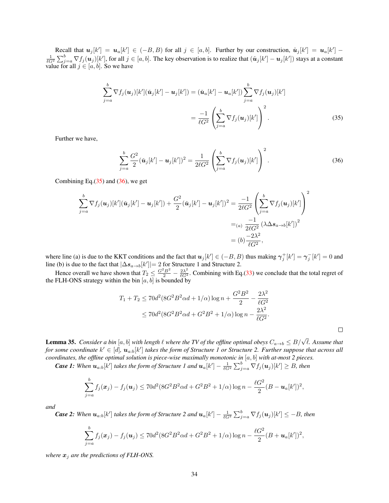Recall that  $u_j[k'] = u_a[k'] \in (-B, B)$  for all  $j \in [a, b]$ . Further by our construction,  $\tilde{u}_j[k'] = u_a[k'] \frac{1}{\ell G^2} \sum_{j=a}^{b} \nabla f_j(\boldsymbol{u}_j)[k']$ , for all  $j \in [a, b]$ . The key observation is to realize that  $(\check{\boldsymbol{u}}_j[k'] - \boldsymbol{u}_j[k'])$  stays at a constant value for all  $j \in [a, b]$ . So we have

$$
\sum_{j=a}^{b} \nabla f_j(\boldsymbol{u}_j)[k'](\check{\boldsymbol{u}}_j[k'] - \boldsymbol{u}_j[k']) = (\check{\boldsymbol{u}}_a[k'] - \boldsymbol{u}_a[k']) \sum_{j=a}^{b} \nabla f_j(\boldsymbol{u}_j)[k'] \n= \frac{-1}{\ell G^2} \left( \sum_{j=a}^{b} \nabla f_j(\boldsymbol{u}_j)[k'] \right)^2.
$$
\n(35)

Further we have,

<span id="page-33-0"></span>
$$
\sum_{j=a}^{b} \frac{G^2}{2} (\check{u}_j[k'] - u_j[k'])^2 = \frac{1}{2\ell G^2} \left( \sum_{j=a}^{b} \nabla f_j(u_j)[k'] \right)^2.
$$
 (36)

<span id="page-33-1"></span> $\Box$ 

Combining Eq. $(35)$  and  $(36)$ , we get

$$
\sum_{j=a}^{b} \nabla f_j(\boldsymbol{u}_j)[k'](\tilde{\boldsymbol{u}}_j[k'] - \boldsymbol{u}_j[k']) + \frac{G^2}{2}(\tilde{\boldsymbol{u}}_j[k'] - \boldsymbol{u}_j[k'])^2 = \frac{-1}{2\ell G^2} \left( \sum_{j=a}^{b} \nabla f_j(\boldsymbol{u}_j)[k'] \right)^2
$$
  
=  $(a) \frac{-1}{2\ell G^2} (\lambda \Delta s_{a\to b}[k'])^2$   
=  $(b) \frac{-2\lambda^2}{\ell G^2}$ ,

where line (a) is due to the KKT conditions and the fact that  $u_j[k'] \in (-B, B)$  thus making  $\gamma_j^+[k'] = \gamma_j^-[k'] = 0$  and line (b) is due to the fact that  $|\Delta s_{a\rightarrow b}[k']| = 2$  for Structure 1 and Structure 2.

Hence overall we have shown that  $T_2 \leq \frac{G^2 B^2}{2} - \frac{2\lambda^2}{\ell G^2}$ . Combining with Eq.[\(33\)](#page-32-0) we conclude that the total regret of the FLH-ONS strategy within the bin  $[a, b]$  is bounded by

$$
T_1 + T_2 \le 70d^2(8G^2B^2\alpha d + 1/\alpha)\log n + \frac{G^2B^2}{2} - \frac{2\lambda^2}{\ell G^2}
$$
  

$$
\le 70d^2(8G^2B^2\alpha d + G^2B^2 + 1/\alpha)\log n - \frac{2\lambda^2}{\ell G^2}.
$$

<span id="page-33-2"></span>**Lemma 35.** *Consider a bin*  $[a, b]$  *with length*  $\ell$  *where the TV of the offline optimal obeys*  $C_{a\to b} \leq B/\sqrt{\ell}$ *. Assume that* for some coordinate  $k' \in [d]$ ,  $u_{a:b}[k']$  takes the form of Structure 1 or Structure 2. Further suppose that across all *coordinates, the offline optimal solution is piece-wise maximally monotonic in* [a, b] *with at-most 2 pieces.*

*Case 1: When*  $u_{a:b}[k']$  takes the form of Structure 1 and  $u_a[k'] - \frac{1}{\ell G^2} \sum_{j=a}^b \nabla f_j(u_j)[k'] \geq B$ , then

$$
\sum_{j=a}^{b} f_j(\boldsymbol{x}_j) - f_j(\boldsymbol{u}_j) \le 70d^2(8G^2B^2\alpha d + G^2B^2 + 1/\alpha)\log n - \frac{\ell G^2}{2}(B - \boldsymbol{u}_a[k'])^2,
$$

*and*

*Case 2: When*  $u_{a:b}[k']$  takes the form of Structure 2 and  $u_a[k'] - \frac{1}{\ell G^2} \sum_{j=a}^{b} \nabla f_j(u_j)[k'] \leq -B$ , then

$$
\sum_{j=a}^{b} f_j(\boldsymbol{x}_j) - f_j(\boldsymbol{u}_j) \le 70d^2(8G^2B^2\alpha d + G^2B^2 + 1/\alpha)\log n - \frac{\ell G^2}{2}(B + \boldsymbol{u}_a[k'])^2,
$$

*where*  $x_i$  *are the predictions of FLH-ONS.*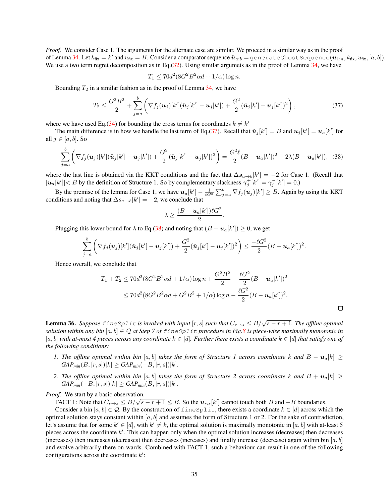*Proof.* We consider Case 1. The arguments for the alternate case are similar. We proceed in a similar way as in the proof of Lemma [34.](#page-32-1) Let  $k_{\text{fix}}=k'$  and  $u_{\text{fix}}=B$ . Consider a comparator sequence  $\check{\bm{u}}_{a:b} =$  <code>generateGhostSequence</code>  $(\bm{u}_{1:n},k_{\text{fix}},u_{\text{fix}},[a,b]).$ We use a two term regret decomposition as in Eq. $(32)$ . Using similar argumets as in the proof of Lemma [34,](#page-32-1) we have

<span id="page-34-1"></span>
$$
T_1 \le 70d^2(8G^2B^2\alpha d + 1/\alpha)\log n.
$$

Bounding  $T_2$  in a similar fashion as in the proof of Lemma [34,](#page-32-1) we have

$$
T_2 \leq \frac{G^2 B^2}{2} + \sum_{j=a}^{b} \left( \nabla f_j(\boldsymbol{u}_j)[k'](\tilde{\boldsymbol{u}}_j[k'] - \boldsymbol{u}_j[k']) + \frac{G^2}{2} (\tilde{\boldsymbol{u}}_j[k'] - \boldsymbol{u}_j[k'])^2 \right), \tag{37}
$$

where we have used Eq.[\(34\)](#page-32-3) for bounding the cross terms for coordinates  $k \neq k'$ 

The main difference is in how we handle the last term of Eq.[\(37\)](#page-34-1). Recall that  $\check{u}_j[k'] = B$  and  $u_j[k'] = u_a[k']$  for all  $j \in [a, b]$ . So

$$
\sum_{j=a}^{b} \left( \nabla f_j(\boldsymbol{u}_j)[k'] (\tilde{\boldsymbol{u}}_j[k'] - \boldsymbol{u}_j[k']) + \frac{G^2}{2} (\tilde{\boldsymbol{u}}_j[k'] - \boldsymbol{u}_j[k'])^2 \right) = \frac{G^2 \ell}{2} (B - \boldsymbol{u}_a[k'])^2 - 2\lambda (B - \boldsymbol{u}_a[k'])
$$
 (38)

where the last line is obtained via the KKT conditions and the fact that  $\Delta s_{a\rightarrow b}[k'] = -2$  for Case 1. (Recall that  $|\mathbf{u}_a[k']| < B$  by the definition of Structure 1. So by complementary slackness  $\gamma_j^+[k'] = \gamma_j^-[k'] = 0$ .)

By the premise of the lemma for Case 1, we have  $u_a[k'] - \frac{1}{\ell G^2} \sum_{j=a}^{b} \nabla f_j(u_j)[k'] \ge B$ . Again by using the KKT conditions and noting that  $\Delta s_{a\rightarrow b}[k'] = -2$ , we conclude that

$$
\lambda \geq \frac{(B - u_a[k'])\ell G^2}{2}.
$$

Plugging this lower bound for  $\lambda$  to Eq.[\(38\)](#page-34-2) and noting that  $(B - u_a[k']) \ge 0$ , we get

$$
\sum_{j=a}^{b} \bigg( \nabla f_j({\bm u}_j) [k'] (\check{\bm u}_j [k'] - {\bm u}_j [k']) + \frac{G^2}{2} (\check{\bm u}_j [k'] - {\bm u}_j [k'])^2 \bigg) \leq \frac{-\ell G^2}{2} (B - {\bm u}_a [k'])^2.
$$

Hence overall, we conclude that

$$
T_1 + T_2 \le 70d^2(8G^2B^2\alpha d + 1/\alpha)\log n + \frac{G^2B^2}{2} - \frac{\ell G^2}{2}(B - \mathbf{u}_a[k'])^2
$$
  

$$
\le 70d^2(8G^2B^2\alpha d + G^2B^2 + 1/\alpha)\log n - \frac{\ell G^2}{2}(B - \mathbf{u}_a[k'])^2.
$$

<span id="page-34-2"></span> $\Box$ 

<span id="page-34-0"></span>**Lemma 36.** Suppose  $\text{fineSplit}$  *is invoked with input*  $[r, s]$  *such that*  $C_{r \to s} \leq B/\sqrt{s-r+1}$ *. The offline optimal solution within any bin*  $[a, b] \in \mathcal{Q}$  at Step 7 of finesplit procedure in Fig[.8](#page-35-0) is piece-wise maximally monotonic in [a, b] *with at-most 4 pieces across any coordinate* k ∈ [d]*. Further there exists a coordinate* k ∈ [d] *that satisfy one of the following conditions:*

- *1.* The offline optimal within bin [a, b] takes the form of Structure 1 across coordinate k and B −  $u_a[k]$  ≥  $GAP_{min}(B, [r, s])[k] \geq GAP_{min}(-B, [r, s])[k].$
- *2.* The offline optimal within bin [a, b] takes the form of Structure 2 across coordinate k and  $B + u_a[k] \geq$  $GAP_{min}(-B, [r, s])[k] \geq GAP_{min}(B, [r, s])[k].$

*Proof.* We start by a basic observation.

FACT 1: Note that  $C_{r\to s} \leq B/\sqrt{s-r+1} \leq B$ . So the  $u_{r:s}[k']$  cannot touch both B and  $-B$  boundaries.

Consider a bin  $[a, b] \in \mathcal{Q}$ . By the construction of fineSplit, there exists a coordinate  $k \in [d]$  across which the optimal solution stays constant within  $[a, b]$  and assumes the form of Structure 1 or 2. For the sake of contradiction, let's assume that for some  $k' \in [d]$ , with  $k' \neq k$ , the optimal solution is maximally monotonic in  $[a, b]$  with at-least 5 pieces across the coordinate  $k'$ . This can happen only when the optimal solution increases (decreases) then decreases (increases) then increases (decreases) then decreases (increases) and finally increase (decrease) again within bin  $[a, b]$ and evolve arbitrarily there on-wards. Combined with FACT 1, such a behaviour can result in one of the following configurations across the coordinate  $k'$ :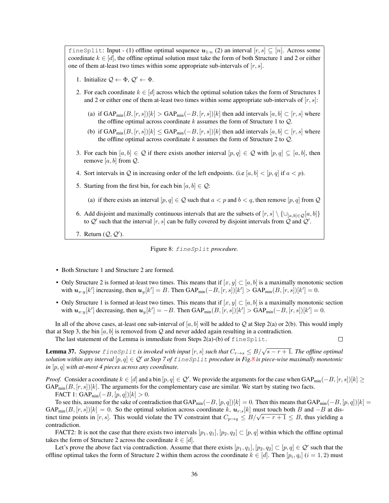<span id="page-35-0"></span>fineSplit: Input - (1) offline optimal sequence  $u_{1:n}$  (2) an interval  $[r, s] \subseteq [n]$ . Across some coordinate  $k \in [d]$ , the offline optimal solution must take the form of both Structure 1 and 2 or either one of them at-least two times within some appropriate sub-intervals of  $[r, s]$ .

- 1. Initialize  $\mathcal{Q} \leftarrow \Phi$ ,  $\mathcal{Q}' \leftarrow \Phi$ .
- 2. For each coordinate  $k \in [d]$  across which the optimal solution takes the form of Structures 1 and 2 or either one of them at-least two times within some appropriate sub-intervals of  $[r, s]$ :
	- (a) if  $GAP_{min}(B, [r, s])[k] > GAP_{min}(-B, [r, s])[k]$  then add intervals  $[a, b] \subset [r, s]$  where the offline optimal across coordinate  $k$  assumes the form of Structure 1 to  $Q$ .
	- (b) if  $\text{GAP}_{\text{min}}(B, [r, s])[k] \leq \text{GAP}_{\text{min}}(-B, [r, s])[k]$  then add intervals  $[a, b] \subset [r, s]$  where the offline optimal across coordinate  $k$  assumes the form of Structure 2 to  $Q$ .
- 3. For each bin  $[a, b] \in \mathcal{Q}$  if there exists another interval  $[p, q] \in \mathcal{Q}$  with  $[p, q] \subseteq [a, b]$ , then remove [a, b] from  $Q$ .
- 4. Sort intervals in  $Q$  in increasing order of the left endpoints. (i.e [a, b] < [p, q] if  $a < p$ ).
- 5. Starting from the first bin, for each bin  $[a, b] \in \mathcal{Q}$ :
	- (a) if there exists an interval  $[p, q] \in \mathcal{Q}$  such that  $a < p$  and  $b < q$ , then remove  $[p, q]$  from  $\mathcal{Q}$
- 6. Add disjoint and maximally continuous intervals that are the subsets of  $[r, s] \setminus \{ \cup_{[a,b] \in \mathcal{Q}}[a, b] \}$ to  $Q'$  such that the interval  $[r, s]$  can be fully covered by disjoint intervals from  $\dot{Q}$  and  $Q'$ .
- 7. Return  $(Q, Q')$ .

Figure 8: fineSplit *procedure.*

- Both Structure 1 and Structure 2 are formed.
- Only Structure 2 is formed at-least two times. This means that if  $[x, y] \subset [a, b]$  is a maximally monotonic section with  $u_{x:y}[k']$  increasing, then  $u_y[k'] = B$ . Then  $\text{GAP}_{\text{min}}(-B, [r, s])[k'] > \text{GAP}_{\text{min}}(B, [r, s])[k'] = 0$ .
- Only Structure 1 is formed at-least two times. This means that if  $[x, y] \subset [a, b]$  is a maximally monotonic section with  $u_{x:y}[k']$  decreasing, then  $u_y[k'] = -B$ . Then  $\text{GAP}_{\text{min}}(B, [r, s])[k'] > \text{GAP}_{\text{min}}(-B, [r, s])[k'] = 0$ .

In all of the above cases, at-least one sub-interval of [a, b] will be added to Q at Step 2(a) or 2(b). This would imply that at Step 3, the bin  $[a, b]$  is removed from Q and never added again resulting in a contradiction.

The last statement of the Lemma is immediate from Steps  $2(a)$ -(b) of fineSplit.

 $\Box$ 

<span id="page-35-1"></span>**Lemma 37.** Suppose fineSplit is invoked with input  $[r, s]$  such that  $C_{r\to s} \leq B/\sqrt{s-r+1}$ . The offline optimal *solution within any interval*  $[p, q] \in \mathcal{Q}'$  at Step 7 of fineSplit procedure in Fig[.8](#page-35-0) is piece-wise maximally monotonic *in* [p, q] *with at-most 4 pieces across any coordinate.*

*Proof.* Consider a coordinate  $k \in [d]$  and a bin  $[p, q] \in \mathcal{Q}'$ . We provide the arguments for the case when  $\text{GAP}_{\text{min}}(-B, [r, s])[k] \geq$  $GAP_{min}(B, [r, s])[k]$ . The arguments for the complementary case are similar. We start by stating two facts. FACT 1:  $\text{GAP}_{\text{min}}(-B, [p, q])[k] > 0.$ 

To see this, assume for the sake of contradiction that  $GAP_{min}(-B, [p, q])[k] = 0$ . Then this means that  $GAP_{min}(-B, [p, q])[k] =$  $GAP_{\text{min}}(B, [r, s])[k] = 0$ . So the optimal solution across coordinate k,  $u_{r:s}[k]$  must touch both B and  $-B$  at distinct time points in [r, s]. This would violate the TV constraint that  $C_{p\to q} \leq B/\sqrt{s-r+1} \leq B$ , thus yielding a contradiction.

FACT2: It is not the case that there exists two intervals  $[p_1, q_1], [p_2, q_2] \subset [p, q]$  within which the offline optimal takes the form of Structure 2 across the coordinate  $k \in [d]$ .

Let's prove the above fact via contradiction. Assume that there exists  $[p_1, q_1], [p_2, q_2] \subset [p, q] \in \mathcal{Q}'$  such that the offline optimal takes the form of Structure 2 within them across the coordinate  $k \in [d]$ . Then  $[p_i, q_i]$   $(i = 1, 2)$  must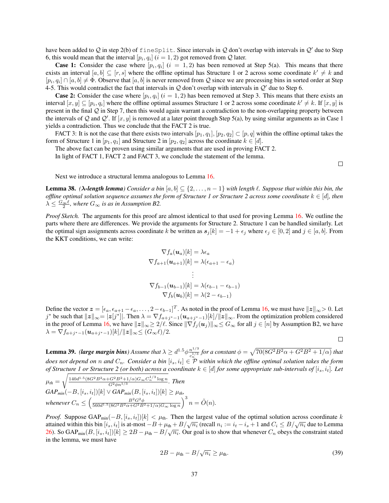have been added to Q in step 2(b) of fineSplit. Since intervals in Q don't overlap with intervals in Q' due to Step 6, this would mean that the interval  $[p_i, q_i]$   $(i = 1, 2)$  got removed from Q later.

**Case 1:** Consider the case where  $[p_i, q_i]$   $(i = 1, 2)$  has been removed at Step 5(a). This means that there exists an interval  $[a, b] \subseteq [r, s]$  where the offline optimal has Structure 1 or 2 across some coordinate  $k' \neq k$  and  $[p_i, q_i] \cap [a, b] \neq \Phi$ . Observe that  $[a, b]$  is never removed from Q since we are processing bins in sorted order at Step 4-5. This would contradict the fact that intervals in  $Q$  don't overlap with intervals in  $Q'$  due to Step 6.

**Case 2:** Consider the case where  $[p_i, q_i]$   $(i = 1, 2)$  has been removed at Step 3. This means that there exists an interval  $[x, y] \subseteq [p_i, q_i]$  where the offline optimal assumes Structure 1 or 2 across some coordinate  $k' \neq k$ . If  $[x, y]$  is present in the final  $Q$  in Step 7, then this would again warrant a contradiction to the non-overlapping property between the intervals of Q and Q'. If  $[x, y]$  is removed at a later point through Step 5(a), by using similar arguments as in Case 1 yields a contradiction. Thus we conclude that the FACT 2 is true.

FACT 3: It is not the case that there exists two intervals  $[p_1, q_1], [p_2, q_2] \subset [p, q]$  within the offline optimal takes the form of Structure 1 in  $[p_1, q_1]$  and Structure 2 in  $[p_2, q_2]$  across the coordinate  $k \in [d]$ .

The above fact can be proven using similar arguments that are used in proving FACT 2.

In light of FACT 1, FACT 2 and FACT 3, we conclude the statement of the lemma.

 $\Box$ 

Next we introduce a structural lemma analogous to Lemma [16.](#page-15-0)

<span id="page-36-0"></span>**Lemma 38.** *(* $\lambda$ *-length lemma)* Consider a bin  $[a, b] \subseteq \{2, \ldots, n - 1\}$  with length  $\ell$ . Suppose that within this bin, the *offline optimal solution sequence assumes the form of Structure 1 or Structure 2 across some coordinate*  $k \in [d]$ , then  $\lambda \leq \frac{G_{\infty} \ell}{2}$ , where  $G_{\infty}$  is as in Assumption B2.

*Proof Sketch.* The arguments for this proof are almost identical to that used for proving Lemma [16.](#page-15-0) We outline the parts where there are differences. We provide the arguments for Structure 2. Structure 1 can be handled similarly. Let the optimal sign assignments across coordinate k be written as  $s_j[k] = -1 + \epsilon_j$  where  $\epsilon_j \in [0,2]$  and  $j \in [a, b]$ . From the KKT conditions, we can write:

$$
\nabla f_a(\mathbf{u}_a)[k] = \lambda \epsilon_a
$$
  
\n
$$
\nabla f_{a+1}(\mathbf{u}_{a+1})[k] = \lambda(\epsilon_{a+1} - \epsilon_a)
$$
  
\n
$$
\vdots
$$
  
\n
$$
\nabla f_{b-1}(\mathbf{u}_{b-1})[k] = \lambda(\epsilon_{b-1} - \epsilon_{b-1})
$$
  
\n
$$
\nabla f_b(\mathbf{u}_b)[k] = \lambda(2 - \epsilon_{b-1})
$$

Define the vector  $\mathbf{z} = [\epsilon_a, \epsilon_{a+1} - \epsilon_a, \dots, 2 - \epsilon_{b-1}]^T$ . As noted in the proof of Lemma [16,](#page-15-0) we must have  $||\mathbf{z}||_{\infty} > 0$ . Let j\* be such that  $||z||_{\infty} = |z[j^*]|$ . Then  $\lambda = \nabla f_{a+j^*-1}(\boldsymbol{u}_{a+j^*-1})[k]/||z||_{\infty}$ . From the optimization problem considered in the proof of Lemma [16,](#page-15-0) we have  $||z||_{\infty} \geq 2/\ell$ . Since  $||\nabla f_j(u_j)||_{\infty} \leq G_{\infty}$  for all  $j \in [n]$  by Assumption B2, we have  $\lambda = \nabla f_{a+j^*-1}(\bm{u}_{a+j^*-1})[k]/\|\bm{z}\|_{\infty} \leq (G_{\infty}\ell)/2.$ 

<span id="page-36-1"></span> $\Box$ 

<span id="page-36-2"></span>**Lemma 39.** *(large margin bins)* Assume that  $\lambda \geq d^{1.5} \phi \frac{n^{1/3}}{c_n^{1/3}}$  $\frac{a^{1/3}}{c_n^{1/3}}$  for a constant  $\phi = \sqrt{70(8G^2B^2\alpha+G^2B^2+1/\alpha)}$  that does not depend on n and  $C_n$ . Consider a bin  $[i_s, i_t] \in \mathcal{P}$  within which the offline optimal solution takes the form *of Structure 1 or Structure 2 (or both) across a coordinate*  $k \in [d]$  *for some appropriate sub-intervals of*  $[i_s, i_t]$ *. Let* 

$$
\mu_{th} = \sqrt{\frac{140d^{1.5}(8G^2B^2\alpha + G^2B^2 + 1/\alpha)G_{\infty}C_n^{1/3}\log n}{G^2\phi n^{1/3}}}.
$$
 Then  
\n
$$
GAP_{min}(-B, [i_s, i_t])[k] \vee GAP_{min}(B, [i_s, i_t])[k] \geq \mu_{th},
$$
  
\nwhenever  $C_n \leq \left(\frac{B^2G^2\phi}{560d^{1.5}(8G^2B^2\alpha + G^2B^2 + 1/\alpha)G_{\infty}\log n}\right)^3 n = \tilde{O}(n).$ 

*Proof.* Suppose  $\text{GAP}_{\text{min}}(-B, [i_s, i_t])[k] < \mu_{\text{th}}$ . Then the largest value of the optimal solution across coordinate k attained within this bin  $[i_s, i_t]$  is at-most  $-B + \mu_{th} + B/\sqrt{n_i}$  (recall  $n_i := i_t - i_s + 1$  and  $C_i \leq B/\sqrt{n_i}$  due to Lemma [26\)](#page-27-0). So GAP<sub>min</sub> $(B, [i_s, i_t])[k] \geq 2B - \mu_{th} - B/\sqrt{n_i}$ . Our goal is to show that whenever  $C_n$  obeys the constraint stated in the lemma, we must have

$$
2B - \mu_{\rm th} - B/\sqrt{n_i} \ge \mu_{\rm th}.\tag{39}
$$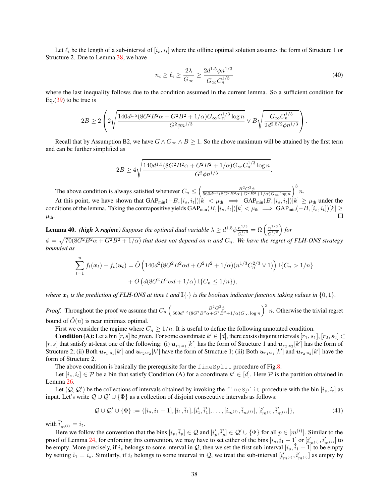Let  $\ell_i$  be the length of a sub-interval of  $[i_s, i_t]$  where the offline optimal solution assumes the form of Structure 1 or Structure 2. Due to Lemma [38,](#page-36-0) we have

<span id="page-37-1"></span>
$$
n_i \ge \ell_i \ge \frac{2\lambda}{G_{\infty}} \ge \frac{2d^{1.5}\phi n^{1/3}}{G_{\infty}C_n^{1/3}}
$$
\n
$$
\tag{40}
$$

where the last inequality follows due to the condition assumed in the current lemma. So a sufficient condition for Eq.[\(39\)](#page-36-1) to be true is

$$
2B \ge 2\left(2\sqrt{\frac{140d^{1.5}(8G^2B^2\alpha + G^2B^2 + 1/\alpha)G_{\infty}C_n^{1/3}\log n}{G^2\phi n^{1/3}}}\vee B\sqrt{\frac{G_{\infty}C_n^{1/3}}{2d^{2.5/2}\phi n^{1/3}}}\right).
$$

Recall that by Assumption B2, we have  $G \wedge G_{\infty} \wedge B \ge 1$ . So the above maximum will be attained by the first term and can be further simplified as

$$
2B \ge 4\sqrt{\frac{140d^{1.5}(8G^2B^2\alpha + G^2B^2 + 1/\alpha)G_{\infty}C_n^{1/3}\log n}{G^2\phi n^{1/3}}}.
$$

The above condition is always satisfied whenever  $C_n \leq \left(\frac{B^2G^2\phi}{560d^{1.5}(8G^2B^2\alpha + G^2B^2)}\right)$  $rac{B^2G^2\phi}{560d^{1.5}(8G^2B^2\alpha+G^2B^2+1/\alpha)G_{\infty}\log n} \bigg)^3 n.$ 

At this point, we have shown that  $\text{GAP}_{\text{min}}(-B, [i_s, i_t])[k] < \mu_{\text{th}} \implies \text{GAP}_{\text{min}}(B, [i_s, i_t])[k] \geq \mu_{\text{th}}$  under the conditions of the lemma. Taking the contrapositive yields  $\text{GAP}_{\text{min}}(B, [i_s, i_t])[k] \leq \mu_{\text{th}} \implies \text{GAP}_{\text{min}}(-B, [i_s, i_t])[k] \geq \mu_{\text{th}}$  $\mu_{th}$ .

<span id="page-37-0"></span>**Lemma 40.** *(high*  $\lambda$  *regime)* Suppose the optimal dual variable  $\lambda \geq d^{1.5} \phi \frac{n^{1/3}}{C_n^{1/3}}$  $\frac{n^{1/3}}{C_n^{1/3}} = \Omega\left(\frac{n^{1/3}}{C_n^{1/3}}\right)$  $C_n^{1/3}$ *for*

 $\phi = \sqrt{70(8G^2B^2\alpha+G^2B^2+1/\alpha)}$  that does not depend on n and  $C_n$ . We have the regret of FLH-ONS strategy *bounded as*

$$
\sum_{t=1}^{n} f_t(\boldsymbol{x}_t) - f_t(\boldsymbol{u}_t) = \tilde{O}\left(140d^2(8G^2B^2\alpha d + G^2B^2 + 1/\alpha)(n^{1/3}C_n^{2/3} \vee 1)\right) \mathbb{I}\{C_n > 1/n\} + \tilde{O}\left(d(8G^2B^2\alpha d + 1/\alpha)\mathbb{I}\{C_n \le 1/n\}\right),
$$

*where*  $x_t$  *is the prediction of FLH-ONS at time t and*  $\mathbb{I}\{\cdot\}$  *is the boolean indicator function taking values in*  $\{0, 1\}$ *.* 

*Proof.* Throughout the proof we assume that  $C_n \left( \frac{B^2 G^2 \phi}{560d^{1.5} (8G^2 B^2 \alpha + G^2 B^2)} \right)$  $rac{B^2G^2\phi}{560d^{1.5}(8G^2B^2\alpha+G^2B^2+1/\alpha)G_{\infty}\log n}$ <sup>3</sup> *n*. Otherwise the trivial regret bound of  $\tilde{O}(n)$  is near minimax optimal.

First we consider the regime where  $C_n \geq 1/n$ . It is useful to define the following annotated condition.

**Condition (A):** Let a bin  $[r, s]$  be given. For some coordinate  $k' \in [d]$ , there exists disjoint intervals  $[r_1, s_1], [r_2, s_2] \subset$ [r, s] that satisfy at-least one of the following: (i)  $u_{r_1:s_1}[k']$  has the form of Structure 1 and  $u_{r_2:s_2}[k']$  has the form of Structure 2; (ii) Both  $u_{r_1:s_1}[k']$  and  $u_{r_2:s_2}[k']$  have the form of Structure 1; (iii) Both  $u_{r_1:s_1}[k']$  and  $u_{r_2:s_2}[k']$  have the form of Structure 2.

The above condition is basically the prerequisite for the fineSplit procedure of Fig[.8.](#page-35-0)

Let  $[i_s, i_t] \in \mathcal{P}$  be a bin that satisfy Condition (A) for a coordinate  $k' \in [d]$ . Here  $\mathcal{P}$  is the partition obtained in Lemma [26.](#page-27-0)

Let  $(Q, Q')$  be the collections of intervals obtained by invoking the fineSplit procedure with the bin  $[i_s, i_t]$  as input. Let's write  $Q \cup Q' \cup \{\Phi\}$  as a collection of disjoint consecutive intervals as follows:

<span id="page-37-2"></span>
$$
\mathcal{Q} \cup \mathcal{Q}' \cup \{\Phi\} := \{ [i_s, i_1 - 1], [i_1, \bar{i}_1], [i'_1, \bar{i}'_1], \dots, [i_{m^{(i)}}, \bar{i}_{m^{(i)}}], [i'_{m^{(i)}}, \bar{i}'_{m^{(i)}}] \},
$$
\n(41)

with  $\bar{i}'_{m^{(i)}} = i_t$ .

Here we follow the convention that the bins  $[\underline{i}_p, \overline{i}_p] \in \mathcal{Q}$  and  $[\underline{i}'_p, \overline{i}'_p] \in \mathcal{Q}' \cup \{\Phi\}$  for all  $p \in [m^{(i)}]$ . Similar to the proof of Lemma [24,](#page-22-0) for enforcing this convention, we may have to set either of the bins  $[i_8, i_1 - 1]$  or  $[i'_{m^{(i)}}, \overline{i}'_{m^{(i)}}]$  to proof of Lemma 24, for enforcing this convention, we may have to set either of the bins be empty. More precisely, if  $i_s$  belongs to some interval in Q, then we set the first sub-interval  $[i_s, i_1 - 1]$  to be empty by setting  $\overline{i}_1 = \overline{i}_s$ . Similarly, if  $i_t$  belongs to some interval in Q, we treat the sub-interval  $[\underline{i}'_{m^{(i)}}, \overline{i}'_{m^{(i)}}]$  as empty by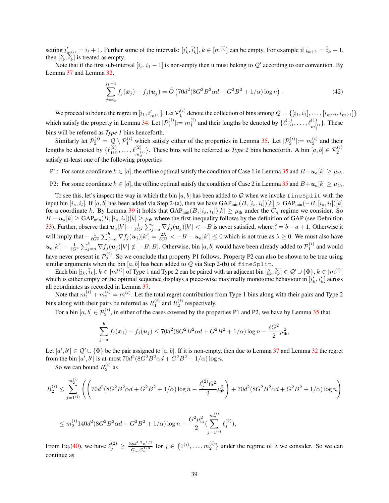setting  $\underline{i}'_{m(i)} = i_t + 1$ . Further some of the intervals:  $[\underline{i}'_k, \overline{i}'_k]$ ,  $k \in [m^{(i)}]$  can be empty. For example if  $\underline{i}_{k+1} = \overline{i}_k + 1$ , then  $[\underline{i}' \ \overline{i}']$  is treated as empty. then  $[i'_k, i'_k]$  is treated as empty.

Note that if the first sub-interval  $[i_s, i_1 - 1]$  is non-empty then it must belong to  $Q'$  according to our convention. By Lemma [37](#page-35-1) and Lemma [32,](#page-30-0)

<span id="page-38-0"></span>
$$
\sum_{j=i_s}^{i_1-1} f_j(\boldsymbol{x}_j) - f_j(\boldsymbol{u}_j) = \tilde{O}\left(70d^2(8G^2B^2\alpha d + G^2B^2 + 1/\alpha)\log n\right).
$$
 (42)

We proceed to bound the regret in  $[i_1, \bar{i}'_{m^{(i)}}]$ . Let  $\mathcal{P}_1^{(i)}$  denote the collection of bins among  $\mathcal{Q} = \{[i_1, \bar{i}_1], \dots, [i_{m^{(i)}}, \bar{i}_{m^{(i)}}]\}$ which satisfy the property in Lemma [34.](#page-32-1) Let  $|\mathcal{P}_1^{(i)}| := m_1^{(i)}$  and their lengths be denoted by  $\{\ell_{1(i)}^{(1)}, \ldots, \ell_{m_i^{(i)}}^{(1)}\}$ .  $\binom{1}{1^{(i)}}, \ldots, \binom{\ell^{(1)}}{m_1^{(i)}}$ . These bins will be referred as *Type 1* bins henceforth.

Similarly let  $\mathcal{P}_2^{(i)} = \mathcal{Q} \setminus \mathcal{P}_1^{(i)}$  which satisfy either of the properties in Lemma [35.](#page-33-2) Let  $|\mathcal{P}_2^{(i)}| := m_2^{(i)}$  and their lengths be denoted by  $\{\ell_{1(i)}^{(2)}\}$  $\{\ell_{1(i)}^{(2)},\ldots,\ell_{m_2(i)}^{(2)}\}$ . These bins will be referred as *Type 2* bins henceforth. A bin  $[a,b] \in \mathcal{P}_2^{(i)}$ satisfy at-least one of the following properties

- P1: For some coordinate  $k \in [d]$ , the offline optimal satisfy the condition of Case 1 in Lemma [35](#page-33-2) and  $B u_a[k] \geq \mu_{th}$ .
- P2: For some coordinate  $k \in [d]$ , the offline optimal satisfy the condition of Case 2 in Lemma [35](#page-33-2) and  $B+u_a[k] \geq \mu_{th}$ .

To see this, let's inspect the way in which the bin [a, b] has been added to Q when we invoke fineSplit with the input bin  $[i_s, i_t]$ . If  $[a, b]$  has been added via Step 2-(a), then we have  $\text{GAP}_{\text{min}}(B, [i_s, i_t])[k] > \text{GAP}_{\text{min}}(-B, [i_s, i_t])[k]$ for a coordinate k. By Lemma [39](#page-36-2) it holds that  $\text{GAP}_{\text{min}}(B, [i_s, i_t])[k] \geq \mu_{\text{th}}$  under the  $C_n$  regime we consider. So  $B - \mathbf{u}_a[k] \geq \text{GAP}_{min}(B, [i_s, i_t])[k] \geq \mu_{th}$  where the first inequality follows by the definition of GAP (see Definition [33\)](#page-31-0). Further, observe that  $u_a[k'] - \frac{1}{\ell G^2} \sum_{j=a}^b \nabla f_j(u_j)[k'] < -B$  is never satisfied, where  $\ell = b - a + 1$ . Otherwise it will imply that  $-\frac{1}{\ell G^2} \sum_{j=a}^{b} \nabla f_j(\boldsymbol{u}_j)[k'] = \frac{2\lambda}{\ell G^2} < -B - \boldsymbol{u}_a[k'] \le 0$  which is not true as  $\lambda \ge 0$ . We must also have  $u_a[k'] - \frac{1}{\ell G^2} \sum_{j=a}^{b} \nabla f_j(u_j)[k'] \notin [-B, B]$ . Otherwise, bin  $[a, b]$  would have been already added to  $\mathcal{P}_1^{(i)}$  and would have never present in  $\mathcal{P}_2^{(i)}$ . So we conclude that property P1 follows. Property P2 can also be shown to be true using similar arguments when the bin  $[a, b]$  has been added to  $Q$  via Step 2-(b) of fineSplit.

Each bin  $[i_k, \bar{i}_k]$ ,  $k \in [m^{(i)}]$  of Type 1 and Type 2 can be paired with an adjacent bin  $[i'_k, \bar{i}'_k] \in \mathcal{Q}' \cup \{\Phi\}$ ,  $k \in [m^{(i)}]$ which is either empty or the optimal sequence displays a piece-wise maximally monotonic behaviour in  $[\underline{i}'_k, \overline{i}'_k]$  across all coordinates as recorded in Lemma [37.](#page-35-1)

Note that  $m_1^{(i)} + m_2^{(i)} = m^{(i)}$ . Let the total regret contribution from Type 1 bins along with their pairs and Type 2 bins along with their pairs be referred as  $R_1^{(i)}$  and  $R_2^{(i)}$  respectively.

For a bin  $[a, b] \in \mathcal{P}_2^{(i)}$ , in either of the cases covered by the properties P1 and P2, we have by Lemma [35](#page-33-2) that

$$
\sum_{j=a}^{b} f_j(\boldsymbol{x}_j) - f_j(\boldsymbol{u}_j) \le 70d^2(8G^2B^2\alpha d + G^2B^2 + 1/\alpha)\log n - \frac{\ell G^2}{2}\mu_{\text{th}}^2,
$$

Let  $[a', b'] \in \mathcal{Q}' \cup \{\Phi\}$  be the pair assigned to  $[a, b]$ . If it is non-empty, then due to Lemma [37](#page-35-1) and Lemma [32](#page-30-0) the regret from the bin  $[a', b']$  is at-most  $70d^2(8G^2B^2\alpha d + G^2B^2 + 1/\alpha) \log n$ .

So we can bound  $R_2^{(i)}$  as

$$
R_2^{(i)} \le \sum_{j=1^{(i)}}^{m_2^{(i)}} \left( \left( 70d^2 (8G^2B^2\alpha d + G^2B^2 + 1/\alpha) \log n - \frac{\ell_j^{(2)}G^2}{2} \mu_{\text{th}}^2 \right) + 70d^2 (8G^2B^2\alpha d + G^2B^2 + 1/\alpha) \log n \right)
$$

$$
\leq m_{2}^{(i)} 140d^{2} (8G^{2}B^{2}\alpha d+G^{2}B^{2}+1/\alpha)\log n-\frac{G^{2}\mu_{\mathrm{th}}^{2}}{2}(\sum_{j=1^{(i)}}^{m_{2}^{(i)}} \ell_{j}^{(2)}),
$$

From Eq.[\(40\)](#page-37-1), we have  $\ell_j^{(2)} \ge \frac{2\phi d^{1.5} n^{1/3}}{G \infty C_n^{1/3}}$  $\frac{\phi d^{1.5} n^{1/3}}{G_{\infty} C_n^{1/3}}$  for  $j \in \{1^{(i)}, \ldots, m_2^{(i)}\}$  under the regime of  $\lambda$  we consider. So we can continue as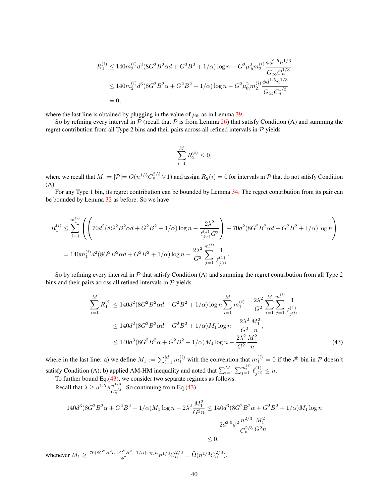$$
R_2^{(i)} \le 140m_2^{(i)}d^2(8G^2B^2\alpha d + G^2B^2 + 1/\alpha)\log n - G^2\mu_{\rm th}^2m_2^{(i)}\frac{\phi d^{1.5}n^{1/3}}{G_{\infty}C_n^{1/3}}
$$
  
\n
$$
\le 140m_2^{(i)}d^3(8G^2B^2\alpha + G^2B^2 + 1/\alpha)\log n - G^2\mu_{\rm th}^2m_2^{(i)}\frac{\phi d^{1.5}n^{1/3}}{G_{\infty}C_n^{1/3}}
$$
  
\n= 0,

where the last line is obtained by plugging in the value of  $\mu_{\text{th}}$  as in Lemma [39.](#page-36-2)

So by refining every interval in  $\mathcal P$  (recall that  $\mathcal P$  is from Lemma [26\)](#page-27-0) that satisfy Condition (A) and summing the regret contribution from all Type 2 bins and their pairs across all refined intervals in  $P$  yields

<span id="page-39-0"></span>
$$
\sum_{i=1}^M R_2^{(i)} \le 0,
$$

where we recall that  $M := |\mathcal{P}| = O(n^{1/3}C_n^{2/3} \vee 1)$  and assign  $R_2(i) = 0$  for intervals in  $\mathcal{P}$  that do not satisfy Condition (A).

For any Type 1 bin, its regret contribution can be bounded by Lemma [34.](#page-32-1) The regret contribution from its pair can be bounded by Lemma [32](#page-30-0) as before. So we have

$$
R_1^{(i)} \le \sum_{j=1}^{m_1^{(i)}} \left( \left( 70d^2 (8G^2 B^2 \alpha d + G^2 B^2 + 1/\alpha) \log n - \frac{2\lambda^2}{\ell_{j^{(i)}}^{(1)} G^2} \right) + 70d^2 (8G^2 B^2 \alpha d + G^2 B^2 + 1/\alpha) \log n \right)
$$
  
=  $140m_1^{(i)} d^2 (8G^2 B^2 \alpha d + G^2 B^2 + 1/\alpha) \log n - \frac{2\lambda^2}{G^2} \sum_{j=1}^{m_1^{(i)}} \frac{1}{\ell_{j^{(i)}}^{(1)}}.$ 

So by refining every interval in  $P$  that satisfy Condition (A) and summing the regret contribution from all Type 2 bins and their pairs across all refined intervals in  $P$  yields

$$
\sum_{i=1}^{M} R_1^{(i)} \le 140d^2 (8G^2B^2\alpha d + G^2B^2 + 1/\alpha) \log n \sum_{i=1}^{M} m_1^{(i)} - \frac{2\lambda^2}{G^2} \sum_{i=1}^{M} \sum_{j=1}^{m_1^{(i)}} \frac{1}{\ell_{j^{(i)}}^{(1)}}
$$
  
\n
$$
\le 140d^2 (8G^2B^2\alpha d + G^2B^2 + 1/\alpha)M_1 \log n - \frac{2\lambda^2}{G^2} \frac{M_1^2}{n},
$$
  
\n
$$
\le 140d^3 (8G^2B^2\alpha + G^2B^2 + 1/\alpha)M_1 \log n - \frac{2\lambda^2}{G^2} \frac{M_1^2}{n}
$$
 (43)

where in the last line: a) we define  $M_1 := \sum_{i=1}^M m_1^{(i)}$  with the convention that  $m_1^{(i)} = 0$  if the  $i<sup>th</sup>$  bin in  $P$  doesn't satisfy Condition (A); b) applied AM-HM inequality and noted that  $\sum_{i=1}^{M} \sum_{j=1}^{m_1^{(i)}} \ell_{j^{(i)}}^{(1)}$  $j^{(1)} \leq n$ .

To further bound Eq.[\(43\)](#page-39-0), we consider two separate regimes as follows. Recall that  $\lambda \geq d^{1.5} \phi \frac{n^{1/3}}{C_n^{1/3}}$  $\frac{n^{1/3}}{C_n^{1/3}}$ . So continuing from Eq.[\(43\)](#page-39-0),

$$
140d^{3}(8G^{2}B^{2}\alpha + G^{2}B^{2} + 1/\alpha)M_{1}\log n - 2\lambda^{2}\frac{M_{1}^{2}}{G^{2}n} \le 140d^{3}(8G^{2}B^{2}\alpha + G^{2}B^{2} + 1/\alpha)M_{1}\log n - 2d^{2.5}\phi^{2}\frac{n^{2/3}}{C_{n}^{2/3}}\frac{M_{1}^{2}}{G^{2}n} \le 0,
$$

whenever  $M_1 \ge \frac{70(8G^2B^2\alpha + G^2B^2 + 1/\alpha)\log n}{\phi^2} n^{1/3} C_n^{2/3} = \tilde{\Omega}(n^{1/3}C_n^{2/3}).$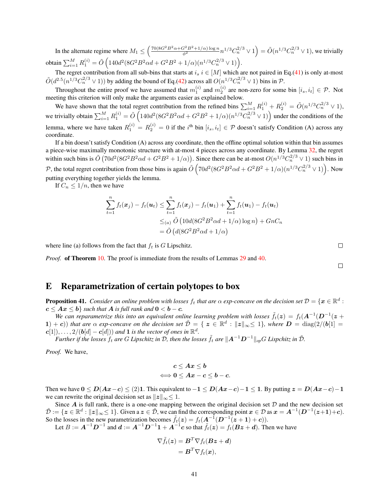In the alternate regime where  $M_1 \leq \left( \frac{70(8G^2B^2\alpha + G^2B^2 + 1/\alpha)\log n}{\phi^2} n^{1/3}C_n^{2/3} \vee 1 \right) = \tilde{O}(n^{1/3}C_n^{2/3} \vee 1)$ , we trivially obtain  $\sum_{i=1}^{M} R_1^{(i)} = \tilde{O}\left(140d^2(8G^2B^2\alpha d + G^2B^2 + 1/\alpha)(n^{1/3}C_n^{2/3} \vee 1)\right)$ .

The regret contribution from all sub-bins that starts at  $i_s$   $i \in [M]$  which are not paired in Eq.[\(41\)](#page-37-2) is only at-most  $\tilde{O}(d^{2.5}(n^{1/3}C_n^{2/3} \vee 1))$  by adding the bound of Eq.[\(42\)](#page-38-0) across all  $O(n^{1/3}C_n^{2/3} \vee 1)$  bins in  $\mathcal{P}$ .

Throughout the entire proof we have assumed that  $m_1^{(i)}$  and  $m_2^{(i)}$  are non-zero for some bin  $[i_s, i_t] \in \mathcal{P}$ . Not meeting this criterion will only make the arguments easier as explained below.

We have shown that the total regret contribution from the refined bins  $\sum_{i=1}^{M} R_1^{(i)} + R_2^{(i)} = \tilde{O}(n^{1/3}C_n^{2/3} \vee 1)$ , we trivially obtain  $\sum_{i=1}^M R_1^{(i)} = \tilde O\left(140d^2(8G^2B^2\alpha d + G^2B^2 + 1/\alpha)(n^{1/3}C_n^{2/3} \vee 1)\right)$  under the conditions of the lemma, where we have taken  $R_1^{(i)} = R_2^{(i)} = 0$  if the  $i^{\text{th}}$  bin  $[i_s, i_t] \in \mathcal{P}$  doesn't satisfy Condition (A) across any coordinate.

If a bin doesn't satisfy Condition (A) across any coordinate, then the offline optimal solution within that bin assumes a piece-wise maximally monotonic structure with at-most 4 pieces across any coordinate. By Lemma [32,](#page-30-0) the regret within such bins is  $\tilde{O}(70d^2(8G^2B^2\alpha d + G^2B^2 + 1/\alpha))$ . Since there can be at-most  $O(n^{1/3}C_n^{2/3} \vee 1)$  such bins in P, the total regret contribution from those bins is again  $\tilde{O}(70d^2(8G^2B^2\alpha d + G^2B^2 + 1/\alpha)(n^{1/3}C_n^{2/3} \vee 1))$ . Now putting everything together yields the lemma.

If  $C_n \leq 1/n$ , then we have

$$
\sum_{t=1}^{n} f_t(x_j) - f_t(u_t) \le \sum_{t=1}^{n} f_t(x_j) - f_t(u_1) + \sum_{t=1}^{n} f_t(u_1) - f_t(u_t)
$$
  

$$
\le_{(a)} \tilde{O} (10d(8G^2B^2\alpha d + 1/\alpha) \log n) + GnC_n
$$
  

$$
= \tilde{O} (d(8G^2B^2\alpha d + 1/\alpha))
$$

where line (a) follows from the fact that  $f_t$  is G Lipschitz.

*Proof.* **of Theorem** [10.](#page-9-0) The proof is immediate from the results of Lemmas [29](#page-27-1) and [40.](#page-37-0)

 $\Box$ 

 $\Box$ 

### <span id="page-40-0"></span>E Reparametrization of certain polytopes to box

**Proposition 41.** Consider an online problem with losses  $f_t$  that are  $\alpha$  exp-concave on the decision set  $D = \{x \in \mathbb{R}^d :$  $c \leq Ax \leq b$  *such that* A *is full rank and*  $0 \leq b - c$ *.* 

We can reparametrize this into an equivalent online learning problem with losses  $\tilde{f}_t(z) = f_t(A^{-1}(D^{-1}(z +$ 1) + c)) that are  $\alpha$  exp-concave on the decision set  $\tilde{\mathcal{D}} = \{ z \in \mathbb{R}^d : ||z||_{\infty} \leq 1 \}$ , where  $\mathcal{D} = \text{diag}(2/(\mathbf{b}[1])$  $c[1]), \ldots, 2/(b[d] - c[d]))$  and **1** is the vector of ones in  $\mathbb{R}^d$ .

*Further if the losses*  $f_t$  *are G Lipschitz in D, then the losses*  $\tilde{f}_t$  *are*  $\|A^{-1}\bm{D}^{-1}\|_{op} G$  Lispchitz in  $\tilde{\mathcal{D}}$ .

*Proof.* We have,

$$
c \leq Ax \leq b
$$
  

$$
\Longleftrightarrow 0 \leq Ax - c \leq b - c.
$$

Then we have  $0 \leq D(Ax-c) \leq (2)1$ . This equivalent to  $-1 \leq D(Ax-c)-1 \leq 1$ . By putting  $z = D(Ax-c)-1$ we can rewrite the original decision set as  $||z||_{\infty} \leq 1$ .

Since  $A$  is full rank, there is a one-one mapping between the original decision set  $D$  and the new decision set  $\tilde{\mathcal{D}} := \{ z \in \mathbb{R}^d : ||z||_{\infty} \leq 1 \}.$  Given a  $z \in \tilde{\mathcal{D}}$ , we can find the corresponding point  $x \in \mathcal{D}$  as  $x = A^{-1}(D^{-1}(z+1)+c)$ . So the losses in the new parametrization becomes  $\tilde{f}_t(z) = f_t(A^{-1}(D^{-1}(z+1)+c)).$ 

Let  $B := A^{-1}D^{-1}$  and  $d := A^{-1}D^{-1}1 + A^{-1}c$  so that  $\tilde{f}_t(z) = f_t(Bz + d)$ . Then we have

$$
\nabla \tilde{f}_t(\boldsymbol{z}) = \boldsymbol{B}^T \nabla f_t(\boldsymbol{B} \boldsymbol{z} + \boldsymbol{d}) \\ = \boldsymbol{B}^T \nabla f_t(\boldsymbol{x}),
$$